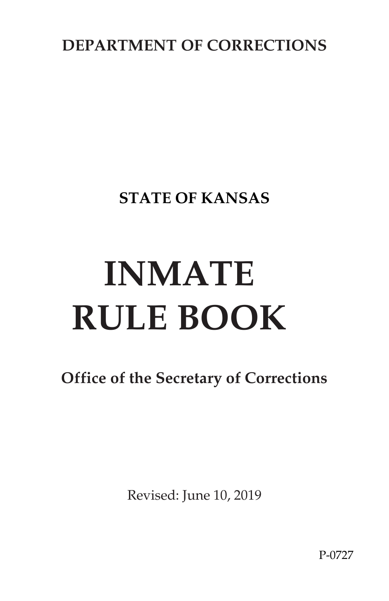**DEPARTMENT OF CORRECTIONS** 

**STATE OF KANSAS** 

# **INMATE RULE BOOK**

**Office of the Secretary of Corrections**

Revised: June 10, 2019

P-0727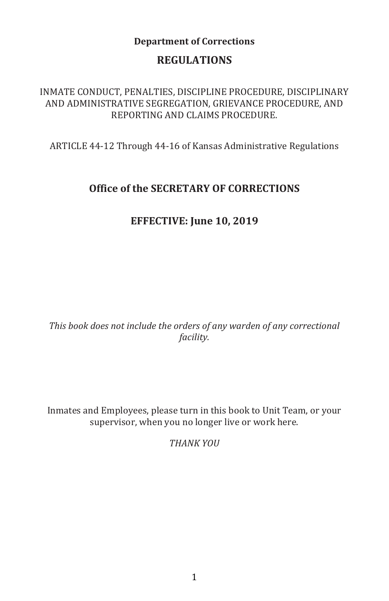# **Department of Corrections**

# **REGULATIONS**

INMATE CONDUCT, PENALTIES, DISCIPLINE PROCEDURE, DISCIPLINARY AND ADMINISTRATIVE SEGREGATION, GRIEVANCE PROCEDURE, AND REPORTING AND CLAIMS PROCEDURE.

ARTICLE 44-12 Through 44-16 of Kansas Administrative Regulations

# **Office of the SECRETARY OF CORRECTIONS**

# **EFFECTIVE: June 10, 2019**

*This book does not include the orders of any warden of any correctional facility.* 

Inmates and Employees, please turn in this book to Unit Team, or your supervisor, when you no longer live or work here.

*THANK YOU*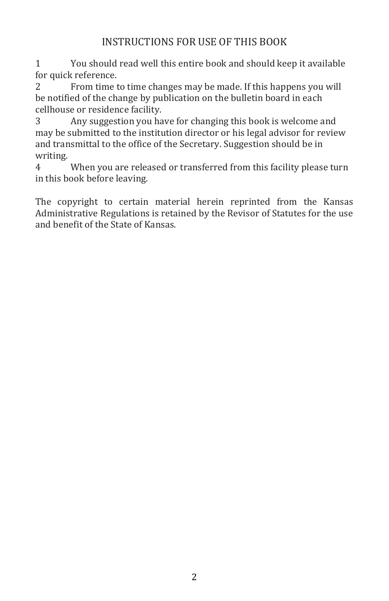# INSTRUCTIONS FOR USE OF THIS BOOK

1 You should read well this entire book and should keep it available for quick reference.

2 From time to time changes may be made. If this happens you will be notified of the change by publication on the bulletin board in each cellhouse or residence facility.

3 Any suggestion you have for changing this book is welcome and may be submitted to the institution director or his legal advisor for review and transmittal to the office of the Secretary. Suggestion should be in writing.

4 When you are released or transferred from this facility please turn in this book before leaving.

The copyright to certain material herein reprinted from the Kansas Administrative Regulations is retained by the Revisor of Statutes for the use and benefit of the State of Kansas.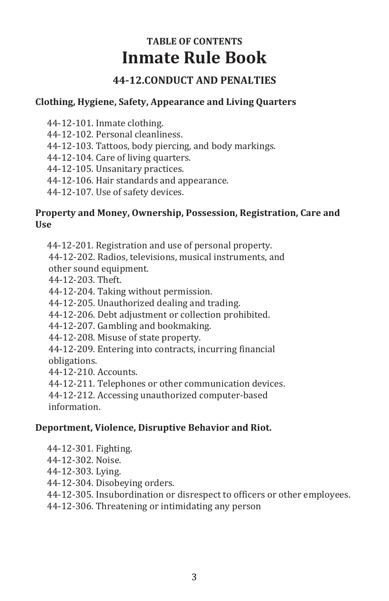# **TABLE OF CONTENTS Inmate Rule Book**

# **44-12.CONDUCT AND PENALTIES**

## **Clothing, Hygiene, Safety, Appearance and Living Quarters**

- 44-12-101. Inmate clothing.
- 44-12-102. Personal cleanliness.
- 44-12-103. Tattoos, body piercing, and body markings.
- 44-12-104. Care of living quarters.
- 44-12-105. Unsanitary practices.
- 44-12-106. Hair standards and appearance.
- 44-12-107. Use of safety devices.

## **Property and Money, Ownership, Possession, Registration, Care and Use**

44-12-201. Registration and use of personal property.

44-12-202. Radios, televisions, musical instruments, and other sound equipment.

- 44-12-203. Theft.
- 44-12-204. Taking without permission.
- 44-12-205. Unauthorized dealing and trading.
- 44-12-206. Debt adjustment or collection prohibited.
- 44-12-207. Gambling and bookmaking.
- 44-12-208. Misuse of state property.
- 44-12-209. Entering into contracts, incurring financial obligations.
- 44-12-210. Accounts.
- 44-12-211. Telephones or other communication devices.
- 44-12-212. Accessing unauthorized computer-based information.
- 

## **Deportment, Violence, Disruptive Behavior and Riot.**

- 44-12-301. Fighting.
- 44-12-302. Noise.
- 44-12-303. Lying.
- 44-12-304. Disobeying orders.
- 44-12-305. Insubordination or disrespect to officers or other employees.
- 44-12-306. Threatening or intimidating any person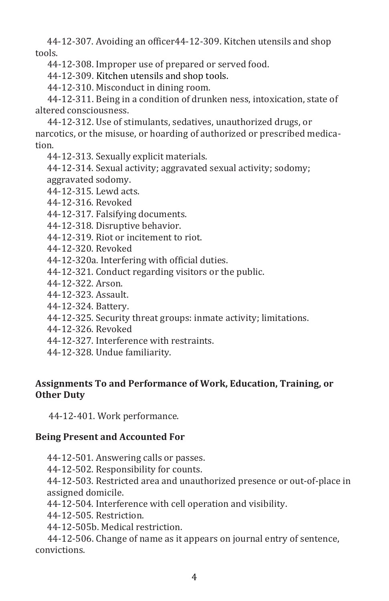44-12-307. Avoiding an officer44-12-309. Kitchen utensils and shop tools.

44-12-308. Improper use of prepared or served food.

44-12-309. Kitchen utensils and shop tools.

44-12-310. Misconduct in dining room.

 44-12-311. Being in a condition of drunken ness, intoxication, state of altered consciousness.

 44-12-312. Use of stimulants, sedatives, unauthorized drugs, or narcotics, or the misuse, or hoarding of authorized or prescribed medication.

44-12-313. Sexually explicit materials.

44-12-314. Sexual activity; aggravated sexual activity; sodomy; aggravated sodomy.

44-12-315. Lewd acts.

44-12-316. Revoked

44-12-317. Falsifying documents.

44-12-318. Disruptive behavior.

44-12-319. Riot or incitement to riot.

44-12-320. Revoked

44-12-320a. Interfering with official duties.

- 44-12-321. Conduct regarding visitors or the public.
- 44-12-322. Arson.
- 44-12-323. Assault.
- 44-12-324. Battery.
- 44-12-325. Security threat groups: inmate activity; limitations.
- 44-12-326. Revoked
- 44-12-327. Interference with restraints.
- 44-12-328. Undue familiarity.

# **Assignments To and Performance of Work, Education, Training, or Other Duty**

44-12-401. Work performance.

## **Being Present and Accounted For**

44-12-501. Answering calls or passes.

44-12-502. Responsibility for counts.

44-12-503. Restricted area and unauthorized presence or out-of-place in assigned domicile.

44-12-504. Interference with cell operation and visibility.

44-12-505. Restriction.

44-12-505b. Medical restriction.

 44-12-506. Change of name as it appears on journal entry of sentence, convictions.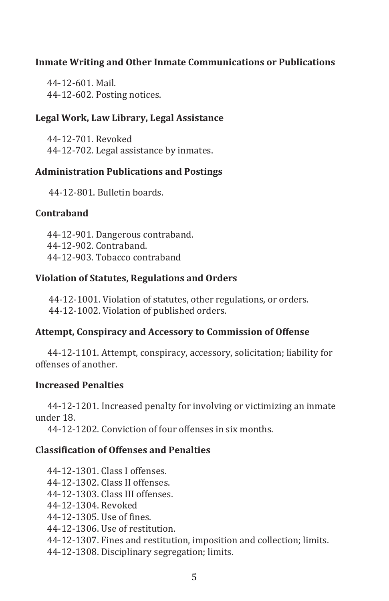## **Inmate Writing and Other Inmate Communications or Publications**

44-12-601. Mail. 44-12-602. Posting notices.

#### **Legal Work, Law Library, Legal Assistance**

44-12-701. Revoked 44-12-702. Legal assistance by inmates.

## **Administration Publications and Postings**

44-12-801. Bulletin boards.

#### **Contraband**

44-12-901. Dangerous contraband. 44-12-902. Contraband. 44-12-903. Tobacco contraband

#### **Violation of Statutes, Regulations and Orders**

44-12-1001. Violation of statutes, other regulations, or orders. 44-12-1002. Violation of published orders.

## **Attempt, Conspiracy and Accessory to Commission of Offense**

 44-12-1101. Attempt, conspiracy, accessory, solicitation; liability for offenses of another.

#### **Increased Penalties**

 44-12-1201. Increased penalty for involving or victimizing an inmate under 18.

44-12-1202. Conviction of four offenses in six months.

## **Classification of Offenses and Penalties**

44-12-1301. Class I offenses. 44-12-1302. Class II offenses. 44-12-1303. Class III offenses. 44-12-1304. Revoked 44-12-1305. Use of fines. 44-12-1306. Use of restitution. 44-12-1307. Fines and restitution, imposition and collection; limits. 44-12-1308. Disciplinary segregation; limits.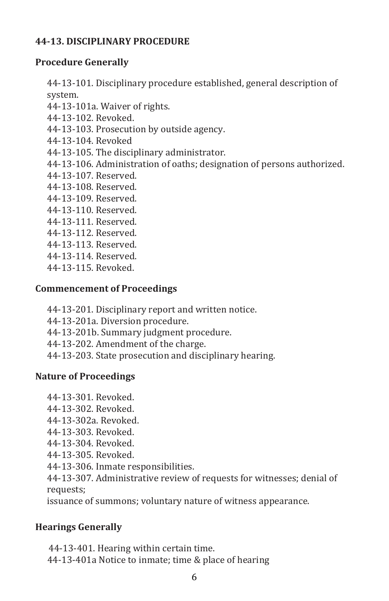## **44-13. DISCIPLINARY PROCEDURE**

# **Procedure Generally**

44-13-101. Disciplinary procedure established, general description of system.

- 44-13-101a. Waiver of rights.
- 44-13-102. Revoked.
- 44-13-103. Prosecution by outside agency.
- 44-13-104. Revoked
- 44-13-105. The disciplinary administrator.
- 44-13-106. Administration of oaths; designation of persons authorized.
- 44-13-107. Reserved.
- 44-13-108. Reserved.
- 44-13-109. Reserved.
- 44-13-110. Reserved.
- 44-13-111. Reserved.
- 44-13-112. Reserved.
- 44-13-113. Reserved.
- 44-13-114. Reserved.
- 44-13-115. Revoked.

# **Commencement of Proceedings**

- 44-13-201. Disciplinary report and written notice.
- 44-13-201a. Diversion procedure.
- 44-13-201b. Summary judgment procedure.
- 44-13-202. Amendment of the charge.
- 44-13-203. State prosecution and disciplinary hearing.

# **Nature of Proceedings**

- 44-13-301. Revoked.
- 44-13-302. Revoked.
- 44-13-302a. Revoked.
- 44-13-303. Revoked.
- 44-13-304. Revoked.
- 44-13-305. Revoked.
- 44-13-306. Inmate responsibilities.

44-13-307. Administrative review of requests for witnesses; denial of requests;

issuance of summons; voluntary nature of witness appearance.

# **Hearings Generally**

 44-13-401. Hearing within certain time. 44-13-401a Notice to inmate; time & place of hearing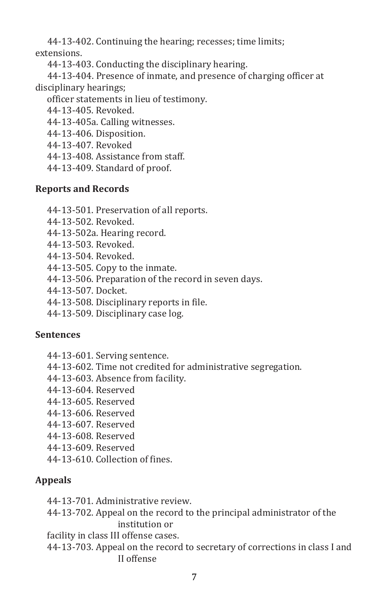44-13-402. Continuing the hearing; recesses; time limits; extensions.

44-13-403. Conducting the disciplinary hearing.

 44-13-404. Presence of inmate, and presence of charging officer at disciplinary hearings;

officer statements in lieu of testimony.

44-13-405. Revoked.

44-13-405a. Calling witnesses.

- 44-13-406. Disposition.
- 44-13-407. Revoked
- 44-13-408. Assistance from staff.
- 44-13-409. Standard of proof.

## **Reports and Records**

- 44-13-501. Preservation of all reports.
- 44-13-502. Revoked.
- 44-13-502a. Hearing record.
- 44-13-503. Revoked.
- 44-13-504. Revoked.
- 44-13-505. Copy to the inmate.
- 44-13-506. Preparation of the record in seven days.
- 44-13-507. Docket.
- 44-13-508. Disciplinary reports in file.
- 44-13-509. Disciplinary case log.

## **Sentences**

- 44-13-601. Serving sentence.
- 44-13-602. Time not credited for administrative segregation.
- 44-13-603. Absence from facility.
- 44-13-604. Reserved
- 44-13-605. Reserved
- 44-13-606. Reserved
- 44-13-607. Reserved
- 44-13-608. Reserved
- 44-13-609. Reserved
- 44-13-610. Collection of fines.

# **Appeals**

- 44-13-701. Administrative review.
- 44-13-702. Appeal on the record to the principal administrator of the institution or
- facility in class III offense cases.
- 44-13-703. Appeal on the record to secretary of corrections in class I and II offense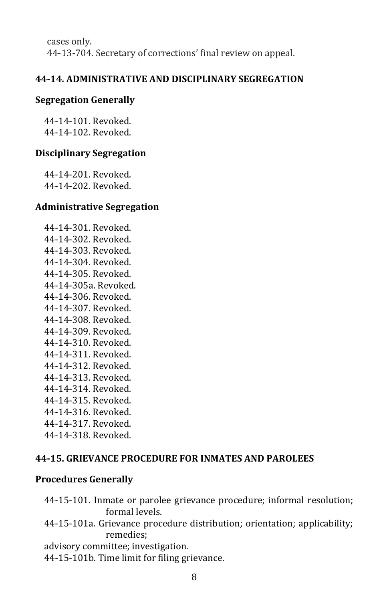cases only. 44-13-704. Secretary of corrections' final review on appeal.

#### **44-14. ADMINISTRATIVE AND DISCIPLINARY SEGREGATION**

#### **Segregation Generally**

44-14-101. Revoked. 44-14-102. Revoked.

#### **Disciplinary Segregation**

44-14-201. Revoked. 44-14-202. Revoked.

#### **Administrative Segregation**

44-14-301. Revoked. 44-14-302. Revoked. 44-14-303. Revoked. 44-14-304. Revoked. 44-14-305. Revoked. 44-14-305a. Revoked. 44-14-306. Revoked. 44-14-307. Revoked. 44-14-308. Revoked. 44-14-309. Revoked. 44-14-310. Revoked. 44-14-311. Revoked. 44-14-312. Revoked. 44-14-313. Revoked. 44-14-314. Revoked. 44-14-315. Revoked. 44-14-316. Revoked. 44-14-317. Revoked. 44-14-318. Revoked.

#### **44-15. GRIEVANCE PROCEDURE FOR INMATES AND PAROLEES**

#### **Procedures Generally**

44-15-101. Inmate or parolee grievance procedure; informal resolution; formal levels.

## 44-15-101a. Grievance procedure distribution; orientation; applicability; remedies;

advisory committee; investigation.

44-15-101b. Time limit for filing grievance.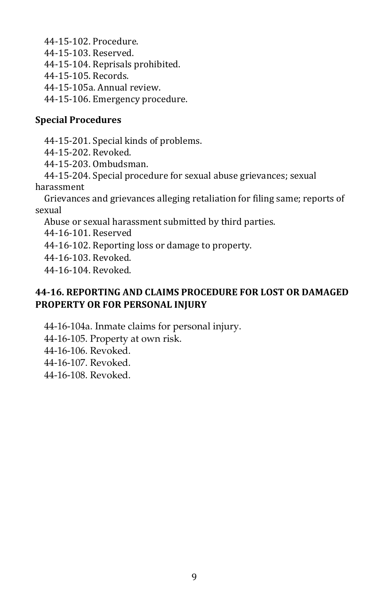44-15-102. Procedure. 44-15-103. Reserved. 44-15-104. Reprisals prohibited. 44-15-105. Records. 44-15-105a. Annual review.

44-15-106. Emergency procedure.

## **Special Procedures**

44-15-201. Special kinds of problems.

44-15-202. Revoked.

44-15-203. Ombudsman.

44-15-204. Special procedure for sexual abuse grievances; sexual harassment

Grievances and grievances alleging retaliation for filing same; reports of sexual

Abuse or sexual harassment submitted by third parties.

44-16-101. Reserved

44-16-102. Reporting loss or damage to property.

44-16-103. Revoked.

44-16-104. Revoked.

# **44-16. REPORTING AND CLAIMS PROCEDURE FOR LOST OR DAMAGED PROPERTY OR FOR PERSONAL INJURY**

44-16-104a. Inmate claims for personal injury.

44-16-105. Property at own risk.

44-16-106. Revoked.

44-16-107. Revoked.

44-16-108. Revoked.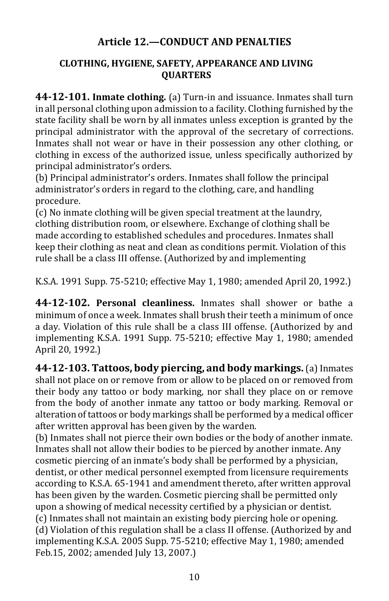# **Article 12.—CONDUCT AND PENALTIES**

## **CLOTHING, HYGIENE, SAFETY, APPEARANCE AND LIVING QUARTERS**

**44-12-101. Inmate clothing.** (a) Turn-in and issuance. Inmates shall turn in all personal clothing upon admission to a facility. Clothing furnished by the state facility shall be worn by all inmates unless exception is granted by the principal administrator with the approval of the secretary of corrections. Inmates shall not wear or have in their possession any other clothing, or clothing in excess of the authorized issue, unless specifically authorized by principal administrator's orders.

(b) Principal administrator's orders. Inmates shall follow the principal administrator's orders in regard to the clothing, care, and handling procedure.

(c) No inmate clothing will be given special treatment at the laundry, clothing distribution room, or elsewhere. Exchange of clothing shall be made according to established schedules and procedures. Inmates shall keep their clothing as neat and clean as conditions permit. Violation of this rule shall be a class III offense. (Authorized by and implementing

K.S.A. 1991 Supp. 75-5210; effective May 1, 1980; amended April 20, 1992.)

**44-12-102. Personal cleanliness.** Inmates shall shower or bathe a minimum of once a week. Inmates shall brush their teeth a minimum of once a day. Violation of this rule shall be a class III offense. (Authorized by and implementing K.S.A. 1991 Supp. 75-5210; effective May 1, 1980; amended April 20, 1992.)

**44-12-103. Tattoos, body piercing, and body markings.** (a) Inmates shall not place on or remove from or allow to be placed on or removed from their body any tattoo or body marking, nor shall they place on or remove from the body of another inmate any tattoo or body marking. Removal or alteration of tattoos or body markings shall be performed by a medical officer after written approval has been given by the warden.

(b) Inmates shall not pierce their own bodies or the body of another inmate. Inmates shall not allow their bodies to be pierced by another inmate. Any cosmetic piercing of an inmate's body shall be performed by a physician, dentist, or other medical personnel exempted from licensure requirements according to K.S.A. 65-1941 and amendment thereto, after written approval has been given by the warden. Cosmetic piercing shall be permitted only upon a showing of medical necessity certified by a physician or dentist. (c) Inmates shall not maintain an existing body piercing hole or opening. (d) Violation of this regulation shall be a class II offense. (Authorized by and implementing K.S.A. 2005 Supp. 75-5210; effective May 1, 1980; amended Feb.15, 2002; amended July 13, 2007.)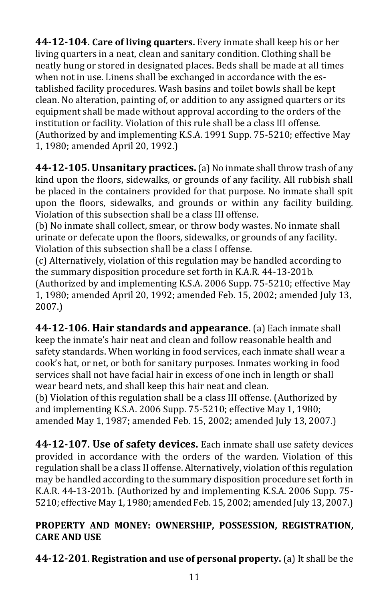**44-12-104. Care of living quarters.** Every inmate shall keep his or her living quarters in a neat, clean and sanitary condition. Clothing shall be neatly hung or stored in designated places. Beds shall be made at all times when not in use. Linens shall be exchanged in accordance with the established facility procedures. Wash basins and toilet bowls shall be kept clean. No alteration, painting of, or addition to any assigned quarters or its equipment shall be made without approval according to the orders of the institution or facility. Violation of this rule shall be a class III offense. (Authorized by and implementing K.S.A. 1991 Supp. 75-5210; effective May 1, 1980; amended April 20, 1992.)

**44-12-105. Unsanitary practices.** (a) No inmate shall throw trash of any kind upon the floors, sidewalks, or grounds of any facility. All rubbish shall be placed in the containers provided for that purpose. No inmate shall spit upon the floors, sidewalks, and grounds or within any facility building. Violation of this subsection shall be a class III offense.

(b) No inmate shall collect, smear, or throw body wastes. No inmate shall urinate or defecate upon the floors, sidewalks, or grounds of any facility. Violation of this subsection shall be a class I offense.

(c) Alternatively, violation of this regulation may be handled according to the summary disposition procedure set forth in K.A.R. 44-13-201b*.*  (Authorized by and implementing K.S.A. 2006 Supp. 75-5210; effective May 1, 1980; amended April 20, 1992; amended Feb. 15, 2002; amended July 13, 2007.)

**44-12-106. Hair standards and appearance.** (a) Each inmate shall keep the inmate's hair neat and clean and follow reasonable health and safety standards. When working in food services, each inmate shall wear a cook's hat, or net, or both for sanitary purposes. Inmates working in food services shall not have facial hair in excess of one inch in length or shall wear beard nets, and shall keep this hair neat and clean.

(b) Violation of this regulation shall be a class III offense. (Authorized by and implementing K.S.A. 2006 Supp. 75-5210; effective May 1, 1980; amended May 1, 1987; amended Feb. 15, 2002; amended July 13, 2007.)

**44-12-107. Use of safety devices.** Each inmate shall use safety devices provided in accordance with the orders of the warden. Violation of this regulation shall be a class II offense. Alternatively, violation of this regulation may be handled according to the summary disposition procedure set forth in K.A.R. 44-13-201b. (Authorized by and implementing K.S.A. 2006 Supp. 75- 5210; effective May 1, 1980; amended Feb. 15, 2002; amended July 13, 2007.)

# **PROPERTY AND MONEY: OWNERSHIP, POSSESSION, REGISTRATION, CARE AND USE**

**44-12-201**. **Registration and use of personal property.** (a) It shall be the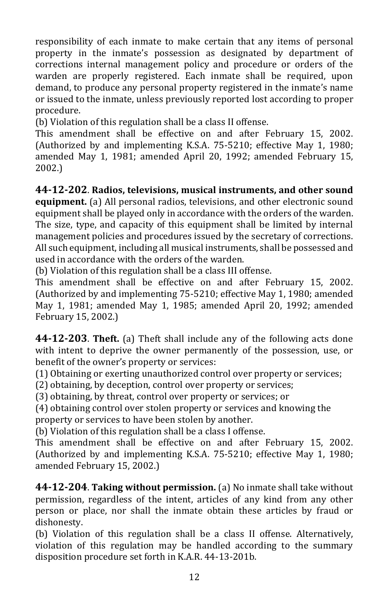responsibility of each inmate to make certain that any items of personal property in the inmate's possession as designated by department of corrections internal management policy and procedure or orders of the warden are properly registered. Each inmate shall be required, upon demand, to produce any personal property registered in the inmate's name or issued to the inmate, unless previously reported lost according to proper procedure.

(b) Violation of this regulation shall be a class II offense.

This amendment shall be effective on and after February 15, 2002. (Authorized by and implementing K.S.A. 75-5210; effective May 1, 1980; amended May 1, 1981; amended April 20, 1992; amended February 15, 2002.)

**44-12-202**. **Radios, televisions, musical instruments, and other sound equipment.** (a) All personal radios, televisions, and other electronic sound equipment shall be played only in accordance with the orders of the warden. The size, type, and capacity of this equipment shall be limited by internal management policies and procedures issued by the secretary of corrections. All such equipment, including all musical instruments, shall be possessed and

used in accordance with the orders of the warden.

(b) Violation of this regulation shall be a class III offense.

This amendment shall be effective on and after February 15, 2002. (Authorized by and implementing 75-5210; effective May 1, 1980; amended May 1, 1981; amended May 1, 1985; amended April 20, 1992; amended February 15, 2002.)

**44-12-203**. **Theft.** (a) Theft shall include any of the following acts done with intent to deprive the owner permanently of the possession, use, or benefit of the owner's property or services:

(1) Obtaining or exerting unauthorized control over property or services;

(2) obtaining, by deception, control over property or services;

(3) obtaining, by threat, control over property or services; or

(4) obtaining control over stolen property or services and knowing the property or services to have been stolen by another.

(b) Violation of this regulation shall be a class I offense.

This amendment shall be effective on and after February 15, 2002. (Authorized by and implementing K.S.A. 75-5210; effective May 1, 1980; amended February 15, 2002.)

**44-12-204**. **Taking without permission.** (a) No inmate shall take without permission, regardless of the intent, articles of any kind from any other person or place, nor shall the inmate obtain these articles by fraud or dishonesty.

(b) Violation of this regulation shall be a class II offense. Alternatively, violation of this regulation may be handled according to the summary disposition procedure set forth in K.A.R. 44-13-201b.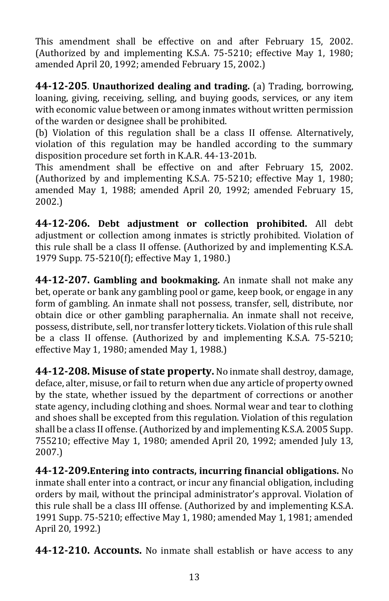This amendment shall be effective on and after February 15, 2002. (Authorized by and implementing K.S.A. 75-5210; effective May 1, 1980; amended April 20, 1992; amended February 15, 2002.)

**44-12-205**. **Unauthorized dealing and trading.** (a) Trading, borrowing, loaning, giving, receiving, selling, and buying goods, services, or any item with economic value between or among inmates without written permission of the warden or designee shall be prohibited.

(b) Violation of this regulation shall be a class II offense. Alternatively, violation of this regulation may be handled according to the summary disposition procedure set forth in K.A.R. 44-13-201b.

This amendment shall be effective on and after February 15, 2002. (Authorized by and implementing K.S.A. 75-5210; effective May 1, 1980; amended May 1, 1988; amended April 20, 1992; amended February 15, 2002.)

**44-12-206. Debt adjustment or collection prohibited.** All debt adjustment or collection among inmates is strictly prohibited. Violation of this rule shall be a class II offense. (Authorized by and implementing K.S.A. 1979 Supp. 75-5210(f); effective May 1, 1980.)

**44-12-207. Gambling and bookmaking.** An inmate shall not make any bet, operate or bank any gambling pool or game, keep book, or engage in any form of gambling. An inmate shall not possess, transfer, sell, distribute, nor obtain dice or other gambling paraphernalia. An inmate shall not receive, possess, distribute, sell, nor transfer lottery tickets. Violation of this rule shall be a class II offense. (Authorized by and implementing K.S.A. 75-5210; effective May 1, 1980; amended May 1, 1988.)

**44-12-208. Misuse of state property.** No inmate shall destroy, damage, deface, alter, misuse, or fail to return when due any article of property owned by the state, whether issued by the department of corrections or another state agency, including clothing and shoes. Normal wear and tear to clothing and shoes shall be excepted from this regulation. Violation of this regulation shall be a class II offense. (Authorized by and implementing K.S.A. 2005 Supp. 755210; effective May 1, 1980; amended April 20, 1992; amended July 13, 2007.)

**44-12-209.Entering into contracts, incurring financial obligations.** No inmate shall enter into a contract, or incur any financial obligation, including orders by mail, without the principal administrator's approval. Violation of this rule shall be a class III offense. (Authorized by and implementing K.S.A. 1991 Supp. 75-5210; effective May 1, 1980; amended May 1, 1981; amended April 20, 1992.)

**44-12-210. Accounts.** No inmate shall establish or have access to any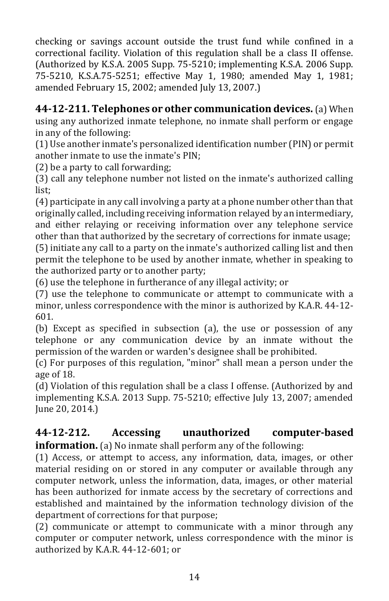checking or savings account outside the trust fund while confined in a correctional facility. Violation of this regulation shall be a class II offense. (Authorized by K.S.A. 2005 Supp. 75-5210; implementing K.S.A. 2006 Supp. 75-5210, K.S.A.75-5251; effective May 1, 1980; amended May 1, 1981; amended February 15, 2002; amended July 13, 2007.)

**44-12-211. Telephones or other communication devices.** (a) When using any authorized inmate telephone, no inmate shall perform or engage in any of the following:

(1) Use another inmate's personalized identification number (PIN) or permit another inmate to use the inmate's PIN;

(2) be a party to call forwarding;

(3) call any telephone number not listed on the inmate's authorized calling list;

(4) participate in any call involving a party at a phone number other than that originally called, including receiving information relayed by an intermediary, and either relaying or receiving information over any telephone service other than that authorized by the secretary of corrections for inmate usage;

(5) initiate any call to a party on the inmate's authorized calling list and then permit the telephone to be used by another inmate, whether in speaking to the authorized party or to another party;

(6) use the telephone in furtherance of any illegal activity; or

(7) use the telephone to communicate or attempt to communicate with a minor, unless correspondence with the minor is authorized by K.A.R. 44-12- 601.

(b) Except as specified in subsection (a), the use or possession of any telephone or any communication device by an inmate without the permission of the warden or warden's designee shall be prohibited.

(c) For purposes of this regulation, "minor" shall mean a person under the age of 18.

(d) Violation of this regulation shall be a class I offense. (Authorized by and implementing K.S.A. 2013 Supp. 75-5210; effective July 13, 2007; amended June 20, 2014.)

# **44-12-212. Accessing unauthorized computer-based information.** (a) No inmate shall perform any of the following:

(1) Access, or attempt to access, any information, data, images, or other material residing on or stored in any computer or available through any computer network, unless the information, data, images, or other material has been authorized for inmate access by the secretary of corrections and established and maintained by the information technology division of the department of corrections for that purpose;

(2) communicate or attempt to communicate with a minor through any computer or computer network, unless correspondence with the minor is authorized by K.A.R. 44-12-601; or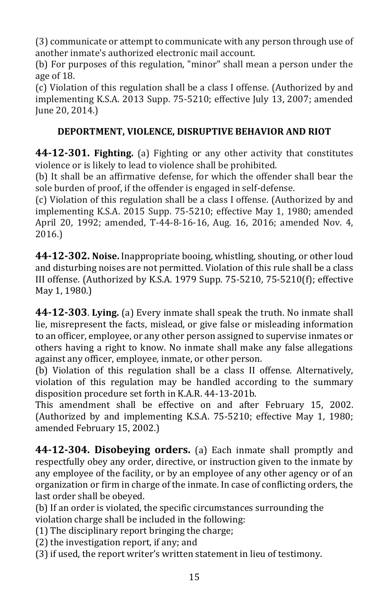(3) communicate or attempt to communicate with any person through use of another inmate's authorized electronic mail account.

(b) For purposes of this regulation, "minor" shall mean a person under the age of 18.

(c) Violation of this regulation shall be a class I offense. (Authorized by and implementing K.S.A. 2013 Supp. 75-5210; effective July 13, 2007; amended June 20, 2014.)

# **DEPORTMENT, VIOLENCE, DISRUPTIVE BEHAVIOR AND RIOT**

**44-12-301. Fighting.** (a) Fighting or any other activity that constitutes violence or is likely to lead to violence shall be prohibited.

(b) It shall be an affirmative defense, for which the offender shall bear the sole burden of proof, if the offender is engaged in self-defense.

(c) Violation of this regulation shall be a class I offense. (Authorized by and implementing K.S.A. 2015 Supp. 75-5210; effective May 1, 1980; amended April 20, 1992; amended, T-44-8-16-16, Aug. 16, 2016; amended Nov. 4, 2016.)

**44-12-302. Noise.** Inappropriate booing, whistling, shouting, or other loud and disturbing noises are not permitted. Violation of this rule shall be a class III offense. (Authorized by K.S.A. 1979 Supp. 75-5210, 75-5210(f); effective May 1, 1980.)

**44-12-303**. **Lying.** (a) Every inmate shall speak the truth. No inmate shall lie, misrepresent the facts, mislead, or give false or misleading information to an officer, employee, or any other person assigned to supervise inmates or others having a right to know. No inmate shall make any false allegations against any officer, employee, inmate, or other person.

(b) Violation of this regulation shall be a class II offense. Alternatively, violation of this regulation may be handled according to the summary disposition procedure set forth in K.A.R. 44-13-201b.

This amendment shall be effective on and after February 15, 2002. (Authorized by and implementing K.S.A. 75-5210; effective May 1, 1980; amended February 15, 2002.)

**44-12-304. Disobeying orders.** (a) Each inmate shall promptly and respectfully obey any order, directive, or instruction given to the inmate by any employee of the facility, or by an employee of any other agency or of an organization or firm in charge of the inmate. In case of conflicting orders, the last order shall be obeyed.

(b) If an order is violated, the specific circumstances surrounding the violation charge shall be included in the following:

(1) The disciplinary report bringing the charge;

(2) the investigation report, if any; and

(3) if used, the report writer's written statement in lieu of testimony.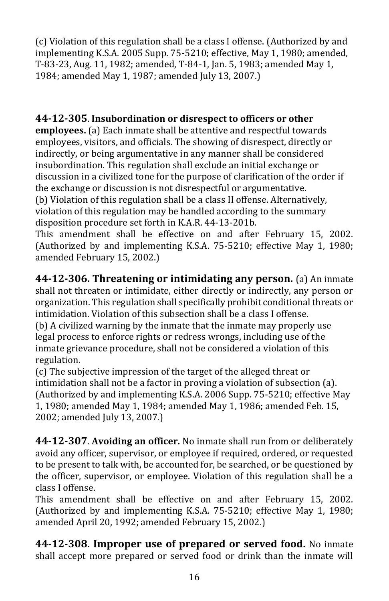(c) Violation of this regulation shall be a class I offense. (Authorized by and implementing K.S.A. 2005 Supp. 75-5210; effective, May 1, 1980; amended, T-83-23, Aug. 11, 1982; amended, T-84-1, Jan. 5, 1983; amended May 1, 1984; amended May 1, 1987; amended July 13, 2007.)

# **44-12-305**. **Insubordination or disrespect to officers or other**

**employees.** (a) Each inmate shall be attentive and respectful towards employees, visitors, and officials. The showing of disrespect, directly or indirectly, or being argumentative in any manner shall be considered insubordination. This regulation shall exclude an initial exchange or discussion in a civilized tone for the purpose of clarification of the order if the exchange or discussion is not disrespectful or argumentative. (b) Violation of this regulation shall be a class II offense. Alternatively, violation of this regulation may be handled according to the summary disposition procedure set forth in K.A.R. 44-13-201b.

This amendment shall be effective on and after February 15, 2002. (Authorized by and implementing K.S.A. 75-5210; effective May 1, 1980; amended February 15, 2002.)

**44-12-306. Threatening or intimidating any person.** (a) An inmate shall not threaten or intimidate, either directly or indirectly, any person or organization. This regulation shall specifically prohibit conditional threats or intimidation. Violation of this subsection shall be a class I offense.

(b) A civilized warning by the inmate that the inmate may properly use legal process to enforce rights or redress wrongs, including use of the inmate grievance procedure, shall not be considered a violation of this regulation.

(c) The subjective impression of the target of the alleged threat or intimidation shall not be a factor in proving a violation of subsection (a). (Authorized by and implementing K.S.A. 2006 Supp. 75-5210; effective May 1, 1980; amended May 1, 1984; amended May 1, 1986; amended Feb. 15, 2002; amended July 13, 2007.)

**44-12-307**. **Avoiding an officer.** No inmate shall run from or deliberately avoid any officer, supervisor, or employee if required, ordered, or requested to be present to talk with, be accounted for, be searched, or be questioned by the officer, supervisor, or employee. Violation of this regulation shall be a class I offense.

This amendment shall be effective on and after February 15, 2002. (Authorized by and implementing K.S.A. 75-5210; effective May 1, 1980; amended April 20, 1992; amended February 15, 2002.)

**44-12-308. Improper use of prepared or served food.** No inmate shall accept more prepared or served food or drink than the inmate will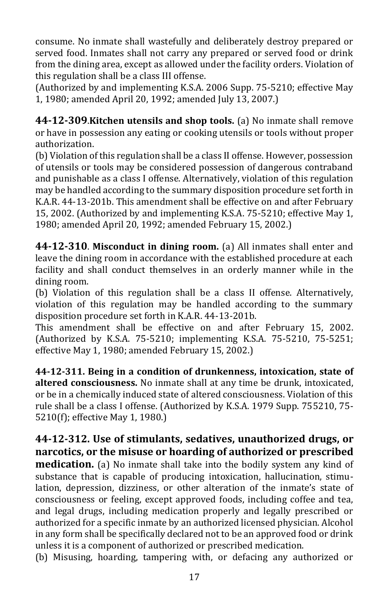consume. No inmate shall wastefully and deliberately destroy prepared or served food. Inmates shall not carry any prepared or served food or drink from the dining area, except as allowed under the facility orders. Violation of this regulation shall be a class III offense.

(Authorized by and implementing K.S.A. 2006 Supp. 75-5210; effective May 1, 1980; amended April 20, 1992; amended July 13, 2007.)

**44-12-309**.**Kitchen utensils and shop tools.** (a) No inmate shall remove or have in possession any eating or cooking utensils or tools without proper authorization.

(b) Violation of this regulation shall be a class II offense. However, possession of utensils or tools may be considered possession of dangerous contraband and punishable as a class I offense. Alternatively, violation of this regulation may be handled according to the summary disposition procedure set forth in K.A.R. 44-13-201b. This amendment shall be effective on and after February 15, 2002. (Authorized by and implementing K.S.A. 75-5210; effective May 1, 1980; amended April 20, 1992; amended February 15, 2002.)

**44-12-310**. **Misconduct in dining room.** (a) All inmates shall enter and leave the dining room in accordance with the established procedure at each facility and shall conduct themselves in an orderly manner while in the dining room.

(b) Violation of this regulation shall be a class II offense. Alternatively, violation of this regulation may be handled according to the summary disposition procedure set forth in K.A.R. 44-13-201b.

This amendment shall be effective on and after February 15, 2002. (Authorized by K.S.A. 75-5210; implementing K.S.A. 75-5210, 75-5251; effective May 1, 1980; amended February 15, 2002.)

**44-12-311. Being in a condition of drunkenness, intoxication, state of altered consciousness.** No inmate shall at any time be drunk, intoxicated, or be in a chemically induced state of altered consciousness. Violation of this rule shall be a class I offense. (Authorized by K.S.A. 1979 Supp. 755210, 75- 5210(f); effective May 1, 1980.)

**44-12-312. Use of stimulants, sedatives, unauthorized drugs, or narcotics, or the misuse or hoarding of authorized or prescribed medication.** (a) No inmate shall take into the bodily system any kind of substance that is capable of producing intoxication, hallucination, stimulation, depression, dizziness, or other alteration of the inmate's state of consciousness or feeling, except approved foods, including coffee and tea, and legal drugs, including medication properly and legally prescribed or authorized for a specific inmate by an authorized licensed physician. Alcohol in any form shall be specifically declared not to be an approved food or drink unless it is a component of authorized or prescribed medication.

(b) Misusing, hoarding, tampering with, or defacing any authorized or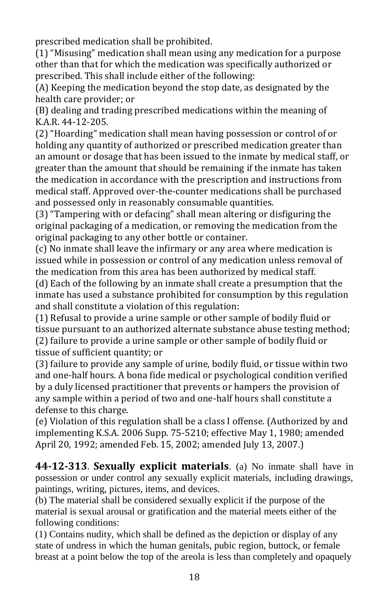prescribed medication shall be prohibited.

(1) "Misusing" medication shall mean using any medication for a purpose other than that for which the medication was specifically authorized or prescribed. This shall include either of the following:

(A) Keeping the medication beyond the stop date, as designated by the health care provider; or

(B) dealing and trading prescribed medications within the meaning of K.A.R. 44-12-205.

(2) "Hoarding" medication shall mean having possession or control of or holding any quantity of authorized or prescribed medication greater than an amount or dosage that has been issued to the inmate by medical staff, or greater than the amount that should be remaining if the inmate has taken the medication in accordance with the prescription and instructions from medical staff. Approved over-the-counter medications shall be purchased and possessed only in reasonably consumable quantities.

(3) "Tampering with or defacing" shall mean altering or disfiguring the original packaging of a medication, or removing the medication from the original packaging to any other bottle or container.

(c) No inmate shall leave the infirmary or any area where medication is issued while in possession or control of any medication unless removal of the medication from this area has been authorized by medical staff.

(d) Each of the following by an inmate shall create a presumption that the inmate has used a substance prohibited for consumption by this regulation and shall constitute a violation of this regulation:

(1) Refusal to provide a urine sample or other sample of bodily fluid or tissue pursuant to an authorized alternate substance abuse testing method; (2) failure to provide a urine sample or other sample of bodily fluid or tissue of sufficient quantity; or

(3) failure to provide any sample of urine, bodily fluid, or tissue within two and one-half hours. A bona fide medical or psychological condition verified by a duly licensed practitioner that prevents or hampers the provision of any sample within a period of two and one-half hours shall constitute a defense to this charge.

(e) Violation of this regulation shall be a class I offense. (Authorized by and implementing K.S.A. 2006 Supp. 75-5210; effective May 1, 1980; amended April 20, 1992; amended Feb. 15, 2002; amended July 13, 2007.)

**44-12-313**. **Sexually explicit materials**. (a) No inmate shall have in possession or under control any sexually explicit materials, including drawings, paintings, writing, pictures, items, and devices.

(b) The material shall be considered sexually explicit if the purpose of the material is sexual arousal or gratification and the material meets either of the following conditions:

(1) Contains nudity, which shall be defined as the depiction or display of any state of undress in which the human genitals, pubic region, buttock, or female breast at a point below the top of the areola is less than completely and opaquely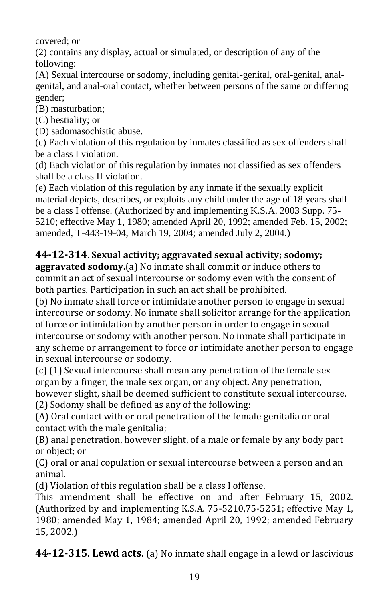covered; or

(2) contains any display, actual or simulated, or description of any of the following:

(A) Sexual intercourse or sodomy, including genital-genital, oral-genital, analgenital, and anal-oral contact, whether between persons of the same or differing gender;

(B) masturbation;

(C) bestiality; or

(D) sadomasochistic abuse.

(c) Each violation of this regulation by inmates classified as sex offenders shall be a class I violation.

(d) Each violation of this regulation by inmates not classified as sex offenders shall be a class II violation.

(e) Each violation of this regulation by any inmate if the sexually explicit material depicts, describes, or exploits any child under the age of 18 years shall be a class I offense. (Authorized by and implementing K.S.A. 2003 Supp. 75- 5210; effective May 1, 1980; amended April 20, 1992; amended Feb. 15, 2002; amended, T-443-19-04, March 19, 2004; amended July 2, 2004.)

# **44-12-314**. **Sexual activity; aggravated sexual activity; sodomy;**

**aggravated sodomy.**(a) No inmate shall commit or induce others to commit an act of sexual intercourse or sodomy even with the consent of both parties. Participation in such an act shall be prohibited.

(b) No inmate shall force or intimidate another person to engage in sexual intercourse or sodomy. No inmate shall solicitor arrange for the application of force or intimidation by another person in order to engage in sexual intercourse or sodomy with another person. No inmate shall participate in any scheme or arrangement to force or intimidate another person to engage in sexual intercourse or sodomy.

(c) (1) Sexual intercourse shall mean any penetration of the female sex organ by a finger, the male sex organ, or any object. Any penetration, however slight, shall be deemed sufficient to constitute sexual intercourse.

(2) Sodomy shall be defined as any of the following:

(A) Oral contact with or oral penetration of the female genitalia or oral contact with the male genitalia;

(B) anal penetration, however slight, of a male or female by any body part or object; or

(C) oral or anal copulation or sexual intercourse between a person and an animal.

(d) Violation of this regulation shall be a class I offense.

This amendment shall be effective on and after February 15, 2002. (Authorized by and implementing K.S.A. 75-5210,75-5251; effective May 1, 1980; amended May 1, 1984; amended April 20, 1992; amended February 15, 2002.)

**44-12-315. Lewd acts.** (a) No inmate shall engage in a lewd or lascivious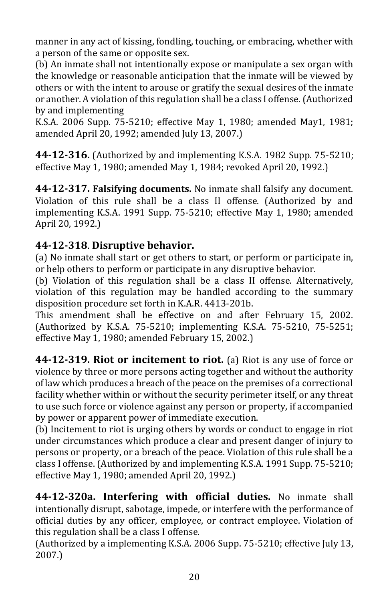manner in any act of kissing, fondling, touching, or embracing, whether with a person of the same or opposite sex.

(b) An inmate shall not intentionally expose or manipulate a sex organ with the knowledge or reasonable anticipation that the inmate will be viewed by others or with the intent to arouse or gratify the sexual desires of the inmate or another. A violation of this regulation shall be a class I offense. (Authorized by and implementing

K.S.A. 2006 Supp. 75-5210; effective May 1, 1980; amended May1, 1981; amended April 20, 1992; amended July 13, 2007.)

**44-12-316.** (Authorized by and implementing K.S.A. 1982 Supp. 75-5210; effective May 1, 1980; amended May 1, 1984; revoked April 20, 1992.)

**44-12-317. Falsifying documents.** No inmate shall falsify any document. Violation of this rule shall be a class II offense. (Authorized by and implementing K.S.A. 1991 Supp. 75-5210; effective May 1, 1980; amended April 20, 1992.)

# **44-12-318**. **Disruptive behavior.**

(a) No inmate shall start or get others to start, or perform or participate in, or help others to perform or participate in any disruptive behavior.

(b) Violation of this regulation shall be a class II offense. Alternatively, violation of this regulation may be handled according to the summary disposition procedure set forth in K.A.R. 4413-201b.

This amendment shall be effective on and after February 15, 2002. (Authorized by K.S.A. 75-5210; implementing K.S.A. 75-5210, 75-5251; effective May 1, 1980; amended February 15, 2002.)

**44-12-319. Riot or incitement to riot.** (a) Riot is any use of force or violence by three or more persons acting together and without the authority of law which produces a breach of the peace on the premises of a correctional facility whether within or without the security perimeter itself, or any threat to use such force or violence against any person or property, if accompanied by power or apparent power of immediate execution.

(b) Incitement to riot is urging others by words or conduct to engage in riot under circumstances which produce a clear and present danger of injury to persons or property, or a breach of the peace. Violation of this rule shall be a class I offense. (Authorized by and implementing K.S.A. 1991 Supp. 75-5210; effective May 1, 1980; amended April 20, 1992.)

**44-12-320a. Interfering with official duties.** No inmate shall intentionally disrupt, sabotage, impede, or interfere with the performance of official duties by any officer, employee, or contract employee. Violation of this regulation shall be a class I offense*.* 

(Authorized by a implementing K.S.A. 2006 Supp. 75-5210; effective July 13, 2007.)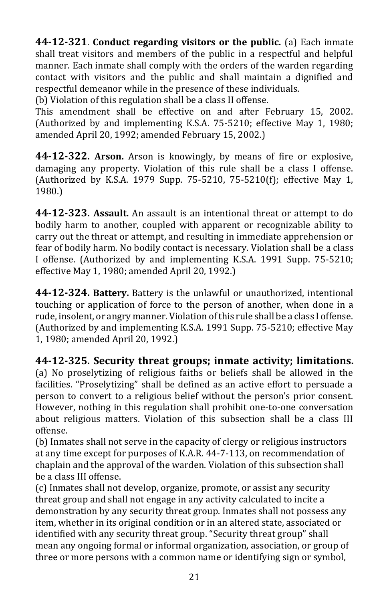**44-12-321**. **Conduct regarding visitors or the public.** (a) Each inmate shall treat visitors and members of the public in a respectful and helpful manner. Each inmate shall comply with the orders of the warden regarding contact with visitors and the public and shall maintain a dignified and respectful demeanor while in the presence of these individuals.

(b) Violation of this regulation shall be a class II offense.

This amendment shall be effective on and after February 15, 2002. (Authorized by and implementing K.S.A. 75-5210; effective May 1, 1980; amended April 20, 1992; amended February 15, 2002.)

**44-12-322. Arson.** Arson is knowingly, by means of fire or explosive, damaging any property. Violation of this rule shall be a class I offense. (Authorized by K.S.A. 1979 Supp. 75-5210, 75-5210(f); effective May 1, 1980.)

**44-12-323. Assault.** An assault is an intentional threat or attempt to do bodily harm to another, coupled with apparent or recognizable ability to carry out the threat or attempt, and resulting in immediate apprehension or fear of bodily harm. No bodily contact is necessary. Violation shall be a class I offense. (Authorized by and implementing K.S.A. 1991 Supp. 75-5210; effective May 1, 1980; amended April 20, 1992.)

**44-12-324. Battery.** Battery is the unlawful or unauthorized, intentional touching or application of force to the person of another, when done in a rude, insolent, or angry manner. Violation of this rule shall be a class I offense. (Authorized by and implementing K.S.A. 1991 Supp. 75-5210; effective May 1, 1980; amended April 20, 1992.)

**44-12-325. Security threat groups; inmate activity; limitations.**  (a) No proselytizing of religious faiths or beliefs shall be allowed in the facilities. "Proselytizing" shall be defined as an active effort to persuade a person to convert to a religious belief without the person's prior consent. However, nothing in this regulation shall prohibit one-to-one conversation about religious matters. Violation of this subsection shall be a class III offense.

(b) Inmates shall not serve in the capacity of clergy or religious instructors at any time except for purposes of K.A.R. 44-7-113, on recommendation of chaplain and the approval of the warden. Violation of this subsection shall be a class III offense.

(c) Inmates shall not develop, organize, promote, or assist any security threat group and shall not engage in any activity calculated to incite a demonstration by any security threat group. Inmates shall not possess any item, whether in its original condition or in an altered state, associated or identified with any security threat group. "Security threat group" shall mean any ongoing formal or informal organization, association, or group of three or more persons with a common name or identifying sign or symbol,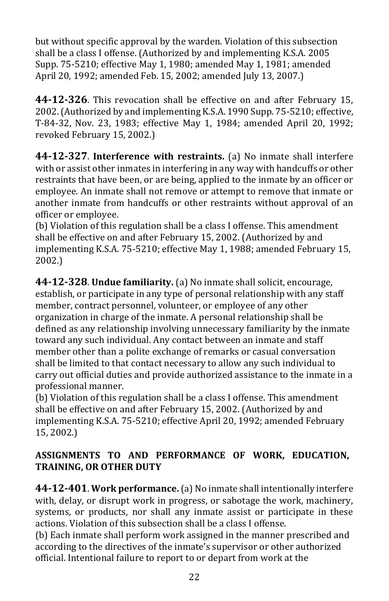but without specific approval by the warden. Violation of this subsection shall be a class I offense. (Authorized by and implementing K.S.A. 2005 Supp. 75-5210; effective May 1, 1980; amended May 1, 1981; amended April 20, 1992; amended Feb. 15, 2002; amended July 13, 2007.)

**44-12-326**. This revocation shall be effective on and after February 15, 2002. (Authorized by and implementing K.S.A. 1990 Supp. 75-5210; effective, T-84-32, Nov. 23, 1983; effective May 1, 1984; amended April 20, 1992; revoked February 15, 2002.)

**44-12-327**. **Interference with restraints.** (a) No inmate shall interfere with or assist other inmates in interfering in any way with handcuffs or other restraints that have been, or are being, applied to the inmate by an officer or employee. An inmate shall not remove or attempt to remove that inmate or another inmate from handcuffs or other restraints without approval of an officer or employee.

(b) Violation of this regulation shall be a class I offense. This amendment shall be effective on and after February 15, 2002. (Authorized by and implementing K.S.A. 75-5210; effective May 1, 1988; amended February 15, 2002.)

**44-12-328**. **Undue familiarity.** (a) No inmate shall solicit, encourage, establish, or participate in any type of personal relationship with any staff member, contract personnel, volunteer, or employee of any other organization in charge of the inmate. A personal relationship shall be defined as any relationship involving unnecessary familiarity by the inmate toward any such individual. Any contact between an inmate and staff member other than a polite exchange of remarks or casual conversation shall be limited to that contact necessary to allow any such individual to carry out official duties and provide authorized assistance to the inmate in a professional manner.

(b) Violation of this regulation shall be a class I offense. This amendment shall be effective on and after February 15, 2002. (Authorized by and implementing K.S.A. 75-5210; effective April 20, 1992; amended February 15, 2002.)

# **ASSIGNMENTS TO AND PERFORMANCE OF WORK, EDUCATION, TRAINING, OR OTHER DUTY**

**44-12-401**. **Work performance.**(a) No inmate shall intentionally interfere with, delay, or disrupt work in progress, or sabotage the work, machinery, systems, or products, nor shall any inmate assist or participate in these actions. Violation of this subsection shall be a class I offense.

(b) Each inmate shall perform work assigned in the manner prescribed and according to the directives of the inmate's supervisor or other authorized official. Intentional failure to report to or depart from work at the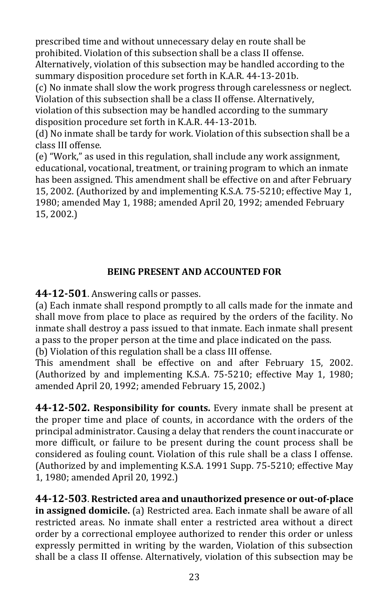prescribed time and without unnecessary delay en route shall be prohibited. Violation of this subsection shall be a class II offense. Alternatively, violation of this subsection may be handled according to the summary disposition procedure set forth in K.A.R. 44-13-201b. (c) No inmate shall slow the work progress through carelessness or neglect.

Violation of this subsection shall be a class II offense. Alternatively, violation of this subsection may be handled according to the summary disposition procedure set forth in K.A.R. 44-13-201b.

(d) No inmate shall be tardy for work. Violation of this subsection shall be a class III offense.

(e) "Work," as used in this regulation, shall include any work assignment, educational, vocational, treatment, or training program to which an inmate has been assigned. This amendment shall be effective on and after February 15, 2002. (Authorized by and implementing K.S.A. 75-5210; effective May 1, 1980; amended May 1, 1988; amended April 20, 1992; amended February 15, 2002.)

# **BEING PRESENT AND ACCOUNTED FOR**

**44-12-501**. Answering calls or passes.

(a) Each inmate shall respond promptly to all calls made for the inmate and shall move from place to place as required by the orders of the facility. No inmate shall destroy a pass issued to that inmate. Each inmate shall present a pass to the proper person at the time and place indicated on the pass.

(b) Violation of this regulation shall be a class III offense.

This amendment shall be effective on and after February 15, 2002. (Authorized by and implementing K.S.A. 75-5210; effective May 1, 1980; amended April 20, 1992; amended February 15, 2002.)

**44-12-502. Responsibility for counts.** Every inmate shall be present at the proper time and place of counts, in accordance with the orders of the principal administrator. Causing a delay that renders the count inaccurate or more difficult, or failure to be present during the count process shall be considered as fouling count. Violation of this rule shall be a class I offense. (Authorized by and implementing K.S.A. 1991 Supp. 75-5210; effective May 1, 1980; amended April 20, 1992.)

**44-12-503**. **Restricted area and unauthorized presence or out-of-place in assigned domicile.** (a) Restricted area. Each inmate shall be aware of all restricted areas. No inmate shall enter a restricted area without a direct order by a correctional employee authorized to render this order or unless expressly permitted in writing by the warden, Violation of this subsection shall be a class II offense. Alternatively, violation of this subsection may be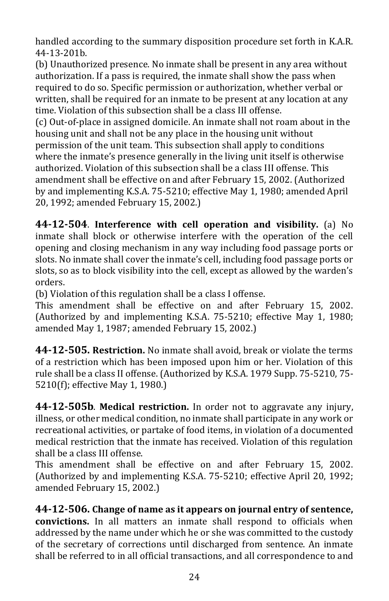handled according to the summary disposition procedure set forth in K.A.R. 44-13-201b.

(b) Unauthorized presence. No inmate shall be present in any area without authorization. If a pass is required, the inmate shall show the pass when required to do so. Specific permission or authorization, whether verbal or written, shall be required for an inmate to be present at any location at any time. Violation of this subsection shall be a class III offense.

(c) Out-of-place in assigned domicile. An inmate shall not roam about in the housing unit and shall not be any place in the housing unit without permission of the unit team. This subsection shall apply to conditions where the inmate's presence generally in the living unit itself is otherwise authorized. Violation of this subsection shall be a class III offense. This amendment shall be effective on and after February 15, 2002. (Authorized by and implementing K.S.A. 75-5210; effective May 1, 1980; amended April 20, 1992; amended February 15, 2002.)

**44-12-504**. **Interference with cell operation and visibility.** (a) No inmate shall block or otherwise interfere with the operation of the cell opening and closing mechanism in any way including food passage ports or slots. No inmate shall cover the inmate's cell, including food passage ports or slots, so as to block visibility into the cell, except as allowed by the warden's orders.

(b) Violation of this regulation shall be a class I offense.

This amendment shall be effective on and after February 15, 2002. (Authorized by and implementing K.S.A. 75-5210; effective May 1, 1980; amended May 1, 1987; amended February 15, 2002.)

**44-12-505. Restriction.** No inmate shall avoid, break or violate the terms of a restriction which has been imposed upon him or her. Violation of this rule shall be a class II offense. (Authorized by K.S.A. 1979 Supp. 75-5210, 75- 5210(f); effective May 1, 1980.)

**44-12-505b**. **Medical restriction.** In order not to aggravate any injury, illness, or other medical condition, no inmate shall participate in any work or recreational activities, or partake of food items, in violation of a documented medical restriction that the inmate has received. Violation of this regulation shall be a class III offense.

This amendment shall be effective on and after February 15, 2002. (Authorized by and implementing K.S.A. 75-5210; effective April 20, 1992; amended February 15, 2002.)

**44-12-506. Change of name as it appears on journal entry of sentence, convictions.** In all matters an inmate shall respond to officials when addressed by the name under which he or she was committed to the custody of the secretary of corrections until discharged from sentence. An inmate shall be referred to in all official transactions, and all correspondence to and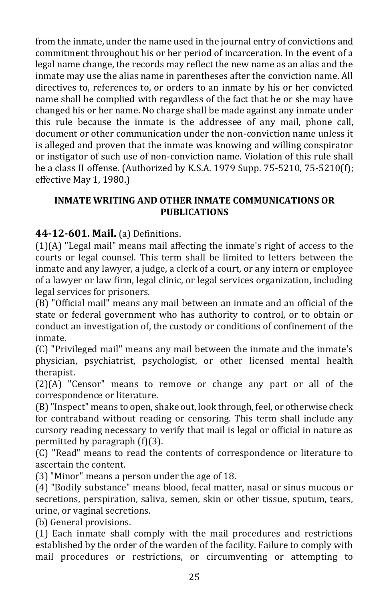from the inmate, under the name used in the journal entry of convictions and commitment throughout his or her period of incarceration. In the event of a legal name change, the records may reflect the new name as an alias and the inmate may use the alias name in parentheses after the conviction name. All directives to, references to, or orders to an inmate by his or her convicted name shall be complied with regardless of the fact that he or she may have changed his or her name. No charge shall be made against any inmate under this rule because the inmate is the addressee of any mail, phone call, document or other communication under the non-conviction name unless it is alleged and proven that the inmate was knowing and willing conspirator or instigator of such use of non-conviction name. Violation of this rule shall be a class II offense. (Authorized by K.S.A. 1979 Supp. 75-5210, 75-5210(f); effective May 1, 1980.)

## **INMATE WRITING AND OTHER INMATE COMMUNICATIONS OR PUBLICATIONS**

# **44-12-601. Mail.** (a) Definitions.

(1)(A) "Legal mail" means mail affecting the inmate's right of access to the courts or legal counsel. This term shall be limited to letters between the inmate and any lawyer, a judge, a clerk of a court, or any intern or employee of a lawyer or law firm, legal clinic, or legal services organization, including legal services for prisoners.

(B) "Official mail" means any mail between an inmate and an official of the state or federal government who has authority to control, or to obtain or conduct an investigation of, the custody or conditions of confinement of the inmate.

(C) "Privileged mail" means any mail between the inmate and the inmate's physician, psychiatrist, psychologist, or other licensed mental health therapist.

(2)(A) "Censor" means to remove or change any part or all of the correspondence or literature.

(B) "Inspect" means to open, shake out, look through, feel, or otherwise check for contraband without reading or censoring. This term shall include any cursory reading necessary to verify that mail is legal or official in nature as permitted by paragraph (f)(3).

(C) "Read" means to read the contents of correspondence or literature to ascertain the content.

(3) "Minor" means a person under the age of 18.

(4) "Bodily substance" means blood, fecal matter, nasal or sinus mucous or secretions, perspiration, saliva, semen, skin or other tissue, sputum, tears, urine, or vaginal secretions.

(b) General provisions.

(1) Each inmate shall comply with the mail procedures and restrictions established by the order of the warden of the facility. Failure to comply with mail procedures or restrictions, or circumventing or attempting to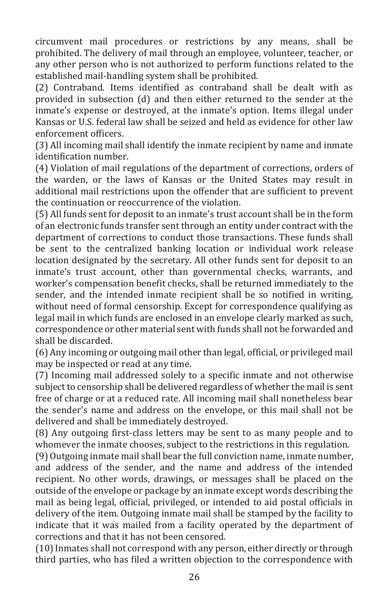circumvent mail procedures or restrictions by any means, shall be prohibited. The delivery of mail through an employee, volunteer, teacher, or any other person who is not authorized to perform functions related to the established mail-handling system shall be prohibited.

(2) Contraband. Items identified as contraband shall be dealt with as provided in subsection (d) and then either returned to the sender at the inmate's expense or destroyed, at the inmate's option. Items illegal under Kansas or U.S. federal law shall be seized and held as evidence for other law enforcement officers.

(3) All incoming mail shall identify the inmate recipient by name and inmate identification number.

(4) Violation of mail regulations of the department of corrections, orders of the warden, or the laws of Kansas or the United States may result in additional mail restrictions upon the offender that are sufficient to prevent the continuation or reoccurrence of the violation.

(5) All funds sent for deposit to an inmate's trust account shall be in the form of an electronic funds transfer sent through an entity under contract with the department of corrections to conduct those transactions. These funds shall be sent to the centralized banking location or individual work release location designated by the secretary. All other funds sent for deposit to an inmate's trust account, other than governmental checks, warrants, and worker's compensation benefit checks, shall be returned immediately to the sender, and the intended inmate recipient shall be so notified in writing, without need of formal censorship. Except for correspondence qualifying as legal mail in which funds are enclosed in an envelope clearly marked as such, correspondence or other material sent with funds shall not be forwarded and shall be discarded.

(6) Any incoming or outgoing mail other than legal, official, or privileged mail may be inspected or read at any time.

(7) Incoming mail addressed solely to a specific inmate and not otherwise subject to censorship shall be delivered regardless of whether the mail is sent free of charge or at a reduced rate. All incoming mail shall nonetheless bear the sender's name and address on the envelope, or this mail shall not be delivered and shall be immediately destroyed.

(8) Any outgoing first-class letters may be sent to as many people and to whomever the inmate chooses, subject to the restrictions in this regulation.

(9) Outgoing inmate mail shall bear the full conviction name, inmate number, and address of the sender, and the name and address of the intended recipient. No other words, drawings, or messages shall be placed on the outside of the envelope or package by an inmate except words describing the mail as being legal, official, privileged, or intended to aid postal officials in delivery of the item. Outgoing inmate mail shall be stamped by the facility to indicate that it was mailed from a facility operated by the department of corrections and that it has not been censored.

(10) Inmates shall not correspond with any person, either directly or through third parties, who has filed a written objection to the correspondence with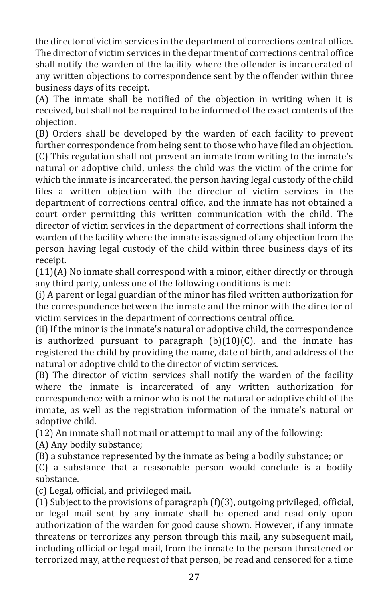the director of victim services in the department of corrections central office. The director of victim services in the department of corrections central office shall notify the warden of the facility where the offender is incarcerated of any written objections to correspondence sent by the offender within three business days of its receipt.

(A) The inmate shall be notified of the objection in writing when it is received, but shall not be required to be informed of the exact contents of the objection.

(B) Orders shall be developed by the warden of each facility to prevent further correspondence from being sent to those who have filed an objection. (C) This regulation shall not prevent an inmate from writing to the inmate's natural or adoptive child, unless the child was the victim of the crime for which the inmate is incarcerated, the person having legal custody of the child files a written objection with the director of victim services in the department of corrections central office, and the inmate has not obtained a court order permitting this written communication with the child. The director of victim services in the department of corrections shall inform the warden of the facility where the inmate is assigned of any objection from the person having legal custody of the child within three business days of its receipt.

(11)(A) No inmate shall correspond with a minor, either directly or through any third party, unless one of the following conditions is met:

(i) A parent or legal guardian of the minor has filed written authorization for the correspondence between the inmate and the minor with the director of victim services in the department of corrections central office.

(ii) If the minor is the inmate's natural or adoptive child, the correspondence is authorized pursuant to paragraph  $(b)(10)(C)$ , and the inmate has registered the child by providing the name, date of birth, and address of the natural or adoptive child to the director of victim services.

(B) The director of victim services shall notify the warden of the facility where the inmate is incarcerated of any written authorization for correspondence with a minor who is not the natural or adoptive child of the inmate, as well as the registration information of the inmate's natural or adoptive child.

(12) An inmate shall not mail or attempt to mail any of the following:

(A) Any bodily substance;

(B) a substance represented by the inmate as being a bodily substance; or

(C) a substance that a reasonable person would conclude is a bodily substance.

(c) Legal, official, and privileged mail.

(1) Subject to the provisions of paragraph (f)(3), outgoing privileged, official, or legal mail sent by any inmate shall be opened and read only upon authorization of the warden for good cause shown. However, if any inmate threatens or terrorizes any person through this mail, any subsequent mail, including official or legal mail, from the inmate to the person threatened or terrorized may, at the request of that person, be read and censored for a time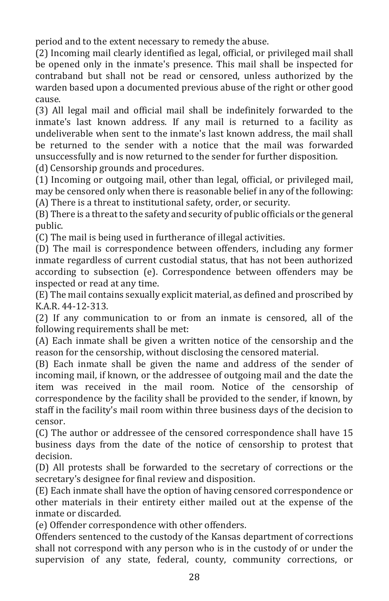period and to the extent necessary to remedy the abuse.

(2) Incoming mail clearly identified as legal, official, or privileged mail shall be opened only in the inmate's presence. This mail shall be inspected for contraband but shall not be read or censored, unless authorized by the warden based upon a documented previous abuse of the right or other good cause.

(3) All legal mail and official mail shall be indefinitely forwarded to the inmate's last known address. If any mail is returned to a facility as undeliverable when sent to the inmate's last known address, the mail shall be returned to the sender with a notice that the mail was forwarded unsuccessfully and is now returned to the sender for further disposition.

(d) Censorship grounds and procedures.

(1) Incoming or outgoing mail, other than legal, official, or privileged mail, may be censored only when there is reasonable belief in any of the following: (A) There is a threat to institutional safety, order, or security.

(B) There is a threat to the safety and security of public officials or the general public.

(C) The mail is being used in furtherance of illegal activities.

(D) The mail is correspondence between offenders, including any former inmate regardless of current custodial status, that has not been authorized according to subsection (e). Correspondence between offenders may be inspected or read at any time.

(E) The mail contains sexually explicit material, as defined and proscribed by K.A.R. 44-12-313.

(2) If any communication to or from an inmate is censored, all of the following requirements shall be met:

(A) Each inmate shall be given a written notice of the censorship and the reason for the censorship, without disclosing the censored material.

(B) Each inmate shall be given the name and address of the sender of incoming mail, if known, or the addressee of outgoing mail and the date the item was received in the mail room. Notice of the censorship of correspondence by the facility shall be provided to the sender, if known, by staff in the facility's mail room within three business days of the decision to censor.

(C) The author or addressee of the censored correspondence shall have 15 business days from the date of the notice of censorship to protest that decision.

(D) All protests shall be forwarded to the secretary of corrections or the secretary's designee for final review and disposition.

(E) Each inmate shall have the option of having censored correspondence or other materials in their entirety either mailed out at the expense of the inmate or discarded.

(e) Offender correspondence with other offenders.

Offenders sentenced to the custody of the Kansas department of corrections shall not correspond with any person who is in the custody of or under the supervision of any state, federal, county, community corrections, or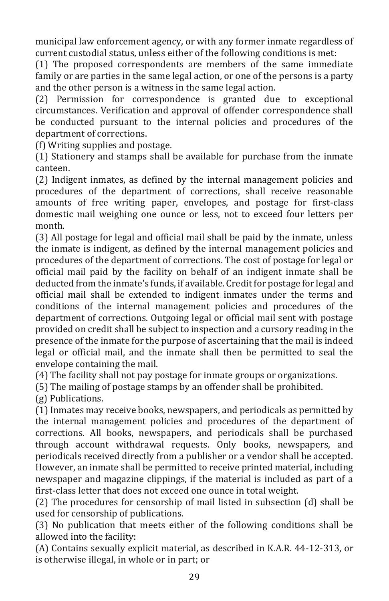municipal law enforcement agency, or with any former inmate regardless of current custodial status, unless either of the following conditions is met:

(1) The proposed correspondents are members of the same immediate family or are parties in the same legal action, or one of the persons is a party and the other person is a witness in the same legal action.

(2) Permission for correspondence is granted due to exceptional circumstances. Verification and approval of offender correspondence shall be conducted pursuant to the internal policies and procedures of the department of corrections.

(f) Writing supplies and postage.

(1) Stationery and stamps shall be available for purchase from the inmate canteen.

(2) Indigent inmates, as defined by the internal management policies and procedures of the department of corrections, shall receive reasonable amounts of free writing paper, envelopes, and postage for first-class domestic mail weighing one ounce or less, not to exceed four letters per month.

(3) All postage for legal and official mail shall be paid by the inmate, unless the inmate is indigent, as defined by the internal management policies and procedures of the department of corrections. The cost of postage for legal or official mail paid by the facility on behalf of an indigent inmate shall be deducted from the inmate's funds, if available. Credit for postage for legal and official mail shall be extended to indigent inmates under the terms and conditions of the internal management policies and procedures of the department of corrections. Outgoing legal or official mail sent with postage provided on credit shall be subject to inspection and a cursory reading in the presence of the inmate for the purpose of ascertaining that the mail is indeed legal or official mail, and the inmate shall then be permitted to seal the envelope containing the mail.

(4) The facility shall not pay postage for inmate groups or organizations.

(5) The mailing of postage stamps by an offender shall be prohibited.

(g) Publications.

(1) Inmates may receive books, newspapers, and periodicals as permitted by the internal management policies and procedures of the department of corrections. All books, newspapers, and periodicals shall be purchased through account withdrawal requests. Only books, newspapers, and periodicals received directly from a publisher or a vendor shall be accepted. However, an inmate shall be permitted to receive printed material, including newspaper and magazine clippings, if the material is included as part of a first-class letter that does not exceed one ounce in total weight.

(2) The procedures for censorship of mail listed in subsection (d) shall be used for censorship of publications.

(3) No publication that meets either of the following conditions shall be allowed into the facility:

(A) Contains sexually explicit material, as described in K.A.R. 44-12-313, or is otherwise illegal, in whole or in part; or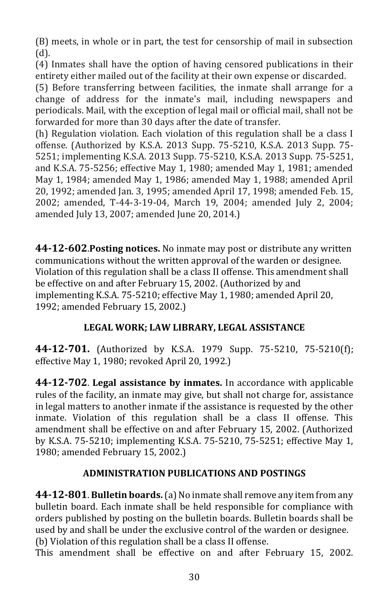(B) meets, in whole or in part, the test for censorship of mail in subsection (d).

(4) Inmates shall have the option of having censored publications in their entirety either mailed out of the facility at their own expense or discarded.

(5) Before transferring between facilities, the inmate shall arrange for a change of address for the inmate's mail, including newspapers and periodicals. Mail, with the exception of legal mail or official mail, shall not be forwarded for more than 30 days after the date of transfer.

(h) Regulation violation. Each violation of this regulation shall be a class I offense. (Authorized by K.S.A. 2013 Supp. 75-5210, K.S.A. 2013 Supp. 75- 5251; implementing K.S.A. 2013 Supp. 75-5210, K.S.A. 2013 Supp. 75-5251, and K.S.A. 75-5256; effective May 1, 1980; amended May 1, 1981; amended May 1, 1984; amended May 1, 1986; amended May 1, 1988; amended April 20, 1992; amended Jan. 3, 1995; amended April 17, 1998; amended Feb. 15, 2002; amended, T-44-3-19-04, March 19, 2004; amended July 2, 2004; amended July 13, 2007; amended June 20, 2014.)

**44-12-602**.**Posting notices.** No inmate may post or distribute any written communications without the written approval of the warden or designee. Violation of this regulation shall be a class II offense. This amendment shall be effective on and after February 15, 2002. (Authorized by and implementing K.S.A. 75-5210; effective May 1, 1980; amended April 20, 1992; amended February 15, 2002.)

## **LEGAL WORK; LAW LIBRARY, LEGAL ASSISTANCE**

**44-12-701.** (Authorized by K.S.A. 1979 Supp. 75-5210, 75-5210(f); effective May 1, 1980; revoked April 20, 1992.)

**44-12-702**. **Legal assistance by inmates.** In accordance with applicable rules of the facility, an inmate may give, but shall not charge for, assistance in legal matters to another inmate if the assistance is requested by the other inmate. Violation of this regulation shall be a class II offense. This amendment shall be effective on and after February 15, 2002. (Authorized by K.S.A. 75-5210; implementing K.S.A. 75-5210, 75-5251; effective May 1, 1980; amended February 15, 2002.)

## **ADMINISTRATION PUBLICATIONS AND POSTINGS**

**44-12-801**. **Bulletin boards.**(a) No inmate shall remove any item from any bulletin board. Each inmate shall be held responsible for compliance with orders published by posting on the bulletin boards. Bulletin boards shall be used by and shall be under the exclusive control of the warden or designee. (b) Violation of this regulation shall be a class II offense.

This amendment shall be effective on and after February 15, 2002.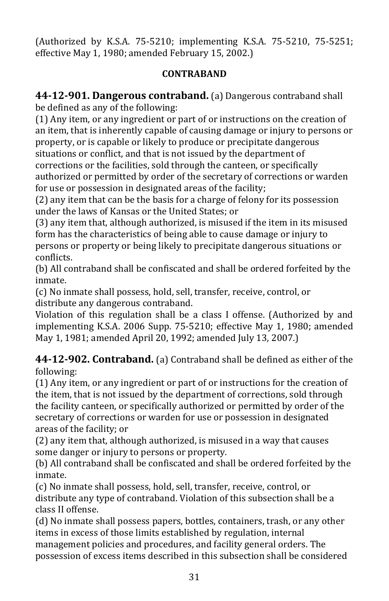(Authorized by K.S.A. 75-5210; implementing K.S.A. 75-5210, 75-5251; effective May 1, 1980; amended February 15, 2002.)

# **CONTRABAND**

**44-12-901. Dangerous contraband.** (a) Dangerous contraband shall be defined as any of the following:

(1) Any item, or any ingredient or part of or instructions on the creation of an item, that is inherently capable of causing damage or injury to persons or property, or is capable or likely to produce or precipitate dangerous situations or conflict, and that is not issued by the department of corrections or the facilities, sold through the canteen, or specifically authorized or permitted by order of the secretary of corrections or warden for use or possession in designated areas of the facility;

(2) any item that can be the basis for a charge of felony for its possession under the laws of Kansas or the United States; or

(3) any item that, although authorized, is misused if the item in its misused form has the characteristics of being able to cause damage or injury to persons or property or being likely to precipitate dangerous situations or conflicts.

(b) All contraband shall be confiscated and shall be ordered forfeited by the inmate.

(c) No inmate shall possess, hold, sell, transfer, receive, control, or distribute any dangerous contraband.

Violation of this regulation shall be a class I offense. (Authorized by and implementing K.S.A. 2006 Supp*.* 75-5210; effective May 1, 1980; amended May 1, 1981; amended April 20, 1992; amended July 13, 2007.)

**44-12-902. Contraband.** (a) Contraband shall be defined as either of the following:

(1) Any item, or any ingredient or part of or instructions for the creation of the item, that is not issued by the department of corrections, sold through the facility canteen, or specifically authorized or permitted by order of the secretary of corrections or warden for use or possession in designated areas of the facility; or

(2) any item that, although authorized, is misused in a way that causes some danger or injury to persons or property.

(b) All contraband shall be confiscated and shall be ordered forfeited by the inmate.

(c) No inmate shall possess, hold, sell, transfer, receive, control, or distribute any type of contraband. Violation of this subsection shall be a class II offense.

(d) No inmate shall possess papers, bottles, containers, trash, or any other items in excess of those limits established by regulation, internal management policies and procedures, and facility general orders. The possession of excess items described in this subsection shall be considered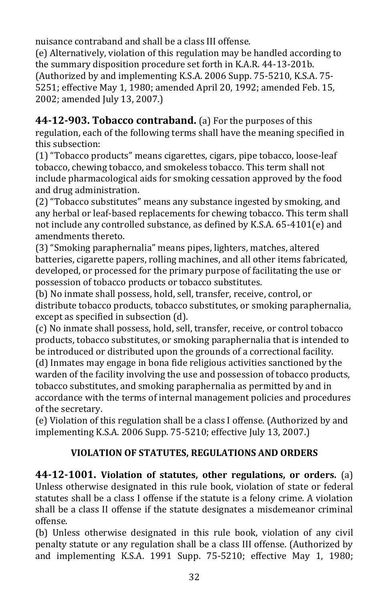nuisance contraband and shall be a class III offense.

(e) Alternatively, violation of this regulation may be handled according to the summary disposition procedure set forth in K.A.R. 44-13-201b. (Authorized by and implementing K.S.A. 2006 Supp. 75-5210, K.S.A. 75- 5251; effective May 1, 1980; amended April 20, 1992; amended Feb. 15, 2002; amended July 13, 2007.)

**44-12-903. Tobacco contraband.** (a) For the purposes of this regulation, each of the following terms shall have the meaning specified in this subsection:

(1) "Tobacco products" means cigarettes, cigars, pipe tobacco, loose-leaf tobacco, chewing tobacco, and smokeless tobacco. This term shall not include pharmacological aids for smoking cessation approved by the food and drug administration.

(2) "Tobacco substitutes" means any substance ingested by smoking, and any herbal or leaf-based replacements for chewing tobacco. This term shall not include any controlled substance, as defined by K.S.A. 65-4101(e) and amendments thereto.

(3) "Smoking paraphernalia" means pipes, lighters, matches, altered batteries, cigarette papers, rolling machines, and all other items fabricated, developed, or processed for the primary purpose of facilitating the use or possession of tobacco products or tobacco substitutes.

(b) No inmate shall possess, hold, sell, transfer, receive, control, or distribute tobacco products, tobacco substitutes, or smoking paraphernalia, except as specified in subsection (d).

(c) No inmate shall possess, hold, sell, transfer, receive, or control tobacco products, tobacco substitutes, or smoking paraphernalia that is intended to be introduced or distributed upon the grounds of a correctional facility.

(d) Inmates may engage in bona fide religious activities sanctioned by the warden of the facility involving the use and possession of tobacco products, tobacco substitutes, and smoking paraphernalia as permitted by and in accordance with the terms of internal management policies and procedures of the secretary.

(e) Violation of this regulation shall be a class I offense. (Authorized by and implementing K.S.A. 2006 Supp. 75-5210; effective July 13, 2007.)

# **VIOLATION OF STATUTES, REGULATIONS AND ORDERS**

**44-12-1001. Violation of statutes, other regulations, or orders.** (a) Unless otherwise designated in this rule book, violation of state or federal statutes shall be a class I offense if the statute is a felony crime. A violation shall be a class II offense if the statute designates a misdemeanor criminal offense.

(b) Unless otherwise designated in this rule book, violation of any civil penalty statute or any regulation shall be a class III offense. (Authorized by and implementing K.S.A. 1991 Supp. 75-5210; effective May 1, 1980;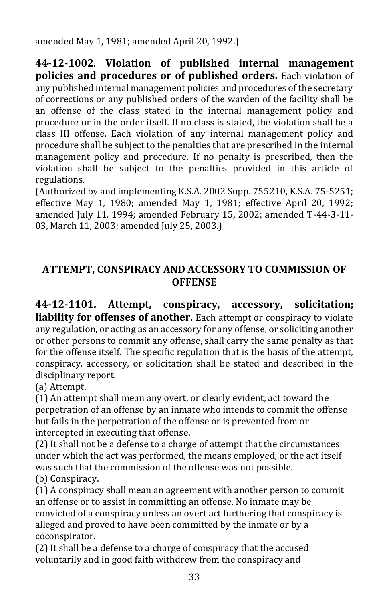amended May 1, 1981; amended April 20, 1992.)

**44-12-1002**. **Violation of published internal management policies and procedures or of published orders.** Each violation of any published internal management policies and procedures of the secretary of corrections or any published orders of the warden of the facility shall be an offense of the class stated in the internal management policy and procedure or in the order itself. If no class is stated, the violation shall be a class III offense. Each violation of any internal management policy and procedure shall be subject to the penalties that are prescribed in the internal management policy and procedure. If no penalty is prescribed, then the violation shall be subject to the penalties provided in this article of regulations.

(Authorized by and implementing K.S.A. 2002 Supp. 755210, K.S.A. 75-5251; effective May 1, 1980; amended May 1, 1981; effective April 20, 1992; amended July 11, 1994; amended February 15, 2002; amended T-44-3-11- 03, March 11, 2003; amended July 25, 2003.)

# **ATTEMPT, CONSPIRACY AND ACCESSORY TO COMMISSION OF OFFENSE**

**44-12-1101. Attempt, conspiracy, accessory, solicitation; liability for offenses of another.** Each attempt or conspiracy to violate any regulation, or acting as an accessory for any offense, or soliciting another or other persons to commit any offense, shall carry the same penalty as that for the offense itself. The specific regulation that is the basis of the attempt, conspiracy, accessory, or solicitation shall be stated and described in the disciplinary report.

(a) Attempt.

(1) An attempt shall mean any overt, or clearly evident, act toward the perpetration of an offense by an inmate who intends to commit the offense but fails in the perpetration of the offense or is prevented from or intercepted in executing that offense.

(2) It shall not be a defense to a charge of attempt that the circumstances under which the act was performed, the means employed, or the act itself was such that the commission of the offense was not possible. (b) Conspiracy.

(1) A conspiracy shall mean an agreement with another person to commit an offense or to assist in committing an offense. No inmate may be convicted of a conspiracy unless an overt act furthering that conspiracy is alleged and proved to have been committed by the inmate or by a coconspirator.

(2) It shall be a defense to a charge of conspiracy that the accused voluntarily and in good faith withdrew from the conspiracy and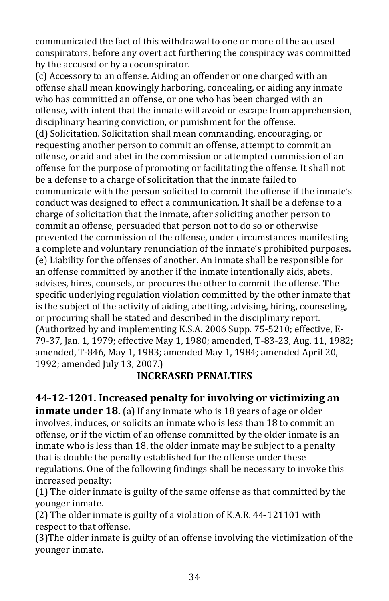communicated the fact of this withdrawal to one or more of the accused conspirators, before any overt act furthering the conspiracy was committed by the accused or by a coconspirator.

(c) Accessory to an offense. Aiding an offender or one charged with an offense shall mean knowingly harboring, concealing, or aiding any inmate who has committed an offense, or one who has been charged with an offense, with intent that the inmate will avoid or escape from apprehension, disciplinary hearing conviction, or punishment for the offense. (d) Solicitation. Solicitation shall mean commanding, encouraging, or requesting another person to commit an offense, attempt to commit an offense, or aid and abet in the commission or attempted commission of an offense for the purpose of promoting or facilitating the offense. It shall not be a defense to a charge of solicitation that the inmate failed to communicate with the person solicited to commit the offense if the inmate's conduct was designed to effect a communication. It shall be a defense to a charge of solicitation that the inmate, after soliciting another person to commit an offense, persuaded that person not to do so or otherwise prevented the commission of the offense, under circumstances manifesting a complete and voluntary renunciation of the inmate's prohibited purposes. (e) Liability for the offenses of another. An inmate shall be responsible for an offense committed by another if the inmate intentionally aids, abets, advises, hires, counsels, or procures the other to commit the offense. The specific underlying regulation violation committed by the other inmate that is the subject of the activity of aiding, abetting, advising, hiring, counseling, or procuring shall be stated and described in the disciplinary report. (Authorized by and implementing K.S.A. 2006 Supp. 75-5210; effective, E-79-37, Jan. 1, 1979; effective May 1, 1980; amended, T-83-23, Aug. 11, 1982; amended, T-846, May 1, 1983; amended May 1, 1984; amended April 20, 1992; amended July 13, 2007.)

# **INCREASED PENALTIES**

# **44-12-1201. Increased penalty for involving or victimizing an**

**inmate under 18.** (a) If any inmate who is 18 years of age or older involves, induces, or solicits an inmate who is less than 18 to commit an offense, or if the victim of an offense committed by the older inmate is an inmate who is less than 18, the older inmate may be subject to a penalty that is double the penalty established for the offense under these regulations. One of the following findings shall be necessary to invoke this increased penalty:

(1) The older inmate is guilty of the same offense as that committed by the younger inmate.

(2) The older inmate is guilty of a violation of K.A.R. 44-121101 with respect to that offense.

(3)The older inmate is guilty of an offense involving the victimization of the younger inmate.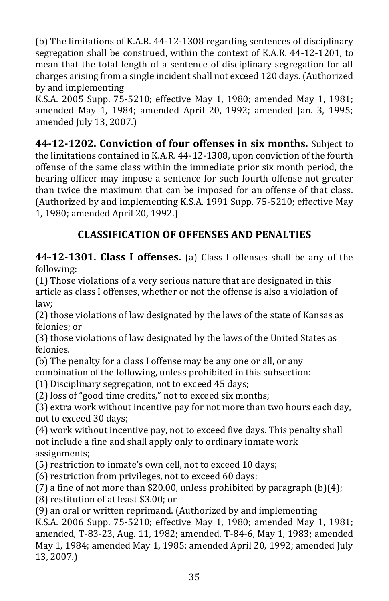(b) The limitations of K.A.R. 44-12-1308 regarding sentences of disciplinary segregation shall be construed, within the context of K.A.R. 44-12-1201, to mean that the total length of a sentence of disciplinary segregation for all charges arising from a single incident shall not exceed 120 days. (Authorized by and implementing

K.S.A. 2005 Supp. 75-5210; effective May 1, 1980; amended May 1, 1981; amended May 1, 1984; amended April 20, 1992; amended Jan. 3, 1995; amended July 13, 2007.)

**44-12-1202. Conviction of four offenses in six months.** Subject to the limitations contained in K.A.R. 44-12-1308, upon conviction of the fourth offense of the same class within the immediate prior six month period, the hearing officer may impose a sentence for such fourth offense not greater than twice the maximum that can be imposed for an offense of that class. (Authorized by and implementing K.S.A. 1991 Supp. 75-5210; effective May 1, 1980; amended April 20, 1992.)

# **CLASSIFICATION OF OFFENSES AND PENALTIES**

**44-12-1301. Class I offenses.** (a) Class I offenses shall be any of the following:

(1) Those violations of a very serious nature that are designated in this article as class I offenses, whether or not the offense is also a violation of law;

(2) those violations of law designated by the laws of the state of Kansas as felonies; or

(3) those violations of law designated by the laws of the United States as felonies.

(b) The penalty for a class I offense may be any one or all, or any combination of the following, unless prohibited in this subsection:

(1) Disciplinary segregation, not to exceed 45 days;

(2) loss of "good time credits," not to exceed six months;

(3) extra work without incentive pay for not more than two hours each day, not to exceed 30 days;

(4) work without incentive pay, not to exceed five days. This penalty shall not include a fine and shall apply only to ordinary inmate work assignments;

(5) restriction to inmate's own cell, not to exceed 10 days;

(6) restriction from privileges, not to exceed 60 days;

(7) a fine of not more than \$20.00, unless prohibited by paragraph  $(b)(4)$ ;

(8) restitution of at least \$3.00; or

(9) an oral or written reprimand. (Authorized by and implementing

K.S.A. 2006 Supp. 75-5210; effective May 1, 1980; amended May 1, 1981; amended, T-83-23, Aug. 11, 1982; amended, T-84-6, May 1, 1983; amended May 1, 1984; amended May 1, 1985; amended April 20, 1992; amended July 13, 2007.)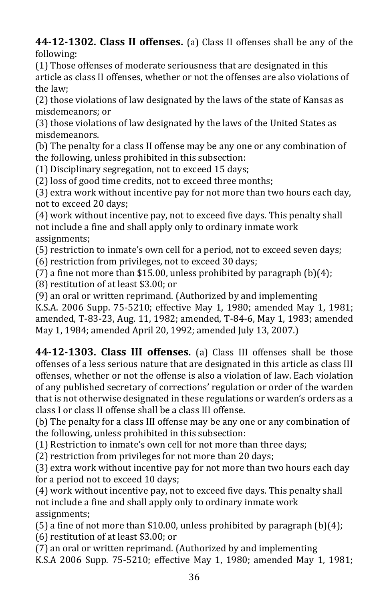**44-12-1302. Class II offenses.** (a) Class II offenses shall be any of the following:

(1) Those offenses of moderate seriousness that are designated in this article as class II offenses, whether or not the offenses are also violations of the law;

(2) those violations of law designated by the laws of the state of Kansas as misdemeanors; or

(3) those violations of law designated by the laws of the United States as misdemeanors.

(b) The penalty for a class II offense may be any one or any combination of the following, unless prohibited in this subsection:

(1) Disciplinary segregation, not to exceed 15 days;

(2) loss of good time credits, not to exceed three months;

(3) extra work without incentive pay for not more than two hours each day, not to exceed 20 days;

(4) work without incentive pay, not to exceed five days. This penalty shall not include a fine and shall apply only to ordinary inmate work assignments;

(5) restriction to inmate's own cell for a period, not to exceed seven days;

(6) restriction from privileges, not to exceed 30 days;

(7) a fine not more than \$15.00, unless prohibited by paragraph  $(b)(4)$ ;

(8) restitution of at least \$3.00; or

(9) an oral or written reprimand. (Authorized by and implementing

K.S.A. 2006 Supp. 75-5210; effective May 1, 1980; amended May 1, 1981; amended, T-83-23, Aug. 11, 1982; amended, T-84-6, May 1, 1983; amended May 1, 1984; amended April 20, 1992; amended July 13, 2007.)

**44-12-1303. Class III offenses.** (a) Class III offenses shall be those offenses of a less serious nature that are designated in this article as class III offenses, whether or not the offense is also a violation of law. Each violation of any published secretary of corrections' regulation or order of the warden that is not otherwise designated in these regulations or warden's orders as a class I or class II offense shall be a class III offense.

(b) The penalty for a class III offense may be any one or any combination of the following, unless prohibited in this subsection:

(1) Restriction to inmate's own cell for not more than three days;

(2) restriction from privileges for not more than 20 days;

(3) extra work without incentive pay for not more than two hours each day for a period not to exceed 10 days;

(4) work without incentive pay, not to exceed five days. This penalty shall not include a fine and shall apply only to ordinary inmate work assignments;

(5) a fine of not more than \$10.00, unless prohibited by paragraph  $(b)(4)$ ; (6) restitution of at least \$3.00; or

(7) an oral or written reprimand. (Authorized by and implementing K.S.A 2006 Supp*.* 75-5210; effective May 1, 1980; amended May 1, 1981;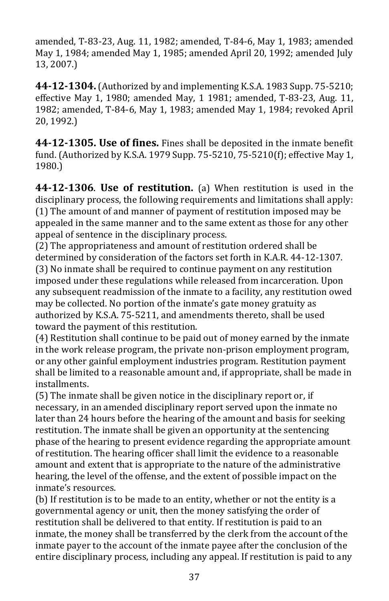amended, T-83-23, Aug. 11, 1982; amended, T-84-6, May 1, 1983; amended May 1, 1984; amended May 1, 1985; amended April 20, 1992; amended July 13, 2007.)

**44-12-1304.**(Authorized by and implementing K.S.A. 1983 Supp. 75-5210; effective May 1, 1980; amended May, 1 1981; amended, T-83-23, Aug. 11, 1982; amended, T-84-6, May 1, 1983; amended May 1, 1984; revoked April 20, 1992.)

**44-12-1305. Use of fines.** Fines shall be deposited in the inmate benefit fund. (Authorized by K.S.A. 1979 Supp. 75-5210, 75-5210(f); effective May 1, 1980.)

**44-12-1306**. **Use of restitution.** (a) When restitution is used in the disciplinary process, the following requirements and limitations shall apply: (1) The amount of and manner of payment of restitution imposed may be appealed in the same manner and to the same extent as those for any other appeal of sentence in the disciplinary process.

(2) The appropriateness and amount of restitution ordered shall be determined by consideration of the factors set forth in K.A.R. 44-12-1307. (3) No inmate shall be required to continue payment on any restitution imposed under these regulations while released from incarceration. Upon any subsequent readmission of the inmate to a facility, any restitution owed may be collected. No portion of the inmate's gate money gratuity as authorized by K.S.A. 75-5211, and amendments thereto, shall be used toward the payment of this restitution.

(4) Restitution shall continue to be paid out of money earned by the inmate in the work release program, the private non-prison employment program, or any other gainful employment industries program. Restitution payment shall be limited to a reasonable amount and, if appropriate, shall be made in installments.

(5) The inmate shall be given notice in the disciplinary report or, if necessary, in an amended disciplinary report served upon the inmate no later than 24 hours before the hearing of the amount and basis for seeking restitution. The inmate shall be given an opportunity at the sentencing phase of the hearing to present evidence regarding the appropriate amount of restitution. The hearing officer shall limit the evidence to a reasonable amount and extent that is appropriate to the nature of the administrative hearing, the level of the offense, and the extent of possible impact on the inmate's resources.

(b) If restitution is to be made to an entity, whether or not the entity is a governmental agency or unit, then the money satisfying the order of restitution shall be delivered to that entity. If restitution is paid to an inmate, the money shall be transferred by the clerk from the account of the inmate payer to the account of the inmate payee after the conclusion of the entire disciplinary process, including any appeal. If restitution is paid to any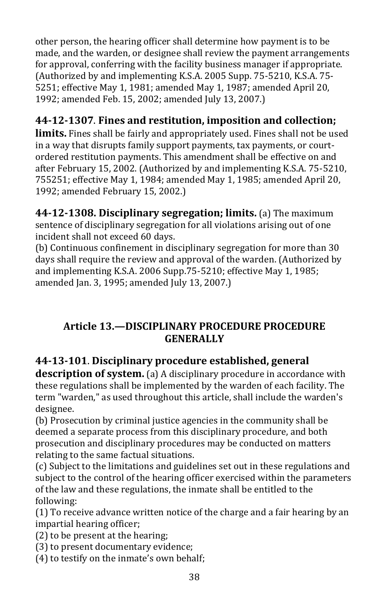other person, the hearing officer shall determine how payment is to be made, and the warden, or designee shall review the payment arrangements for approval, conferring with the facility business manager if appropriate. (Authorized by and implementing K.S.A. 2005 Supp. 75-5210, K.S.A. 75- 5251; effective May 1, 1981; amended May 1, 1987; amended April 20, 1992; amended Feb. 15, 2002; amended July 13, 2007.)

# **44-12-1307**. **Fines and restitution, imposition and collection;**

**limits.** Fines shall be fairly and appropriately used. Fines shall not be used in a way that disrupts family support payments, tax payments, or courtordered restitution payments. This amendment shall be effective on and after February 15, 2002. (Authorized by and implementing K.S.A. 75-5210, 755251; effective May 1, 1984; amended May 1, 1985; amended April 20, 1992; amended February 15, 2002.)

**44-12-1308. Disciplinary segregation; limits.** (a) The maximum sentence of disciplinary segregation for all violations arising out of one incident shall not exceed 60 days.

(b) Continuous confinement in disciplinary segregation for more than 30 days shall require the review and approval of the warden. (Authorized by and implementing K.S.A. 2006 Supp.75-5210; effective May 1, 1985; amended Jan. 3, 1995; amended July 13, 2007.)

### **Article 13.—DISCIPLINARY PROCEDURE PROCEDURE GENERALLY**

## **44-13-101**. **Disciplinary procedure established, general**

**description of system.** (a) A disciplinary procedure in accordance with these regulations shall be implemented by the warden of each facility. The term "warden," as used throughout this article, shall include the warden's designee.

(b) Prosecution by criminal justice agencies in the community shall be deemed a separate process from this disciplinary procedure, and both prosecution and disciplinary procedures may be conducted on matters relating to the same factual situations.

(c) Subject to the limitations and guidelines set out in these regulations and subject to the control of the hearing officer exercised within the parameters of the law and these regulations, the inmate shall be entitled to the following:

(1) To receive advance written notice of the charge and a fair hearing by an impartial hearing officer;

(2) to be present at the hearing;

(3) to present documentary evidence;

(4) to testify on the inmate's own behalf;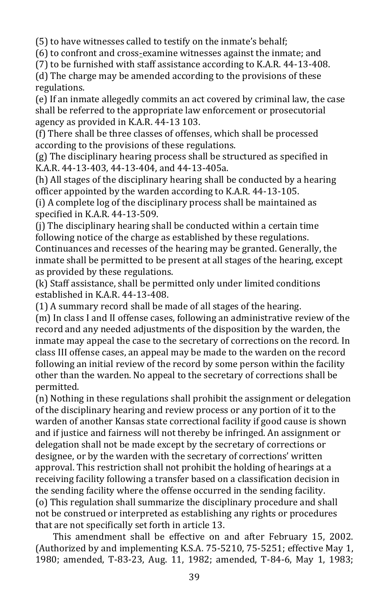(5) to have witnesses called to testify on the inmate's behalf;

(6) to confront and cross-examine witnesses against the inmate; and

(7) to be furnished with staff assistance according to K.A.R. 44-13-408.

(d) The charge may be amended according to the provisions of these regulations.

(e) If an inmate allegedly commits an act covered by criminal law, the case shall be referred to the appropriate law enforcement or prosecutorial agency as provided in K.A.R. 44-13 103.

(f) There shall be three classes of offenses, which shall be processed according to the provisions of these regulations.

(g) The disciplinary hearing process shall be structured as specified in K.A.R. 44-13-403, 44-13-404, and 44-13-405a.

(h) All stages of the disciplinary hearing shall be conducted by a hearing officer appointed by the warden according to K.A.R. 44-13-105.

(i) A complete log of the disciplinary process shall be maintained as specified in K.A.R. 44-13-509.

(j) The disciplinary hearing shall be conducted within a certain time following notice of the charge as established by these regulations. Continuances and recesses of the hearing may be granted. Generally, the inmate shall be permitted to be present at all stages of the hearing, except as provided by these regulations.

(k) Staff assistance, shall be permitted only under limited conditions established in K.A.R. 44-13-408.

(1) A summary record shall be made of all stages of the hearing.

(m) In class I and II offense cases, following an administrative review of the record and any needed adjustments of the disposition by the warden, the inmate may appeal the case to the secretary of corrections on the record. In class III offense cases, an appeal may be made to the warden on the record following an initial review of the record by some person within the facility other than the warden. No appeal to the secretary of corrections shall be permitted.

(n) Nothing in these regulations shall prohibit the assignment or delegation of the disciplinary hearing and review process or any portion of it to the warden of another Kansas state correctional facility if good cause is shown and if justice and fairness will not thereby be infringed. An assignment or delegation shall not be made except by the secretary of corrections or designee, or by the warden with the secretary of corrections' written approval. This restriction shall not prohibit the holding of hearings at a receiving facility following a transfer based on a classification decision in the sending facility where the offense occurred in the sending facility. (o) This regulation shall summarize the disciplinary procedure and shall not be construed or interpreted as establishing any rights or procedures that are not specifically set forth in article 13.

This amendment shall be effective on and after February 15, 2002. (Authorized by and implementing K.S.A. 75-5210, 75-5251; effective May 1, 1980; amended, T-83-23, Aug. 11, 1982; amended, T-84-6, May 1, 1983;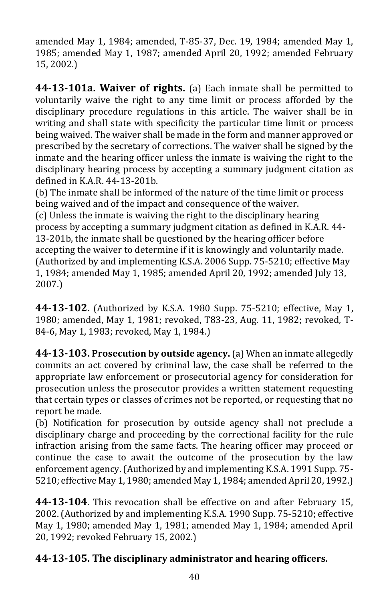amended May 1, 1984; amended, T-85-37, Dec. 19, 1984; amended May 1, 1985; amended May 1, 1987; amended April 20, 1992; amended February 15, 2002.)

**44-13-101a. Waiver of rights.** (a) Each inmate shall be permitted to voluntarily waive the right to any time limit or process afforded by the disciplinary procedure regulations in this article. The waiver shall be in writing and shall state with specificity the particular time limit or process being waived. The waiver shall be made in the form and manner approved or prescribed by the secretary of corrections. The waiver shall be signed by the inmate and the hearing officer unless the inmate is waiving the right to the disciplinary hearing process by accepting a summary judgment citation as defined in K.A.R. 44-13-201b.

(b) The inmate shall be informed of the nature of the time limit or process being waived and of the impact and consequence of the waiver.

(c) Unless the inmate is waiving the right to the disciplinary hearing process by accepting a summary judgment citation as defined in K.A.R. 44- 13-201b, the inmate shall be questioned by the hearing officer before accepting the waiver to determine if it is knowingly and voluntarily made. (Authorized by and implementing K.S.A. 2006 Supp*.* 75-5210; effective May 1, 1984; amended May 1, 1985; amended April 20, 1992; amended July 13, 2007.)

**44-13-102.** (Authorized by K.S.A. 1980 Supp. 75-5210; effective, May 1, 1980; amended, May 1, 1981; revoked, T83-23, Aug. 11, 1982; revoked, T-84-6, May 1, 1983; revoked, May 1, 1984.)

**44-13-103. Prosecution by outside agency.** (a) When an inmate allegedly commits an act covered by criminal law, the case shall be referred to the appropriate law enforcement or prosecutorial agency for consideration for prosecution unless the prosecutor provides a written statement requesting that certain types or classes of crimes not be reported, or requesting that no report be made.

(b) Notification for prosecution by outside agency shall not preclude a disciplinary charge and proceeding by the correctional facility for the rule infraction arising from the same facts. The hearing officer may proceed or continue the case to await the outcome of the prosecution by the law enforcement agency. (Authorized by and implementing K.S.A. 1991 Supp. 75- 5210; effective May 1, 1980; amended May 1, 1984; amended April 20, 1992.)

**44-13-104**. This revocation shall be effective on and after February 15, 2002. (Authorized by and implementing K.S.A. 1990 Supp. 75-5210; effective May 1, 1980; amended May 1, 1981; amended May 1, 1984; amended April 20, 1992; revoked February 15, 2002.)

### **44-13-105. The disciplinary administrator and hearing officers.**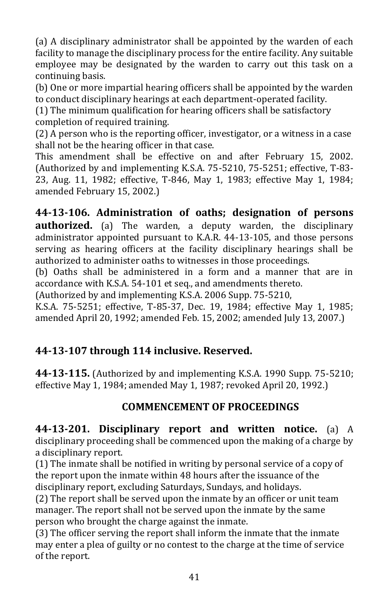(a) A disciplinary administrator shall be appointed by the warden of each facility to manage the disciplinary process for the entire facility. Any suitable employee may be designated by the warden to carry out this task on a continuing basis.

(b) One or more impartial hearing officers shall be appointed by the warden to conduct disciplinary hearings at each department-operated facility.

(1) The minimum qualification for hearing officers shall be satisfactory completion of required training.

(2) A person who is the reporting officer, investigator, or a witness in a case shall not be the hearing officer in that case.

This amendment shall be effective on and after February 15, 2002. (Authorized by and implementing K.S.A. 75-5210, 75-5251; effective, T-83- 23, Aug. 11, 1982; effective, T-846, May 1, 1983; effective May 1, 1984; amended February 15, 2002.)

**44-13-106. Administration of oaths; designation of persons authorized.** (a) The warden, a deputy warden, the disciplinary administrator appointed pursuant to K.A.R. 44-13-105, and those persons serving as hearing officers at the facility disciplinary hearings shall be authorized to administer oaths to witnesses in those proceedings.

(b) Oaths shall be administered in a form and a manner that are in accordance with K.S.A. 54-101 et seq., and amendments thereto.

(Authorized by and implementing K.S.A. 2006 Supp. 75-5210,

K.S.A. 75-5251; effective, T-85-37, Dec. 19, 1984; effective May 1, 1985; amended April 20, 1992; amended Feb. 15, 2002; amended July 13, 2007.)

### **44-13-107 through 114 inclusive. Reserved.**

**44-13-115.** (Authorized by and implementing K.S.A. 1990 Supp. 75-5210; effective May 1, 1984; amended May 1, 1987; revoked April 20, 1992.)

### **COMMENCEMENT OF PROCEEDINGS**

**44-13-201. Disciplinary report and written notice.** (a) A disciplinary proceeding shall be commenced upon the making of a charge by a disciplinary report.

(1) The inmate shall be notified in writing by personal service of a copy of the report upon the inmate within 48 hours after the issuance of the disciplinary report, excluding Saturdays, Sundays, and holidays.

(2) The report shall be served upon the inmate by an officer or unit team manager. The report shall not be served upon the inmate by the same person who brought the charge against the inmate.

(3) The officer serving the report shall inform the inmate that the inmate may enter a plea of guilty or no contest to the charge at the time of service of the report.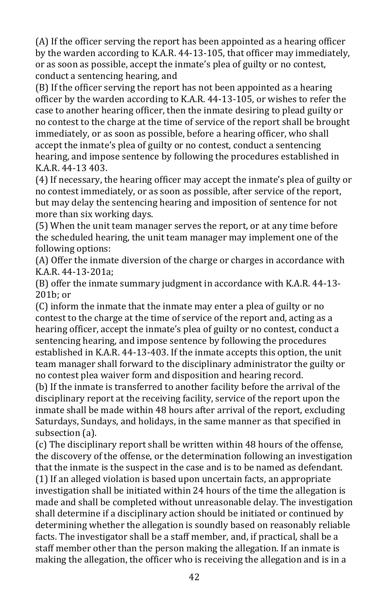(A) If the officer serving the report has been appointed as a hearing officer by the warden according to K.A.R. 44-13-105, that officer may immediately, or as soon as possible, accept the inmate's plea of guilty or no contest, conduct a sentencing hearing, and

(B) If the officer serving the report has not been appointed as a hearing officer by the warden according to K.A.R. 44-13-105, or wishes to refer the case to another hearing officer, then the inmate desiring to plead guilty or no contest to the charge at the time of service of the report shall be brought immediately, or as soon as possible, before a hearing officer, who shall accept the inmate's plea of guilty or no contest, conduct a sentencing hearing, and impose sentence by following the procedures established in K.A.R. 44-13 403.

(4) If necessary, the hearing officer may accept the inmate's plea of guilty or no contest immediately, or as soon as possible, after service of the report, but may delay the sentencing hearing and imposition of sentence for not more than six working days.

(5) When the unit team manager serves the report, or at any time before the scheduled hearing, the unit team manager may implement one of the following options:

(A) Offer the inmate diversion of the charge or charges in accordance with K.A.R. 44-13-201a;

(B) offer the inmate summary judgment in accordance with K.A.R. 44-13- 201b; or

(C) inform the inmate that the inmate may enter a plea of guilty or no contest to the charge at the time of service of the report and, acting as a hearing officer, accept the inmate's plea of guilty or no contest, conduct a sentencing hearing, and impose sentence by following the procedures established in K.A.R. 44-13-403. If the inmate accepts this option, the unit team manager shall forward to the disciplinary administrator the guilty or no contest plea waiver form and disposition and hearing record.

(b) If the inmate is transferred to another facility before the arrival of the disciplinary report at the receiving facility, service of the report upon the inmate shall be made within 48 hours after arrival of the report, excluding Saturdays, Sundays, and holidays, in the same manner as that specified in subsection (a).

(c) The disciplinary report shall be written within 48 hours of the offense, the discovery of the offense, or the determination following an investigation that the inmate is the suspect in the case and is to be named as defendant. (1) If an alleged violation is based upon uncertain facts, an appropriate investigation shall be initiated within 24 hours of the time the allegation is made and shall be completed without unreasonable delay. The investigation shall determine if a disciplinary action should be initiated or continued by determining whether the allegation is soundly based on reasonably reliable facts. The investigator shall be a staff member, and, if practical, shall be a staff member other than the person making the allegation. If an inmate is making the allegation, the officer who is receiving the allegation and is in a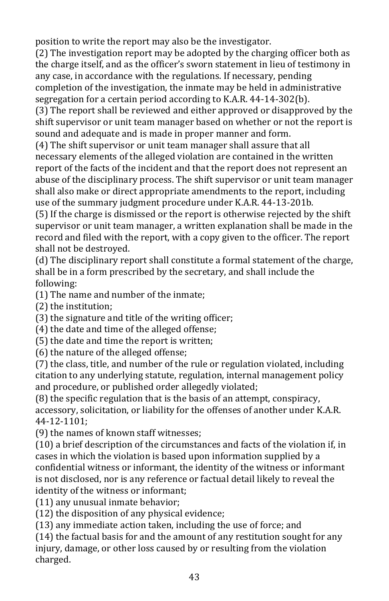position to write the report may also be the investigator.

(2) The investigation report may be adopted by the charging officer both as the charge itself, and as the officer's sworn statement in lieu of testimony in any case, in accordance with the regulations. If necessary, pending completion of the investigation, the inmate may be held in administrative segregation for a certain period according to K.A.R. 44-14-302(b).

(3) The report shall be reviewed and either approved or disapproved by the shift supervisor or unit team manager based on whether or not the report is sound and adequate and is made in proper manner and form.

(4) The shift supervisor or unit team manager shall assure that all necessary elements of the alleged violation are contained in the written report of the facts of the incident and that the report does not represent an abuse of the disciplinary process. The shift supervisor or unit team manager shall also make or direct appropriate amendments to the report, including use of the summary judgment procedure under K.A.R. 44-13-201b*.* 

(5) If the charge is dismissed or the report is otherwise rejected by the shift supervisor or unit team manager, a written explanation shall be made in the record and filed with the report, with a copy given to the officer. The report shall not be destroyed.

(d) The disciplinary report shall constitute a formal statement of the charge, shall be in a form prescribed by the secretary, and shall include the following:

(1) The name and number of the inmate;

(2) the institution;

(3) the signature and title of the writing officer;

(4) the date and time of the alleged offense;

(5) the date and time the report is written;

(6) the nature of the alleged offense;

(7) the class, title, and number of the rule or regulation violated, including citation to any underlying statute, regulation, internal management policy and procedure, or published order allegedly violated;

(8) the specific regulation that is the basis of an attempt, conspiracy, accessory, solicitation, or liability for the offenses of another under K.A.R. 44-12-1101;

(9) the names of known staff witnesses;

(10) a brief description of the circumstances and facts of the violation if, in cases in which the violation is based upon information supplied by a confidential witness or informant, the identity of the witness or informant is not disclosed, nor is any reference or factual detail likely to reveal the identity of the witness or informant;

(11) any unusual inmate behavior;

(12) the disposition of any physical evidence;

(13) any immediate action taken, including the use of force; and

(14) the factual basis for and the amount of any restitution sought for any injury, damage, or other loss caused by or resulting from the violation charged.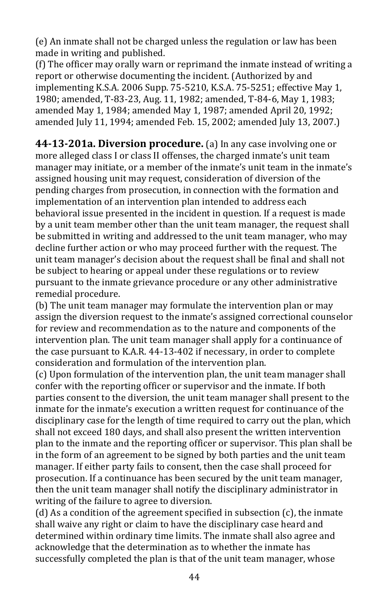(e) An inmate shall not be charged unless the regulation or law has been made in writing and published.

(f) The officer may orally warn or reprimand the inmate instead of writing a report or otherwise documenting the incident. (Authorized by and implementing K.S.A. 2006 Supp. 75-5210, K.S.A. 75-5251; effective May 1, 1980; amended, T-83-23, Aug. 11, 1982; amended, T-84-6, May 1, 1983; amended May 1, 1984; amended May 1, 1987; amended April 20, 1992; amended July 11, 1994; amended Feb. 15, 2002; amended July 13, 2007.)

**44-13-201a. Diversion procedure.** (a) In any case involving one or more alleged class I or class II offenses, the charged inmate's unit team manager may initiate, or a member of the inmate's unit team in the inmate's assigned housing unit may request, consideration of diversion of the pending charges from prosecution, in connection with the formation and implementation of an intervention plan intended to address each behavioral issue presented in the incident in question. If a request is made by a unit team member other than the unit team manager, the request shall be submitted in writing and addressed to the unit team manager, who may decline further action or who may proceed further with the request. The unit team manager's decision about the request shall be final and shall not be subject to hearing or appeal under these regulations or to review pursuant to the inmate grievance procedure or any other administrative remedial procedure.

(b) The unit team manager may formulate the intervention plan or may assign the diversion request to the inmate's assigned correctional counselor for review and recommendation as to the nature and components of the intervention plan. The unit team manager shall apply for a continuance of the case pursuant to K.A.R. 44-13-402 if necessary, in order to complete consideration and formulation of the intervention plan.

(c) Upon formulation of the intervention plan, the unit team manager shall confer with the reporting officer or supervisor and the inmate. If both parties consent to the diversion, the unit team manager shall present to the inmate for the inmate's execution a written request for continuance of the disciplinary case for the length of time required to carry out the plan, which shall not exceed 180 days, and shall also present the written intervention plan to the inmate and the reporting officer or supervisor. This plan shall be in the form of an agreement to be signed by both parties and the unit team manager. If either party fails to consent, then the case shall proceed for prosecution. If a continuance has been secured by the unit team manager, then the unit team manager shall notify the disciplinary administrator in writing of the failure to agree to diversion.

(d) As a condition of the agreement specified in subsection (c), the inmate shall waive any right or claim to have the disciplinary case heard and determined within ordinary time limits. The inmate shall also agree and acknowledge that the determination as to whether the inmate has successfully completed the plan is that of the unit team manager, whose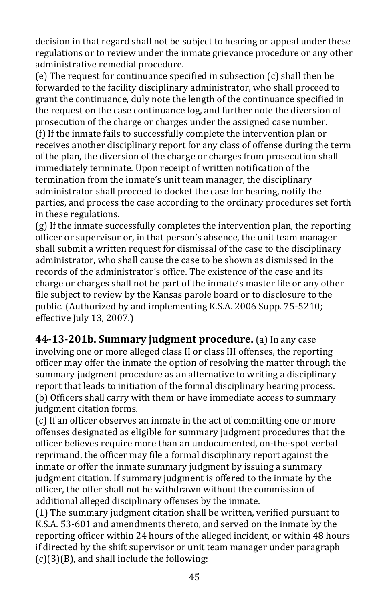decision in that regard shall not be subject to hearing or appeal under these regulations or to review under the inmate grievance procedure or any other administrative remedial procedure.

(e) The request for continuance specified in subsection (c) shall then be forwarded to the facility disciplinary administrator, who shall proceed to grant the continuance, duly note the length of the continuance specified in the request on the case continuance log, and further note the diversion of prosecution of the charge or charges under the assigned case number. (f) If the inmate fails to successfully complete the intervention plan or receives another disciplinary report for any class of offense during the term of the plan, the diversion of the charge or charges from prosecution shall immediately terminate. Upon receipt of written notification of the termination from the inmate's unit team manager, the disciplinary administrator shall proceed to docket the case for hearing, notify the parties, and process the case according to the ordinary procedures set forth in these regulations.

(g) If the inmate successfully completes the intervention plan, the reporting officer or supervisor or, in that person's absence, the unit team manager shall submit a written request for dismissal of the case to the disciplinary administrator, who shall cause the case to be shown as dismissed in the records of the administrator's office. The existence of the case and its charge or charges shall not be part of the inmate's master file or any other file subject to review by the Kansas parole board or to disclosure to the public. (Authorized by and implementing K.S.A. 2006 Supp. 75-5210; effective July 13, 2007.)

**44-13-201b. Summary judgment procedure.** (a) In any case involving one or more alleged class II or class III offenses, the reporting officer may offer the inmate the option of resolving the matter through the summary judgment procedure as an alternative to writing a disciplinary report that leads to initiation of the formal disciplinary hearing process. (b) Officers shall carry with them or have immediate access to summary judgment citation forms.

(c) If an officer observes an inmate in the act of committing one or more offenses designated as eligible for summary judgment procedures that the officer believes require more than an undocumented, on-the-spot verbal reprimand, the officer may file a formal disciplinary report against the inmate or offer the inmate summary judgment by issuing a summary judgment citation. If summary judgment is offered to the inmate by the officer, the offer shall not be withdrawn without the commission of additional alleged disciplinary offenses by the inmate.

(1) The summary judgment citation shall be written, verified pursuant to K.S.A. 53-601 and amendments thereto, and served on the inmate by the reporting officer within 24 hours of the alleged incident, or within 48 hours if directed by the shift supervisor or unit team manager under paragraph (c)(3)(B), and shall include the following: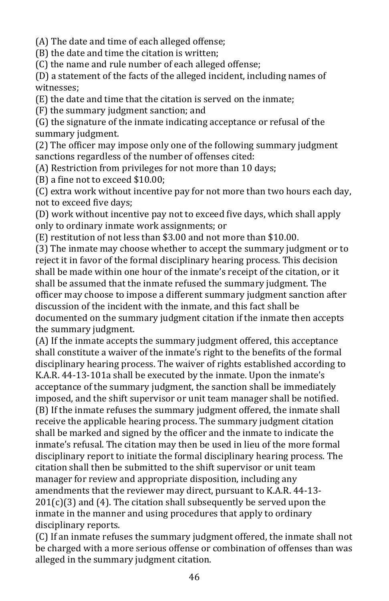(A) The date and time of each alleged offense;

(B) the date and time the citation is written;

(C) the name and rule number of each alleged offense;

(D) a statement of the facts of the alleged incident, including names of witnesses;

(E) the date and time that the citation is served on the inmate;

(F) the summary judgment sanction; and

(G) the signature of the inmate indicating acceptance or refusal of the summary judgment.

(2) The officer may impose only one of the following summary judgment sanctions regardless of the number of offenses cited:

(A) Restriction from privileges for not more than 10 days;

(B) a fine not to exceed \$10.00;

(C) extra work without incentive pay for not more than two hours each day, not to exceed five days;

(D) work without incentive pay not to exceed five days, which shall apply only to ordinary inmate work assignments; or

(E) restitution of not less than \$3.00 and not more than \$10.00.

(3) The inmate may choose whether to accept the summary judgment or to reject it in favor of the formal disciplinary hearing process. This decision shall be made within one hour of the inmate's receipt of the citation, or it shall be assumed that the inmate refused the summary judgment. The officer may choose to impose a different summary judgment sanction after discussion of the incident with the inmate, and this fact shall be documented on the summary judgment citation if the inmate then accepts the summary judgment.

(A) If the inmate accepts the summary judgment offered, this acceptance shall constitute a waiver of the inmate's right to the benefits of the formal disciplinary hearing process. The waiver of rights established according to K.A.R. 44-13-101a shall be executed by the inmate. Upon the inmate's acceptance of the summary judgment, the sanction shall be immediately imposed, and the shift supervisor or unit team manager shall be notified. (B) If the inmate refuses the summary judgment offered, the inmate shall receive the applicable hearing process. The summary judgment citation shall be marked and signed by the officer and the inmate to indicate the inmate's refusal. The citation may then be used in lieu of the more formal disciplinary report to initiate the formal disciplinary hearing process. The citation shall then be submitted to the shift supervisor or unit team manager for review and appropriate disposition, including any amendments that the reviewer may direct, pursuant to K.A.R. 44-13-  $201(c)(3)$  and (4). The citation shall subsequently be served upon the inmate in the manner and using procedures that apply to ordinary disciplinary reports.

(C) If an inmate refuses the summary judgment offered, the inmate shall not be charged with a more serious offense or combination of offenses than was alleged in the summary judgment citation.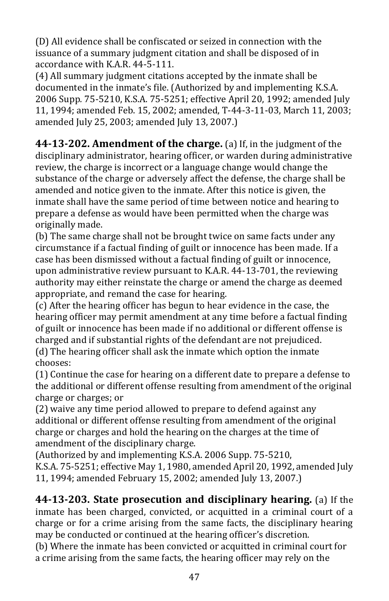(D) All evidence shall be confiscated or seized in connection with the issuance of a summary judgment citation and shall be disposed of in accordance with K.A.R. 44-5-111.

(4) All summary judgment citations accepted by the inmate shall be documented in the inmate's file. (Authorized by and implementing K.S.A. 2006 Supp*.* 75-5210, K.S.A. 75-5251; effective April 20, 1992; amended July 11, 1994; amended Feb. 15, 2002; amended, T-44-3-11-03, March 11, 2003; amended July 25, 2003; amended July 13, 2007.)

**44-13-202. Amendment of the charge.** (a) If, in the judgment of the disciplinary administrator, hearing officer, or warden during administrative review, the charge is incorrect or a language change would change the substance of the charge or adversely affect the defense, the charge shall be amended and notice given to the inmate. After this notice is given, the inmate shall have the same period of time between notice and hearing to prepare a defense as would have been permitted when the charge was originally made.

(b) The same charge shall not be brought twice on same facts under any circumstance if a factual finding of guilt or innocence has been made. If a case has been dismissed without a factual finding of guilt or innocence, upon administrative review pursuant to K.A.R. 44-13-701, the reviewing authority may either reinstate the charge or amend the charge as deemed appropriate, and remand the case for hearing.

(c) After the hearing officer has begun to hear evidence in the case, the hearing officer may permit amendment at any time before a factual finding of guilt or innocence has been made if no additional or different offense is charged and if substantial rights of the defendant are not prejudiced. (d) The hearing officer shall ask the inmate which option the inmate chooses:

(1) Continue the case for hearing on a different date to prepare a defense to the additional or different offense resulting from amendment of the original charge or charges; or

(2) waive any time period allowed to prepare to defend against any additional or different offense resulting from amendment of the original charge or charges and hold the hearing on the charges at the time of amendment of the disciplinary charge.

(Authorized by and implementing K.S.A. 2006 Supp. 75-5210, K.S.A. 75-5251; effective May 1, 1980, amended April 20, 1992, amended July 11, 1994; amended February 15, 2002; amended July 13, 2007.)

**44-13-203. State prosecution and disciplinary hearing.** (a) If the inmate has been charged, convicted, or acquitted in a criminal court of a charge or for a crime arising from the same facts, the disciplinary hearing may be conducted or continued at the hearing officer's discretion.

(b) Where the inmate has been convicted or acquitted in criminal court for a crime arising from the same facts, the hearing officer may rely on the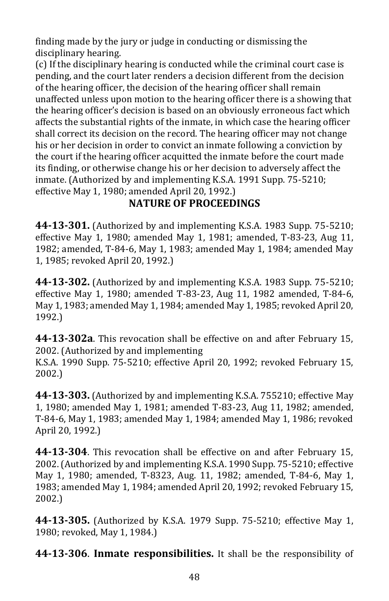finding made by the jury or judge in conducting or dismissing the disciplinary hearing.

(c) If the disciplinary hearing is conducted while the criminal court case is pending, and the court later renders a decision different from the decision of the hearing officer, the decision of the hearing officer shall remain unaffected unless upon motion to the hearing officer there is a showing that the hearing officer's decision is based on an obviously erroneous fact which affects the substantial rights of the inmate, in which case the hearing officer shall correct its decision on the record. The hearing officer may not change his or her decision in order to convict an inmate following a conviction by the court if the hearing officer acquitted the inmate before the court made its finding, or otherwise change his or her decision to adversely affect the inmate. (Authorized by and implementing K.S.A. 1991 Supp. 75-5210; effective May 1, 1980; amended April 20, 1992.)

## **NATURE OF PROCEEDINGS**

**44-13-301.** (Authorized by and implementing K.S.A. 1983 Supp. 75-5210; effective May 1, 1980; amended May 1, 1981; amended, T-83-23, Aug 11, 1982; amended, T-84-6, May 1, 1983; amended May 1, 1984; amended May 1, 1985; revoked April 20, 1992.)

**44-13-302.** (Authorized by and implementing K.S.A. 1983 Supp. 75-5210; effective May 1, 1980; amended T-83-23, Aug 11, 1982 amended, T-84-6, May 1, 1983; amended May 1, 1984; amended May 1, 1985; revoked April 20, 1992.)

**44-13-302a**. This revocation shall be effective on and after February 15, 2002. (Authorized by and implementing

K.S.A. 1990 Supp. 75-5210; effective April 20, 1992; revoked February 15, 2002.)

**44-13-303.** (Authorized by and implementing K.S.A. 755210; effective May 1, 1980; amended May 1, 1981; amended T-83-23, Aug 11, 1982; amended, T-84-6, May 1, 1983; amended May 1, 1984; amended May 1, 1986; revoked April 20, 1992.)

**44-13-304**. This revocation shall be effective on and after February 15, 2002. (Authorized by and implementing K.S.A. 1990 Supp. 75-5210; effective May 1, 1980; amended, T-8323, Aug. 11, 1982; amended, T-84-6, May 1, 1983; amended May 1, 1984; amended April 20, 1992; revoked February 15, 2002.)

**44-13-305.** (Authorized by K.S.A. 1979 Supp. 75-5210; effective May 1, 1980; revoked, May 1, 1984.)

**44-13-306**. **Inmate responsibilities.** It shall be the responsibility of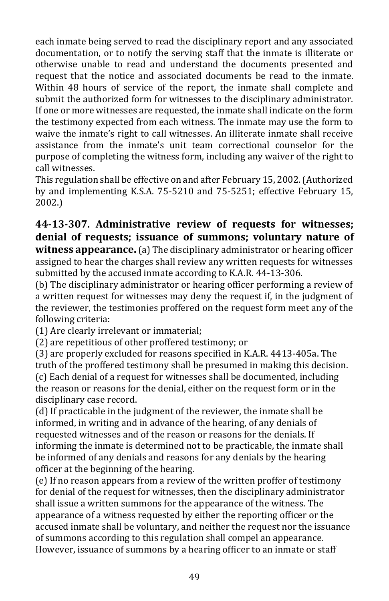each inmate being served to read the disciplinary report and any associated documentation, or to notify the serving staff that the inmate is illiterate or otherwise unable to read and understand the documents presented and request that the notice and associated documents be read to the inmate. Within 48 hours of service of the report, the inmate shall complete and submit the authorized form for witnesses to the disciplinary administrator. If one or more witnesses are requested, the inmate shall indicate on the form the testimony expected from each witness. The inmate may use the form to waive the inmate's right to call witnesses. An illiterate inmate shall receive assistance from the inmate's unit team correctional counselor for the purpose of completing the witness form, including any waiver of the right to call witnesses.

This regulation shall be effective on and after February 15, 2002. (Authorized by and implementing K.S.A. 75-5210 and 75-5251; effective February 15, 2002.)

#### **44-13-307. Administrative review of requests for witnesses; denial of requests; issuance of summons; voluntary nature of witness appearance.** (a) The disciplinary administrator or hearing officer assigned to hear the charges shall review any written requests for witnesses submitted by the accused inmate according to K.A.R. 44-13-306.

(b) The disciplinary administrator or hearing officer performing a review of a written request for witnesses may deny the request if, in the judgment of the reviewer, the testimonies proffered on the request form meet any of the following criteria:

(1) Are clearly irrelevant or immaterial;

(2) are repetitious of other proffered testimony; or

(3) are properly excluded for reasons specified in K.A.R. 4413-405a. The truth of the proffered testimony shall be presumed in making this decision. (c) Each denial of a request for witnesses shall be documented, including the reason or reasons for the denial, either on the request form or in the disciplinary case record.

(d) If practicable in the judgment of the reviewer, the inmate shall be informed, in writing and in advance of the hearing, of any denials of requested witnesses and of the reason or reasons for the denials. If informing the inmate is determined not to be practicable, the inmate shall be informed of any denials and reasons for any denials by the hearing officer at the beginning of the hearing.

(e) If no reason appears from a review of the written proffer of testimony for denial of the request for witnesses, then the disciplinary administrator shall issue a written summons for the appearance of the witness. The appearance of a witness requested by either the reporting officer or the accused inmate shall be voluntary, and neither the request nor the issuance of summons according to this regulation shall compel an appearance. However, issuance of summons by a hearing officer to an inmate or staff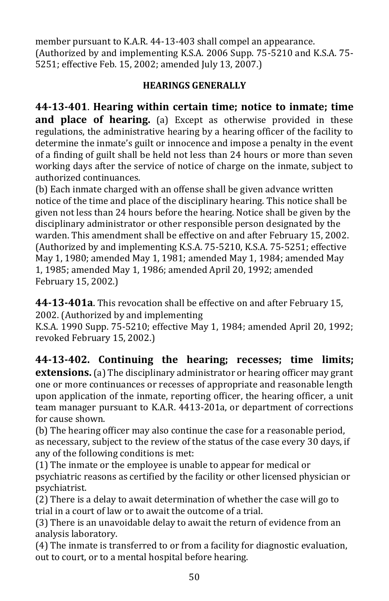member pursuant to K.A.R. 44-13-403 shall compel an appearance. (Authorized by and implementing K.S.A. 2006 Supp. 75-5210 and K.S.A. 75- 5251; effective Feb. 15, 2002; amended July 13, 2007.)

#### **HEARINGS GENERALLY**

**44-13-401**. **Hearing within certain time; notice to inmate; time and place of hearing.** (a) Except as otherwise provided in these regulations, the administrative hearing by a hearing officer of the facility to determine the inmate's guilt or innocence and impose a penalty in the event of a finding of guilt shall be held not less than 24 hours or more than seven working days after the service of notice of charge on the inmate, subject to authorized continuances.

(b) Each inmate charged with an offense shall be given advance written notice of the time and place of the disciplinary hearing. This notice shall be given not less than 24 hours before the hearing. Notice shall be given by the disciplinary administrator or other responsible person designated by the warden. This amendment shall be effective on and after February 15, 2002. (Authorized by and implementing K.S.A. 75-5210, K.S.A. 75-5251; effective May 1, 1980; amended May 1, 1981; amended May 1, 1984; amended May 1, 1985; amended May 1, 1986; amended April 20, 1992; amended February 15, 2002.)

**44-13-401a**. This revocation shall be effective on and after February 15, 2002. (Authorized by and implementing

K.S.A. 1990 Supp. 75-5210; effective May 1, 1984; amended April 20, 1992; revoked February 15, 2002.)

**44-13-402. Continuing the hearing; recesses; time limits; extensions.** (a) The disciplinary administrator or hearing officer may grant one or more continuances or recesses of appropriate and reasonable length upon application of the inmate, reporting officer, the hearing officer, a unit team manager pursuant to K.A.R. 4413-201a, or department of corrections for cause shown.

(b) The hearing officer may also continue the case for a reasonable period, as necessary, subject to the review of the status of the case every 30 days, if any of the following conditions is met:

(1) The inmate or the employee is unable to appear for medical or psychiatric reasons as certified by the facility or other licensed physician or psychiatrist.

(2) There is a delay to await determination of whether the case will go to trial in a court of law or to await the outcome of a trial.

(3) There is an unavoidable delay to await the return of evidence from an analysis laboratory.

(4) The inmate is transferred to or from a facility for diagnostic evaluation, out to court, or to a mental hospital before hearing.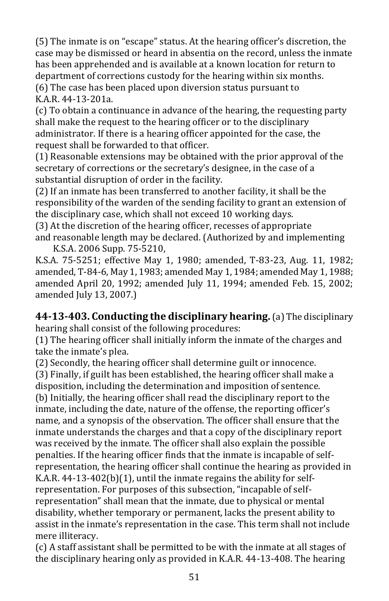(5) The inmate is on "escape" status. At the hearing officer's discretion, the case may be dismissed or heard in absentia on the record, unless the inmate has been apprehended and is available at a known location for return to department of corrections custody for the hearing within six months. (6) The case has been placed upon diversion status pursuant to K.A.R. 44-13-201a.

(c) To obtain a continuance in advance of the hearing, the requesting party shall make the request to the hearing officer or to the disciplinary administrator. If there is a hearing officer appointed for the case, the request shall be forwarded to that officer.

(1) Reasonable extensions may be obtained with the prior approval of the secretary of corrections or the secretary's designee, in the case of a substantial disruption of order in the facility.

(2) If an inmate has been transferred to another facility, it shall be the responsibility of the warden of the sending facility to grant an extension of the disciplinary case, which shall not exceed 10 working days.

(3) At the discretion of the hearing officer, recesses of appropriate and reasonable length may be declared. (Authorized by and implementing K.S.A. 2006 Supp. 75-5210,

K.S.A. 75-5251; effective May 1, 1980; amended, T-83-23, Aug. 11, 1982; amended, T-84-6, May 1, 1983; amended May 1, 1984; amended May 1, 1988; amended April 20, 1992; amended July 11, 1994; amended Feb. 15, 2002; amended July 13, 2007.)

**44-13-403. Conducting the disciplinary hearing.** (a) The disciplinary hearing shall consist of the following procedures:

(1) The hearing officer shall initially inform the inmate of the charges and take the inmate's plea.

(2) Secondly, the hearing officer shall determine guilt or innocence.

(3) Finally, if guilt has been established, the hearing officer shall make a disposition, including the determination and imposition of sentence.

(b) Initially, the hearing officer shall read the disciplinary report to the inmate, including the date, nature of the offense, the reporting officer's name, and a synopsis of the observation. The officer shall ensure that the inmate understands the charges and that a copy of the disciplinary report was received by the inmate. The officer shall also explain the possible penalties. If the hearing officer finds that the inmate is incapable of selfrepresentation, the hearing officer shall continue the hearing as provided in K.A.R. 44-13-402(b)(1), until the inmate regains the ability for selfrepresentation. For purposes of this subsection, "incapable of selfrepresentation" shall mean that the inmate, due to physical or mental disability, whether temporary or permanent, lacks the present ability to assist in the inmate's representation in the case. This term shall not include mere illiteracy.

(c) A staff assistant shall be permitted to be with the inmate at all stages of the disciplinary hearing only as provided in K.A.R. 44-13-408. The hearing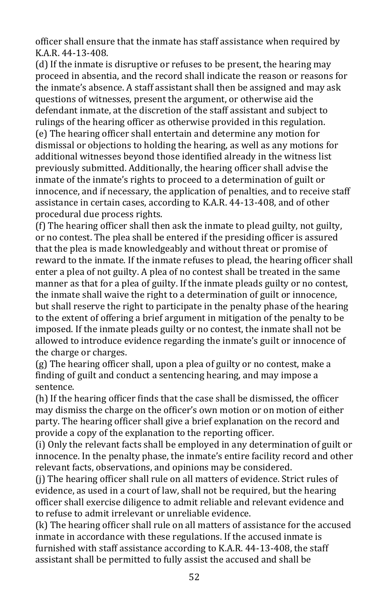officer shall ensure that the inmate has staff assistance when required by KAR 44-13-408

(d) If the inmate is disruptive or refuses to be present, the hearing may proceed in absentia, and the record shall indicate the reason or reasons for the inmate's absence. A staff assistant shall then be assigned and may ask questions of witnesses, present the argument, or otherwise aid the defendant inmate, at the discretion of the staff assistant and subject to rulings of the hearing officer as otherwise provided in this regulation. (e) The hearing officer shall entertain and determine any motion for dismissal or objections to holding the hearing, as well as any motions for additional witnesses beyond those identified already in the witness list previously submitted. Additionally, the hearing officer shall advise the inmate of the inmate's rights to proceed to a determination of guilt or innocence, and if necessary, the application of penalties, and to receive staff assistance in certain cases, according to K.A.R. 44-13-408, and of other procedural due process rights.

(f) The hearing officer shall then ask the inmate to plead guilty, not guilty, or no contest. The plea shall be entered if the presiding officer is assured that the plea is made knowledgeably and without threat or promise of reward to the inmate. If the inmate refuses to plead, the hearing officer shall enter a plea of not guilty. A plea of no contest shall be treated in the same manner as that for a plea of guilty. If the inmate pleads guilty or no contest, the inmate shall waive the right to a determination of guilt or innocence, but shall reserve the right to participate in the penalty phase of the hearing to the extent of offering a brief argument in mitigation of the penalty to be imposed. If the inmate pleads guilty or no contest, the inmate shall not be allowed to introduce evidence regarding the inmate's guilt or innocence of the charge or charges.

(g) The hearing officer shall, upon a plea of guilty or no contest, make a finding of guilt and conduct a sentencing hearing, and may impose a sentence.

(h) If the hearing officer finds that the case shall be dismissed, the officer may dismiss the charge on the officer's own motion or on motion of either party. The hearing officer shall give a brief explanation on the record and provide a copy of the explanation to the reporting officer.

(i) Only the relevant facts shall be employed in any determination of guilt or innocence. In the penalty phase, the inmate's entire facility record and other relevant facts, observations, and opinions may be considered.

(j) The hearing officer shall rule on all matters of evidence. Strict rules of evidence, as used in a court of law, shall not be required, but the hearing officer shall exercise diligence to admit reliable and relevant evidence and to refuse to admit irrelevant or unreliable evidence.

(k) The hearing officer shall rule on all matters of assistance for the accused inmate in accordance with these regulations. If the accused inmate is furnished with staff assistance according to K.A.R. 44-13-408, the staff assistant shall be permitted to fully assist the accused and shall be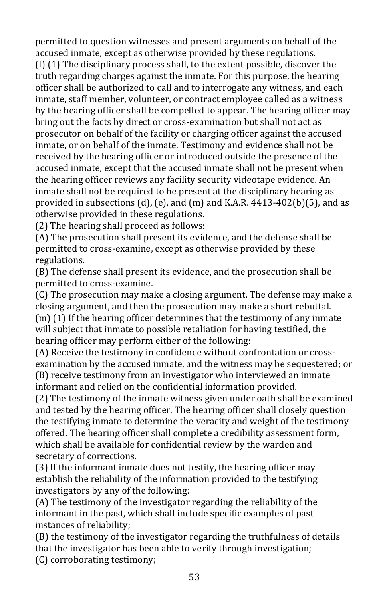permitted to question witnesses and present arguments on behalf of the accused inmate, except as otherwise provided by these regulations. (l) (1) The disciplinary process shall, to the extent possible, discover the truth regarding charges against the inmate. For this purpose, the hearing officer shall be authorized to call and to interrogate any witness, and each inmate, staff member, volunteer, or contract employee called as a witness by the hearing officer shall be compelled to appear. The hearing officer may bring out the facts by direct or cross-examination but shall not act as prosecutor on behalf of the facility or charging officer against the accused inmate, or on behalf of the inmate. Testimony and evidence shall not be received by the hearing officer or introduced outside the presence of the accused inmate, except that the accused inmate shall not be present when the hearing officer reviews any facility security videotape evidence. An inmate shall not be required to be present at the disciplinary hearing as provided in subsections (d), (e), and (m) and K.A.R. 4413-402(b)(5), and as otherwise provided in these regulations.

(2) The hearing shall proceed as follows:

(A) The prosecution shall present its evidence, and the defense shall be permitted to cross-examine, except as otherwise provided by these regulations.

(B) The defense shall present its evidence, and the prosecution shall be permitted to cross-examine.

(C) The prosecution may make a closing argument. The defense may make a closing argument, and then the prosecution may make a short rebuttal. (m) (1) If the hearing officer determines that the testimony of any inmate

will subject that inmate to possible retaliation for having testified, the hearing officer may perform either of the following:

(A) Receive the testimony in confidence without confrontation or crossexamination by the accused inmate, and the witness may be sequestered; or (B) receive testimony from an investigator who interviewed an inmate informant and relied on the confidential information provided.

(2) The testimony of the inmate witness given under oath shall be examined and tested by the hearing officer. The hearing officer shall closely question the testifying inmate to determine the veracity and weight of the testimony offered. The hearing officer shall complete a credibility assessment form, which shall be available for confidential review by the warden and secretary of corrections.

(3) If the informant inmate does not testify, the hearing officer may establish the reliability of the information provided to the testifying investigators by any of the following:

(A) The testimony of the investigator regarding the reliability of the informant in the past, which shall include specific examples of past instances of reliability;

(B) the testimony of the investigator regarding the truthfulness of details that the investigator has been able to verify through investigation; (C) corroborating testimony;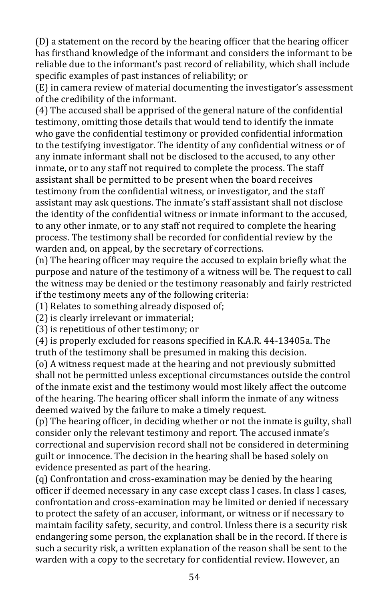(D) a statement on the record by the hearing officer that the hearing officer has firsthand knowledge of the informant and considers the informant to be reliable due to the informant's past record of reliability, which shall include specific examples of past instances of reliability; or

(E) in camera review of material documenting the investigator's assessment of the credibility of the informant.

(4) The accused shall be apprised of the general nature of the confidential testimony, omitting those details that would tend to identify the inmate who gave the confidential testimony or provided confidential information to the testifying investigator. The identity of any confidential witness or of any inmate informant shall not be disclosed to the accused, to any other inmate, or to any staff not required to complete the process. The staff assistant shall be permitted to be present when the board receives testimony from the confidential witness, or investigator, and the staff assistant may ask questions. The inmate's staff assistant shall not disclose the identity of the confidential witness or inmate informant to the accused, to any other inmate, or to any staff not required to complete the hearing process. The testimony shall be recorded for confidential review by the warden and, on appeal, by the secretary of corrections.

(n) The hearing officer may require the accused to explain briefly what the purpose and nature of the testimony of a witness will be. The request to call the witness may be denied or the testimony reasonably and fairly restricted if the testimony meets any of the following criteria:

(1) Relates to something already disposed of;

(2) is clearly irrelevant or immaterial;

(3) is repetitious of other testimony; or

(4) is properly excluded for reasons specified in K.A.R. 44-13405a. The truth of the testimony shall be presumed in making this decision.

(o) A witness request made at the hearing and not previously submitted shall not be permitted unless exceptional circumstances outside the control of the inmate exist and the testimony would most likely affect the outcome of the hearing. The hearing officer shall inform the inmate of any witness deemed waived by the failure to make a timely request.

(p) The hearing officer, in deciding whether or not the inmate is guilty, shall consider only the relevant testimony and report. The accused inmate's correctional and supervision record shall not be considered in determining guilt or innocence. The decision in the hearing shall be based solely on evidence presented as part of the hearing.

(q) Confrontation and cross-examination may be denied by the hearing officer if deemed necessary in any case except class I cases. In class I cases, confrontation and cross-examination may be limited or denied if necessary to protect the safety of an accuser, informant, or witness or if necessary to maintain facility safety, security, and control. Unless there is a security risk endangering some person, the explanation shall be in the record. If there is such a security risk, a written explanation of the reason shall be sent to the warden with a copy to the secretary for confidential review. However, an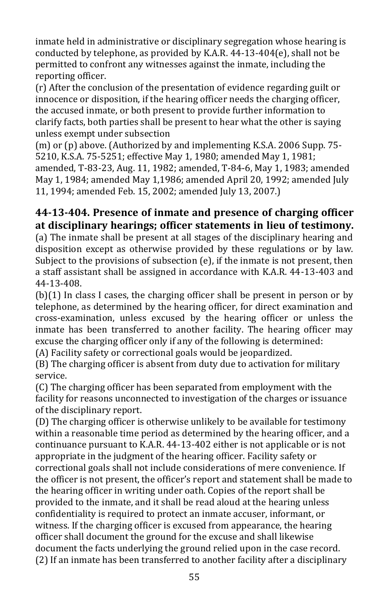inmate held in administrative or disciplinary segregation whose hearing is conducted by telephone, as provided by K.A.R. 44-13-404(e), shall not be permitted to confront any witnesses against the inmate, including the reporting officer.

(r) After the conclusion of the presentation of evidence regarding guilt or innocence or disposition, if the hearing officer needs the charging officer, the accused inmate, or both present to provide further information to clarify facts, both parties shall be present to hear what the other is saying unless exempt under subsection

(m) or (p) above. (Authorized by and implementing K.S.A. 2006 Supp. 75- 5210, K.S.A. 75-5251; effective May 1, 1980; amended May 1, 1981; amended, T-83-23, Aug. 11, 1982; amended, T-84-6, May 1, 1983; amended May 1, 1984; amended May 1,1986; amended April 20, 1992; amended July 11, 1994; amended Feb. 15, 2002; amended July 13, 2007.)

## **44-13-404. Presence of inmate and presence of charging officer at disciplinary hearings; officer statements in lieu of testimony.**

(a) The inmate shall be present at all stages of the disciplinary hearing and disposition except as otherwise provided by these regulations or by law. Subject to the provisions of subsection (e), if the inmate is not present, then a staff assistant shall be assigned in accordance with K.A.R. 44-13-403 and 44-13-408.

(b)(1) In class I cases, the charging officer shall be present in person or by telephone, as determined by the hearing officer, for direct examination and cross-examination, unless excused by the hearing officer or unless the inmate has been transferred to another facility. The hearing officer may excuse the charging officer only if any of the following is determined:

(A) Facility safety or correctional goals would be jeopardized.

(B) The charging officer is absent from duty due to activation for military service.

(C) The charging officer has been separated from employment with the facility for reasons unconnected to investigation of the charges or issuance of the disciplinary report.

(D) The charging officer is otherwise unlikely to be available for testimony within a reasonable time period as determined by the hearing officer, and a continuance pursuant to K.A.R. 44-13-402 either is not applicable or is not appropriate in the judgment of the hearing officer. Facility safety or correctional goals shall not include considerations of mere convenience. If the officer is not present, the officer's report and statement shall be made to the hearing officer in writing under oath. Copies of the report shall be provided to the inmate, and it shall be read aloud at the hearing unless confidentiality is required to protect an inmate accuser, informant, or witness. If the charging officer is excused from appearance, the hearing officer shall document the ground for the excuse and shall likewise document the facts underlying the ground relied upon in the case record. (2) If an inmate has been transferred to another facility after a disciplinary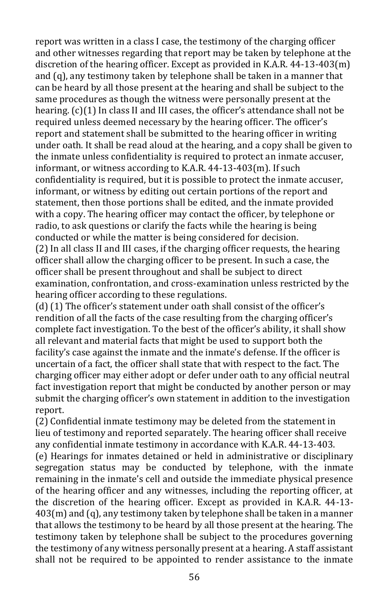report was written in a class I case, the testimony of the charging officer and other witnesses regarding that report may be taken by telephone at the discretion of the hearing officer. Except as provided in K.A.R. 44-13-403(m) and (q), any testimony taken by telephone shall be taken in a manner that can be heard by all those present at the hearing and shall be subject to the same procedures as though the witness were personally present at the hearing. (c)(1) In class II and III cases, the officer's attendance shall not be required unless deemed necessary by the hearing officer. The officer's report and statement shall be submitted to the hearing officer in writing under oath. It shall be read aloud at the hearing, and a copy shall be given to the inmate unless confidentiality is required to protect an inmate accuser, informant, or witness according to K.A.R. 44-13-403(m). If such confidentiality is required, but it is possible to protect the inmate accuser, informant, or witness by editing out certain portions of the report and statement, then those portions shall be edited, and the inmate provided with a copy. The hearing officer may contact the officer, by telephone or radio, to ask questions or clarify the facts while the hearing is being conducted or while the matter is being considered for decision. (2) In all class II and III cases, if the charging officer requests, the hearing officer shall allow the charging officer to be present. In such a case, the officer shall be present throughout and shall be subject to direct examination, confrontation, and cross-examination unless restricted by the hearing officer according to these regulations.

(d) (1) The officer's statement under oath shall consist of the officer's rendition of all the facts of the case resulting from the charging officer's complete fact investigation. To the best of the officer's ability, it shall show all relevant and material facts that might be used to support both the facility's case against the inmate and the inmate's defense. If the officer is uncertain of a fact, the officer shall state that with respect to the fact. The charging officer may either adopt or defer under oath to any official neutral fact investigation report that might be conducted by another person or may submit the charging officer's own statement in addition to the investigation report.

(2) Confidential inmate testimony may be deleted from the statement in lieu of testimony and reported separately. The hearing officer shall receive any confidential inmate testimony in accordance with K.A.R. 44-13-403. (e) Hearings for inmates detained or held in administrative or disciplinary segregation status may be conducted by telephone, with the inmate remaining in the inmate's cell and outside the immediate physical presence of the hearing officer and any witnesses, including the reporting officer, at the discretion of the hearing officer. Except as provided in K.A.R. 44-13- 403(m) and (q), any testimony taken by telephone shall be taken in a manner that allows the testimony to be heard by all those present at the hearing. The testimony taken by telephone shall be subject to the procedures governing the testimony of any witness personally present at a hearing. A staff assistant shall not be required to be appointed to render assistance to the inmate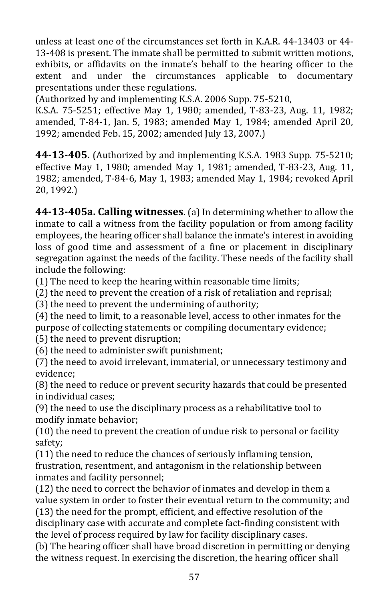unless at least one of the circumstances set forth in K.A.R. 44-13403 or 44- 13-408 is present. The inmate shall be permitted to submit written motions, exhibits, or affidavits on the inmate's behalf to the hearing officer to the extent and under the circumstances applicable to documentary presentations under these regulations.

(Authorized by and implementing K.S.A. 2006 Supp. 75-5210,

K.S.A. 75-5251; effective May 1, 1980; amended, T-83-23, Aug. 11, 1982; amended, T-84-1, Jan. 5, 1983; amended May 1, 1984; amended April 20, 1992; amended Feb. 15, 2002; amended July 13, 2007.)

**44-13-405.** (Authorized by and implementing K.S.A. 1983 Supp. 75-5210; effective May 1, 1980; amended May 1, 1981; amended, T-83-23, Aug. 11, 1982; amended, T-84-6, May 1, 1983; amended May 1, 1984; revoked April 20, 1992.)

**44-13-405a. Calling witnesses**. (a) In determining whether to allow the inmate to call a witness from the facility population or from among facility employees, the hearing officer shall balance the inmate's interest in avoiding loss of good time and assessment of a fine or placement in disciplinary segregation against the needs of the facility. These needs of the facility shall include the following:

(1) The need to keep the hearing within reasonable time limits;

(2) the need to prevent the creation of a risk of retaliation and reprisal;

(3) the need to prevent the undermining of authority;

(4) the need to limit, to a reasonable level, access to other inmates for the purpose of collecting statements or compiling documentary evidence;

(5) the need to prevent disruption;

(6) the need to administer swift punishment;

(7) the need to avoid irrelevant, immaterial, or unnecessary testimony and evidence;

(8) the need to reduce or prevent security hazards that could be presented in individual cases;

(9) the need to use the disciplinary process as a rehabilitative tool to modify inmate behavior;

(10) the need to prevent the creation of undue risk to personal or facility safety;

(11) the need to reduce the chances of seriously inflaming tension, frustration, resentment, and antagonism in the relationship between inmates and facility personnel;

(12) the need to correct the behavior of inmates and develop in them a value system in order to foster their eventual return to the community; and (13) the need for the prompt, efficient, and effective resolution of the disciplinary case with accurate and complete fact-finding consistent with the level of process required by law for facility disciplinary cases.

(b) The hearing officer shall have broad discretion in permitting or denying the witness request. In exercising the discretion, the hearing officer shall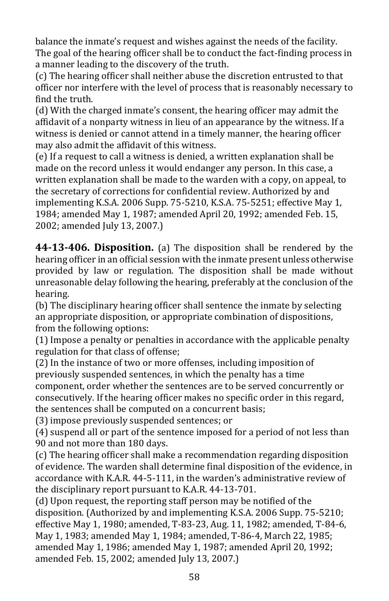balance the inmate's request and wishes against the needs of the facility. The goal of the hearing officer shall be to conduct the fact-finding process in a manner leading to the discovery of the truth.

(c) The hearing officer shall neither abuse the discretion entrusted to that officer nor interfere with the level of process that is reasonably necessary to find the truth.

(d) With the charged inmate's consent, the hearing officer may admit the affidavit of a nonparty witness in lieu of an appearance by the witness. If a witness is denied or cannot attend in a timely manner, the hearing officer may also admit the affidavit of this witness.

(e) If a request to call a witness is denied, a written explanation shall be made on the record unless it would endanger any person. In this case, a written explanation shall be made to the warden with a copy, on appeal, to the secretary of corrections for confidential review. Authorized by and implementing K.S.A. 2006 Supp. 75-5210, K.S.A. 75-5251; effective May 1, 1984; amended May 1, 1987; amended April 20, 1992; amended Feb. 15, 2002; amended July 13, 2007.)

**44-13-406. Disposition.** (a) The disposition shall be rendered by the hearing officer in an official session with the inmate present unless otherwise provided by law or regulation. The disposition shall be made without unreasonable delay following the hearing, preferably at the conclusion of the hearing.

(b) The disciplinary hearing officer shall sentence the inmate by selecting an appropriate disposition, or appropriate combination of dispositions, from the following options:

(1) Impose a penalty or penalties in accordance with the applicable penalty regulation for that class of offense;

(2) In the instance of two or more offenses, including imposition of previously suspended sentences, in which the penalty has a time component, order whether the sentences are to be served concurrently or consecutively. If the hearing officer makes no specific order in this regard, the sentences shall be computed on a concurrent basis;

(3) impose previously suspended sentences; or

(4) suspend all or part of the sentence imposed for a period of not less than 90 and not more than 180 days.

(c) The hearing officer shall make a recommendation regarding disposition of evidence. The warden shall determine final disposition of the evidence, in accordance with K.A.R. 44-5-111, in the warden's administrative review of the disciplinary report pursuant to K.A.R. 44-13-701.

(d) Upon request, the reporting staff person may be notified of the disposition. (Authorized by and implementing K.S.A. 2006 Supp. 75-5210; effective May 1, 1980; amended, T-83-23, Aug. 11, 1982; amended, T-84-6, May 1, 1983; amended May 1, 1984; amended, T-86-4, March 22, 1985; amended May 1, 1986; amended May 1, 1987; amended April 20, 1992; amended Feb. 15, 2002; amended July 13, 2007.)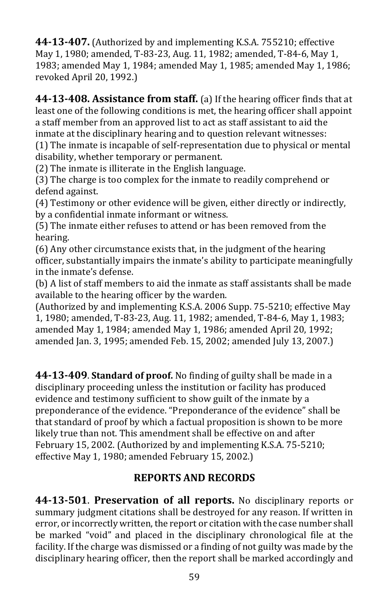**44-13-407.** (Authorized by and implementing K.S.A. 755210; effective May 1, 1980; amended, T-83-23, Aug. 11, 1982; amended, T-84-6, May 1, 1983; amended May 1, 1984; amended May 1, 1985; amended May 1, 1986; revoked April 20, 1992.)

**44-13-408. Assistance from staff.** (a) If the hearing officer finds that at least one of the following conditions is met, the hearing officer shall appoint a staff member from an approved list to act as staff assistant to aid the inmate at the disciplinary hearing and to question relevant witnesses:

(1) The inmate is incapable of self-representation due to physical or mental disability, whether temporary or permanent.

(2) The inmate is illiterate in the English language.

(3) The charge is too complex for the inmate to readily comprehend or defend against.

(4) Testimony or other evidence will be given, either directly or indirectly, by a confidential inmate informant or witness.

(5) The inmate either refuses to attend or has been removed from the hearing.

(6) Any other circumstance exists that, in the judgment of the hearing officer, substantially impairs the inmate's ability to participate meaningfully in the inmate's defense.

(b) A list of staff members to aid the inmate as staff assistants shall be made available to the hearing officer by the warden.

(Authorized by and implementing K.S.A. 2006 Supp. 75-5210; effective May 1, 1980; amended, T-83-23, Aug. 11, 1982; amended, T-84-6, May 1, 1983; amended May 1, 1984; amended May 1, 1986; amended April 20, 1992; amended Jan. 3, 1995; amended Feb. 15, 2002; amended July 13, 2007.)

**44-13-409**. **Standard of proof.** No finding of guilty shall be made in a disciplinary proceeding unless the institution or facility has produced evidence and testimony sufficient to show guilt of the inmate by a preponderance of the evidence. "Preponderance of the evidence" shall be that standard of proof by which a factual proposition is shown to be more likely true than not. This amendment shall be effective on and after February 15, 2002. (Authorized by and implementing K.S.A. 75-5210; effective May 1, 1980; amended February 15, 2002.)

### **REPORTS AND RECORDS**

**44-13-501**. **Preservation of all reports.** No disciplinary reports or summary judgment citations shall be destroyed for any reason. If written in error, or incorrectly written, the report or citation with the case number shall be marked "void" and placed in the disciplinary chronological file at the facility. If the charge was dismissed or a finding of not guilty was made by the disciplinary hearing officer, then the report shall be marked accordingly and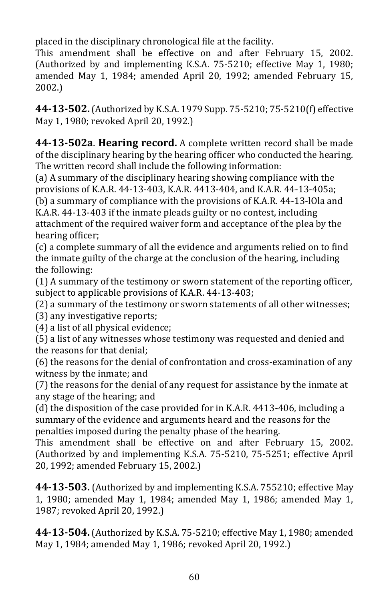placed in the disciplinary chronological file at the facility.

This amendment shall be effective on and after February 15, 2002. (Authorized by and implementing K.S.A. 75-5210; effective May 1, 1980; amended May 1, 1984; amended April 20, 1992; amended February 15, 2002.)

**44-13-502.**(Authorized by K.S.A. 1979 Supp. 75-5210; 75-5210(f) effective May 1, 1980; revoked April 20, 1992.)

**44-13-502a**. **Hearing record.** A complete written record shall be made of the disciplinary hearing by the hearing officer who conducted the hearing. The written record shall include the following information:

(a) A summary of the disciplinary hearing showing compliance with the provisions of K.A.R. 44-13-403, K.A.R. 4413-404, and K.A.R. 44-13-405a; (b) a summary of compliance with the provisions of K.A.R. 44-13-lOla and K.A.R. 44-13-403 if the inmate pleads guilty or no contest, including attachment of the required waiver form and acceptance of the plea by the

hearing officer;

(c) a complete summary of all the evidence and arguments relied on to find the inmate guilty of the charge at the conclusion of the hearing, including the following:

(1) A summary of the testimony or sworn statement of the reporting officer, subject to applicable provisions of K.A.R. 44-13-403;

(2) a summary of the testimony or sworn statements of all other witnesses;

(3) any investigative reports;

(4) a list of all physical evidence;

(5) a list of any witnesses whose testimony was requested and denied and the reasons for that denial;

(6) the reasons for the denial of confrontation and cross-examination of any witness by the inmate; and

(7) the reasons for the denial of any request for assistance by the inmate at any stage of the hearing; and

(d) the disposition of the case provided for in K.A.R. 4413-406, including a summary of the evidence and arguments heard and the reasons for the penalties imposed during the penalty phase of the hearing.

This amendment shall be effective on and after February 15, 2002. (Authorized by and implementing K.S.A. 75-5210, 75-5251; effective April 20, 1992; amended February 15, 2002.)

**44-13-503.** (Authorized by and implementing K.S.A. 755210; effective May 1, 1980; amended May 1, 1984; amended May 1, 1986; amended May 1, 1987; revoked April 20, 1992.)

**44-13-504.**(Authorized by K.S.A. 75-5210; effective May 1, 1980; amended May 1, 1984; amended May 1, 1986; revoked April 20, 1992.)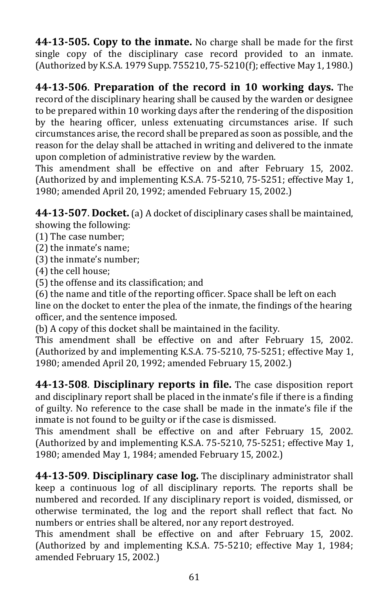**44-13-505. Copy to the inmate.** No charge shall be made for the first single copy of the disciplinary case record provided to an inmate. (Authorized by K.S.A. 1979 Supp. 755210, 75-5210(f); effective May 1, 1980.)

**44-13-506**. **Preparation of the record in 10 working days.** The record of the disciplinary hearing shall be caused by the warden or designee to be prepared within 10 working days after the rendering of the disposition by the hearing officer, unless extenuating circumstances arise. If such circumstances arise, the record shall be prepared as soon as possible, and the reason for the delay shall be attached in writing and delivered to the inmate upon completion of administrative review by the warden.

This amendment shall be effective on and after February 15, 2002. (Authorized by and implementing K.S.A. 75-5210, 75-5251; effective May 1, 1980; amended April 20, 1992; amended February 15, 2002.)

**44-13-507**. **Docket.**(a) A docket of disciplinary cases shall be maintained, showing the following:

- (1) The case number;
- (2) the inmate's name;
- (3) the inmate's number;
- (4) the cell house;
- (5) the offense and its classification; and

(6) the name and title of the reporting officer. Space shall be left on each line on the docket to enter the plea of the inmate, the findings of the hearing officer, and the sentence imposed.

(b) A copy of this docket shall be maintained in the facility.

This amendment shall be effective on and after February 15, 2002. (Authorized by and implementing K.S.A. 75-5210, 75-5251; effective May 1, 1980; amended April 20, 1992; amended February 15, 2002.)

**44-13-508**. **Disciplinary reports in file.** The case disposition report and disciplinary report shall be placed in the inmate's file if there is a finding of guilty. No reference to the case shall be made in the inmate's file if the inmate is not found to be guilty or if the case is dismissed.

This amendment shall be effective on and after February 15, 2002. (Authorized by and implementing K.S.A. 75-5210, 75-5251; effective May 1, 1980; amended May 1, 1984; amended February 15, 2002.)

**44-13-509**. **Disciplinary case log.** The disciplinary administrator shall keep a continuous log of all disciplinary reports. The reports shall be numbered and recorded. If any disciplinary report is voided, dismissed, or otherwise terminated, the log and the report shall reflect that fact. No numbers or entries shall be altered, nor any report destroyed.

This amendment shall be effective on and after February 15, 2002. (Authorized by and implementing K.S.A. 75-5210; effective May 1, 1984; amended February 15, 2002.)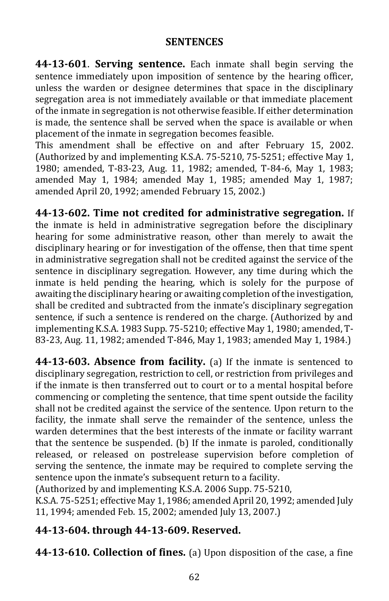#### **SENTENCES**

**44-13-601**. **Serving sentence.** Each inmate shall begin serving the sentence immediately upon imposition of sentence by the hearing officer, unless the warden or designee determines that space in the disciplinary segregation area is not immediately available or that immediate placement of the inmate in segregation is not otherwise feasible. If either determination is made, the sentence shall be served when the space is available or when placement of the inmate in segregation becomes feasible.

This amendment shall be effective on and after February 15, 2002. (Authorized by and implementing K.S.A. 75-5210, 75-5251; effective May 1, 1980; amended, T-83-23, Aug. 11, 1982; amended, T-84-6, May 1, 1983; amended May 1, 1984; amended May 1, 1985; amended May 1, 1987; amended April 20, 1992; amended February 15, 2002.)

**44-13-602. Time not credited for administrative segregation.** If the inmate is held in administrative segregation before the disciplinary hearing for some administrative reason, other than merely to await the disciplinary hearing or for investigation of the offense, then that time spent in administrative segregation shall not be credited against the service of the sentence in disciplinary segregation. However, any time during which the inmate is held pending the hearing, which is solely for the purpose of awaiting the disciplinary hearing or awaiting completion of the investigation, shall be credited and subtracted from the inmate's disciplinary segregation sentence, if such a sentence is rendered on the charge. (Authorized by and implementing K.S.A. 1983 Supp. 75-5210; effective May 1, 1980; amended, T-83-23, Aug. 11, 1982; amended T-846, May 1, 1983; amended May 1, 1984.)

**44-13-603. Absence from facility.** (a) If the inmate is sentenced to disciplinary segregation, restriction to cell, or restriction from privileges and if the inmate is then transferred out to court or to a mental hospital before commencing or completing the sentence, that time spent outside the facility shall not be credited against the service of the sentence. Upon return to the facility, the inmate shall serve the remainder of the sentence, unless the warden determines that the best interests of the inmate or facility warrant that the sentence be suspended. (b) If the inmate is paroled, conditionally released, or released on postrelease supervision before completion of serving the sentence, the inmate may be required to complete serving the sentence upon the inmate's subsequent return to a facility.

(Authorized by and implementing K.S.A. 2006 Supp. 75-5210,

K.S.A. 75-5251; effective May 1, 1986; amended April 20, 1992; amended July 11, 1994; amended Feb. 15, 2002; amended July 13, 2007.)

### **44-13-604. through 44-13-609. Reserved.**

**44-13-610. Collection of fines.** (a) Upon disposition of the case, a fine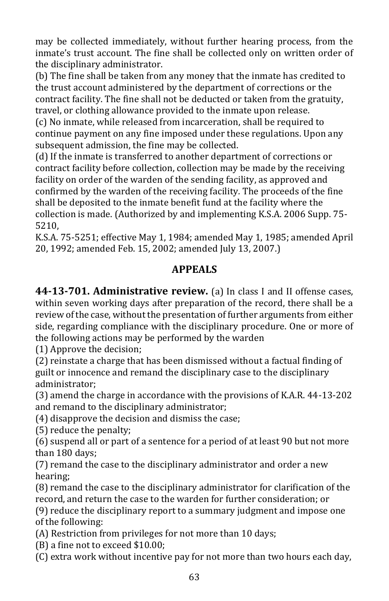may be collected immediately, without further hearing process, from the inmate's trust account. The fine shall be collected only on written order of the disciplinary administrator.

(b) The fine shall be taken from any money that the inmate has credited to the trust account administered by the department of corrections or the contract facility. The fine shall not be deducted or taken from the gratuity, travel, or clothing allowance provided to the inmate upon release.

(c) No inmate, while released from incarceration, shall be required to continue payment on any fine imposed under these regulations. Upon any subsequent admission, the fine may be collected.

(d) If the inmate is transferred to another department of corrections or contract facility before collection, collection may be made by the receiving facility on order of the warden of the sending facility, as approved and confirmed by the warden of the receiving facility*.* The proceeds of the fine shall be deposited to the inmate benefit fund at the facility where the collection is made. (Authorized by and implementing K.S.A. 2006 Supp. 75- 5210,

K.S.A. 75-5251; effective May 1, 1984; amended May 1, 1985; amended April 20, 1992; amended Feb. 15, 2002; amended July 13, 2007.)

#### **APPEALS**

**44-13-701. Administrative review.** (a) In class I and II offense cases, within seven working days after preparation of the record, there shall be a review of the case, without the presentation of further arguments from either side, regarding compliance with the disciplinary procedure. One or more of the following actions may be performed by the warden

(1) Approve the decision;

(2) reinstate a charge that has been dismissed without a factual finding of guilt or innocence and remand the disciplinary case to the disciplinary administrator;

(3) amend the charge in accordance with the provisions of K.A.R. 44-13-202 and remand to the disciplinary administrator;

(4) disapprove the decision and dismiss the case;

(5) reduce the penalty;

(6) suspend all or part of a sentence for a period of at least 90 but not more than 180 days;

(7) remand the case to the disciplinary administrator and order a new hearing;

(8) remand the case to the disciplinary administrator for clarification of the record, and return the case to the warden for further consideration; or

(9) reduce the disciplinary report to a summary judgment and impose one of the following:

(A) Restriction from privileges for not more than 10 days;

(B) a fine not to exceed \$10.00;

(C) extra work without incentive pay for not more than two hours each day,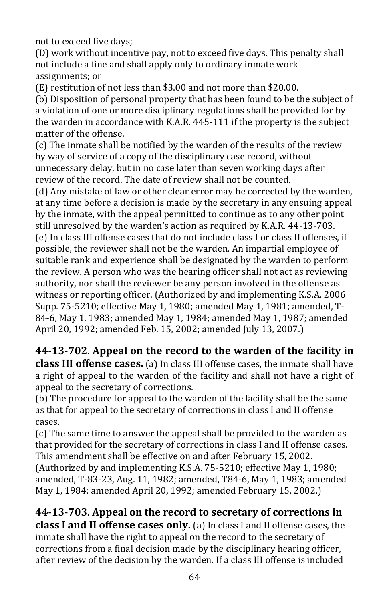not to exceed five days;

(D) work without incentive pay, not to exceed five days. This penalty shall not include a fine and shall apply only to ordinary inmate work assignments; or

(E) restitution of not less than \$3.00 and not more than \$20.00.

(b) Disposition of personal property that has been found to be the subject of a violation of one or more disciplinary regulations shall be provided for by the warden in accordance with K.A.R. 445-111 if the property is the subject matter of the offense.

(c) The inmate shall be notified by the warden of the results of the review by way of service of a copy of the disciplinary case record, without unnecessary delay, but in no case later than seven working days after review of the record. The date of review shall not be counted.

(d) Any mistake of law or other clear error may be corrected by the warden, at any time before a decision is made by the secretary in any ensuing appeal by the inmate, with the appeal permitted to continue as to any other point still unresolved by the warden's action as required by K.A.R. 44-13-703. (e) In class III offense cases that do not include class I or class II offenses, if possible, the reviewer shall not be the warden. An impartial employee of suitable rank and experience shall be designated by the warden to perform the review. A person who was the hearing officer shall not act as reviewing authority, nor shall the reviewer be any person involved in the offense as witness or reporting officer. (Authorized by and implementing K.S.A. 2006 Supp. 75-5210; effective May 1, 1980; amended May 1, 1981; amended, T-84-6, May 1, 1983; amended May 1, 1984; amended May 1, 1987; amended April 20, 1992; amended Feb. 15, 2002; amended July 13, 2007.)

**44-13-702**. **Appeal on the record to the warden of the facility in class III offense cases.** (a) In class III offense cases, the inmate shall have a right of appeal to the warden of the facility and shall not have a right of appeal to the secretary of corrections.

(b) The procedure for appeal to the warden of the facility shall be the same as that for appeal to the secretary of corrections in class I and II offense cases.

(c) The same time to answer the appeal shall be provided to the warden as that provided for the secretary of corrections in class I and II offense cases. This amendment shall be effective on and after February 15, 2002.

(Authorized by and implementing K.S.A. 75-5210; effective May 1, 1980; amended, T-83-23, Aug. 11, 1982; amended, T84-6, May 1, 1983; amended May 1, 1984; amended April 20, 1992; amended February 15, 2002.)

**44-13-703. Appeal on the record to secretary of corrections in class I and II offense cases only.** (a) In class I and II offense cases, the inmate shall have the right to appeal on the record to the secretary of corrections from a final decision made by the disciplinary hearing officer, after review of the decision by the warden. If a class III offense is included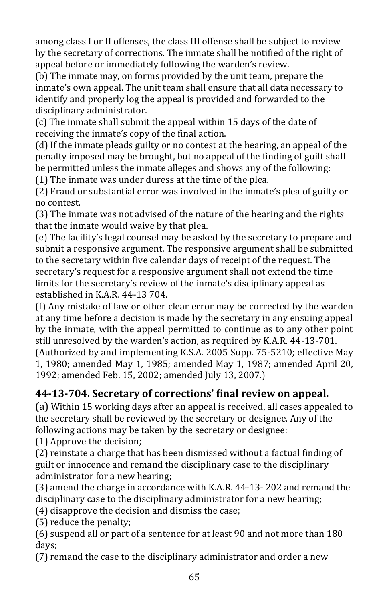among class I or II offenses, the class III offense shall be subject to review by the secretary of corrections. The inmate shall be notified of the right of appeal before or immediately following the warden's review.

(b) The inmate may, on forms provided by the unit team, prepare the inmate's own appeal. The unit team shall ensure that all data necessary to identify and properly log the appeal is provided and forwarded to the disciplinary administrator.

(c) The inmate shall submit the appeal within 15 days of the date of receiving the inmate's copy of the final action.

(d) If the inmate pleads guilty or no contest at the hearing, an appeal of the penalty imposed may be brought, but no appeal of the finding of guilt shall be permitted unless the inmate alleges and shows any of the following:

(1) The inmate was under duress at the time of the plea.

(2) Fraud or substantial error was involved in the inmate's plea of guilty or no contest.

(3) The inmate was not advised of the nature of the hearing and the rights that the inmate would waive by that plea.

(e) The facility's legal counsel may be asked by the secretary to prepare and submit a responsive argument. The responsive argument shall be submitted to the secretary within five calendar days of receipt of the request. The secretary's request for a responsive argument shall not extend the time limits for the secretary's review of the inmate's disciplinary appeal as established in K.A.R. 44-13 704.

(f) Any mistake of law or other clear error may be corrected by the warden at any time before a decision is made by the secretary in any ensuing appeal by the inmate, with the appeal permitted to continue as to any other point still unresolved by the warden's action, as required by K.A.R. 44-13-701.

(Authorized by and implementing K.S.A. 2005 Supp. 75-5210; effective May 1, 1980; amended May 1, 1985; amended May 1, 1987; amended April 20, 1992; amended Feb. 15, 2002; amended July 13, 2007.)

# **44-13-704. Secretary of corrections' final review on appeal.**

(a) Within 15 working days after an appeal is received, all cases appealed to the secretary shall be reviewed by the secretary or designee. Any of the following actions may be taken by the secretary or designee:

(1) Approve the decision;

(2) reinstate a charge that has been dismissed without a factual finding of guilt or innocence and remand the disciplinary case to the disciplinary administrator for a new hearing;

(3) amend the charge in accordance with K.A.R. 44-13- 202 and remand the disciplinary case to the disciplinary administrator for a new hearing;

(4) disapprove the decision and dismiss the case;

(5) reduce the penalty;

(6) suspend all or part of a sentence for at least 90 and not more than 180 days;

(7) remand the case to the disciplinary administrator and order a new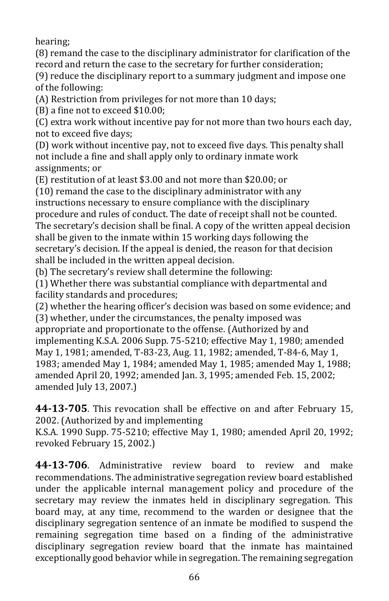hearing;

(8) remand the case to the disciplinary administrator for clarification of the record and return the case to the secretary for further consideration;

(9) reduce the disciplinary report to a summary judgment and impose one of the following:

(A) Restriction from privileges for not more than 10 days;

(B) a fine not to exceed \$10.00;

(C) extra work without incentive pay for not more than two hours each day, not to exceed five days;

(D) work without incentive pay, not to exceed five days. This penalty shall not include a fine and shall apply only to ordinary inmate work assignments; or

(E) restitution of at least \$3.00 and not more than \$20.00; or

(10) remand the case to the disciplinary administrator with any instructions necessary to ensure compliance with the disciplinary procedure and rules of conduct. The date of receipt shall not be counted. The secretary's decision shall be final. A copy of the written appeal decision shall be given to the inmate within 15 working days following the secretary's decision. If the appeal is denied, the reason for that decision shall be included in the written appeal decision.

(b) The secretary's review shall determine the following:

(1) Whether there was substantial compliance with departmental and facility standards and procedures;

(2) whether the hearing officer's decision was based on some evidence; and (3) whether, under the circumstances, the penalty imposed was appropriate and proportionate to the offense. (Authorized by and implementing K.S.A. 2006 Supp. 75-5210; effective May 1, 1980; amended May 1, 1981; amended, T-83-23, Aug. 11, 1982; amended, T-84-6, May 1, 1983; amended May 1, 1984; amended May 1, 1985; amended May 1, 1988; amended April 20, 1992; amended Jan. 3, 1995; amended Feb. 15, 2002; amended July 13, 2007.)

**44-13-705**. This revocation shall be effective on and after February 15, 2002. (Authorized by and implementing

K.S.A. 1990 Supp. 75-5210; effective May 1, 1980; amended April 20, 1992; revoked February 15, 2002.)

**44-13-706**. Administrative review board to review and make recommendations. The administrative segregation review board established under the applicable internal management policy and procedure of the secretary may review the inmates held in disciplinary segregation. This board may, at any time, recommend to the warden or designee that the disciplinary segregation sentence of an inmate be modified to suspend the remaining segregation time based on a finding of the administrative disciplinary segregation review board that the inmate has maintained exceptionally good behavior while in segregation. The remaining segregation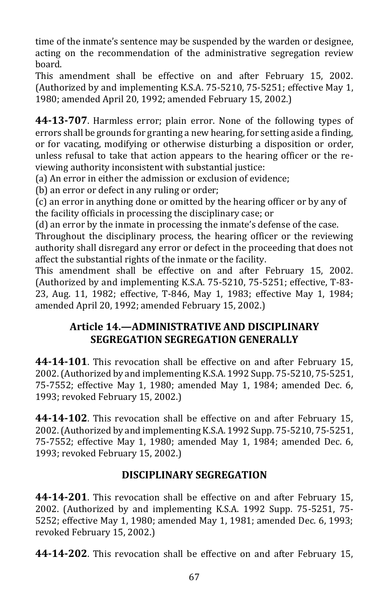time of the inmate's sentence may be suspended by the warden or designee, acting on the recommendation of the administrative segregation review board.

This amendment shall be effective on and after February 15, 2002. (Authorized by and implementing K.S.A. 75-5210, 75-5251; effective May 1, 1980; amended April 20, 1992; amended February 15, 2002.)

**44-13-707**. Harmless error; plain error. None of the following types of errors shall be grounds for granting a new hearing, for setting aside a finding, or for vacating, modifying or otherwise disturbing a disposition or order, unless refusal to take that action appears to the hearing officer or the reviewing authority inconsistent with substantial justice:

(a) An error in either the admission or exclusion of evidence;

(b) an error or defect in any ruling or order;

(c) an error in anything done or omitted by the hearing officer or by any of the facility officials in processing the disciplinary case; or

(d) an error by the inmate in processing the inmate's defense of the case.

Throughout the disciplinary process, the hearing officer or the reviewing authority shall disregard any error or defect in the proceeding that does not affect the substantial rights of the inmate or the facility.

This amendment shall be effective on and after February 15, 2002. (Authorized by and implementing K.S.A. 75-5210, 75-5251; effective, T-83- 23, Aug. 11, 1982; effective, T-846, May 1, 1983; effective May 1, 1984; amended April 20, 1992; amended February 15, 2002.)

## **Article 14.—ADMINISTRATIVE AND DISCIPLINARY SEGREGATION SEGREGATION GENERALLY**

**44-14-101**. This revocation shall be effective on and after February 15, 2002. (Authorized by and implementing K.S.A. 1992 Supp. 75-5210, 75-5251, 75-7552; effective May 1, 1980; amended May 1, 1984; amended Dec. 6, 1993; revoked February 15, 2002.)

**44-14-102**. This revocation shall be effective on and after February 15, 2002. (Authorized by and implementing K.S.A. 1992 Supp. 75-5210, 75-5251, 75-7552; effective May 1, 1980; amended May 1, 1984; amended Dec. 6, 1993; revoked February 15, 2002.)

### **DISCIPLINARY SEGREGATION**

**44-14-201**. This revocation shall be effective on and after February 15, 2002. (Authorized by and implementing K.S.A. 1992 Supp. 75-5251, 75- 5252; effective May 1, 1980; amended May 1, 1981; amended Dec. 6, 1993; revoked February 15, 2002.)

**44-14-202**. This revocation shall be effective on and after February 15,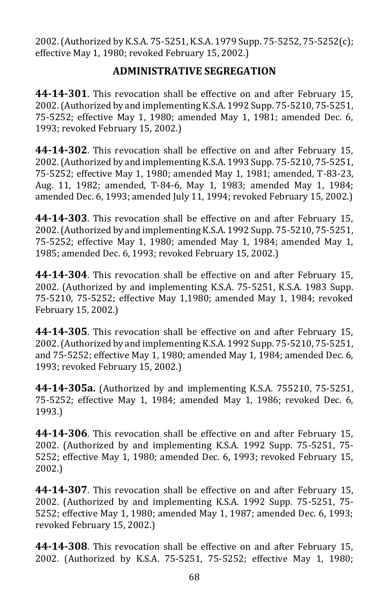2002. (Authorized by K.S.A. 75-5251, K.S.A. 1979 Supp. 75-5252, 75-5252(c); effective May 1, 1980; revoked February 15, 2002.)

#### **ADMINISTRATIVE SEGREGATION**

**44-14-301**. This revocation shall be effective on and after February 15, 2002. (Authorized by and implementing K.S.A. 1992 Supp. 75-5210, 75-5251, 75-5252; effective May 1, 1980; amended May 1, 1981; amended Dec. 6, 1993; revoked February 15, 2002.)

**44-14-302**. This revocation shall be effective on and after February 15, 2002. (Authorized by and implementing K.S.A. 1993 Supp. 75-5210, 75-5251, 75-5252; effective May 1, 1980; amended May 1, 1981; amended, T-83-23, Aug. 11, 1982; amended, T-84-6, May 1, 1983; amended May 1, 1984; amended Dec. 6, 1993; amended July 11, 1994; revoked February 15, 2002.)

**44-14-303**. This revocation shall be effective on and after February 15, 2002. (Authorized by and implementing K.S.A. 1992 Supp. 75-5210, 75-5251, 75-5252; effective May 1, 1980; amended May 1, 1984; amended May 1, 1985; amended Dec. 6, 1993; revoked February 15, 2002.)

**44-14-304**. This revocation shall be effective on and after February 15, 2002. (Authorized by and implementing K.S.A. 75-5251, K.S.A. 1983 Supp. 75-5210, 75-5252; effective May 1,1980; amended May 1, 1984; revoked February 15, 2002.)

**44-14-305**. This revocation shall be effective on and after February 15, 2002. (Authorized by and implementing K.S.A. 1992 Supp. 75-5210, 75-5251, and 75-5252; effective May 1, 1980; amended May 1, 1984; amended Dec. 6, 1993; revoked February 15, 2002.)

**44-14-305a.** (Authorized by and implementing K.S.A. 755210, 75-5251, 75-5252; effective May 1, 1984; amended May 1, 1986; revoked Dec. 6, 1993.)

**44-14-306**. This revocation shall be effective on and after February 15, 2002. (Authorized by and implementing K.S.A. 1992 Supp. 75-5251, 75- 5252; effective May 1, 1980; amended Dec. 6, 1993; revoked February 15, 2002.)

**44-14-307**. This revocation shall be effective on and after February 15, 2002. (Authorized by and implementing K.S.A. 1992 Supp. 75-5251, 75- 5252; effective May 1, 1980; amended May 1, 1987; amended Dec. 6, 1993; revoked February 15, 2002.)

**44-14-308**. This revocation shall be effective on and after February 15, 2002. (Authorized by K.S.A. 75-5251, 75-5252; effective May 1, 1980;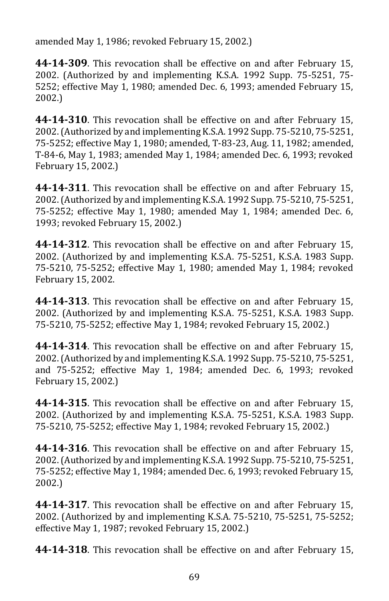amended May 1, 1986; revoked February 15, 2002.)

**44-14-309**. This revocation shall be effective on and after February 15, 2002. (Authorized by and implementing K.S.A. 1992 Supp. 75-5251, 75- 5252; effective May 1, 1980; amended Dec. 6, 1993; amended February 15, 2002.)

**44-14-310**. This revocation shall be effective on and after February 15, 2002. (Authorized by and implementing K.S.A. 1992 Supp. 75-5210, 75-5251, 75-5252; effective May 1, 1980; amended, T-83-23, Aug. 11, 1982; amended, T-84-6, May 1, 1983; amended May 1, 1984; amended Dec. 6, 1993; revoked February 15, 2002.)

**44-14-311**. This revocation shall be effective on and after February 15, 2002. (Authorized by and implementing K.S.A. 1992 Supp. 75-5210, 75-5251, 75-5252; effective May 1, 1980; amended May 1, 1984; amended Dec. 6, 1993; revoked February 15, 2002.)

**44-14-312**. This revocation shall be effective on and after February 15, 2002. (Authorized by and implementing K.S.A. 75-5251, K.S.A. 1983 Supp. 75-5210, 75-5252; effective May 1, 1980; amended May 1, 1984; revoked February 15, 2002.

**44-14-313**. This revocation shall be effective on and after February 15, 2002. (Authorized by and implementing K.S.A. 75-5251, K.S.A. 1983 Supp. 75-5210, 75-5252; effective May 1, 1984; revoked February 15, 2002.)

**44-14-314**. This revocation shall be effective on and after February 15, 2002. (Authorized by and implementing K.S.A. 1992 Supp. 75-5210, 75-5251, and 75-5252; effective May 1, 1984; amended Dec. 6, 1993; revoked February 15, 2002.)

**44-14-315**. This revocation shall be effective on and after February 15, 2002. (Authorized by and implementing K.S.A. 75-5251, K.S.A. 1983 Supp. 75-5210, 75-5252; effective May 1, 1984; revoked February 15, 2002.)

**44-14-316**. This revocation shall be effective on and after February 15, 2002. (Authorized by and implementing K.S.A. 1992 Supp. 75-5210, 75-5251, 75-5252; effective May 1, 1984; amended Dec. 6, 1993; revoked February 15, 2002.)

**44-14-317**. This revocation shall be effective on and after February 15, 2002. (Authorized by and implementing K.S.A. 75-5210, 75-5251, 75-5252; effective May 1, 1987; revoked February 15, 2002.)

**44-14-318**. This revocation shall be effective on and after February 15,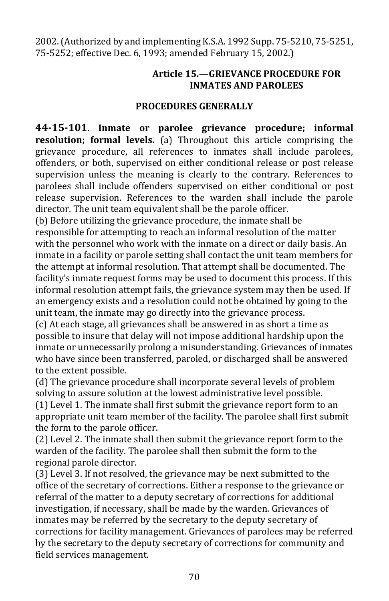2002. (Authorized by and implementing K.S.A. 1992 Supp. 75-5210, 75-5251, 75-5252; effective Dec. 6, 1993; amended February 15, 2002.)

#### **Article 15.—GRIEVANCE PROCEDURE FOR INMATES AND PAROLEES**

#### **PROCEDURES GENERALLY**

**44-15-101**. **Inmate or parolee grievance procedure; informal resolution; formal levels.** (a) Throughout this article comprising the grievance procedure, all references to inmates shall include parolees, offenders, or both, supervised on either conditional release or post release supervision unless the meaning is clearly to the contrary. References to parolees shall include offenders supervised on either conditional or post release supervision. References to the warden shall include the parole director. The unit team equivalent shall be the parole officer.

(b) Before utilizing the grievance procedure, the inmate shall be responsible for attempting to reach an informal resolution of the matter with the personnel who work with the inmate on a direct or daily basis. An inmate in a facility or parole setting shall contact the unit team members for the attempt at informal resolution. That attempt shall be documented. The facility's inmate request forms may be used to document this process. If this informal resolution attempt fails, the grievance system may then be used. If an emergency exists and a resolution could not be obtained by going to the unit team, the inmate may go directly into the grievance process.

(c) At each stage, all grievances shall be answered in as short a time as possible to insure that delay will not impose additional hardship upon the inmate or unnecessarily prolong a misunderstanding. Grievances of inmates who have since been transferred, paroled, or discharged shall be answered to the extent possible.

(d) The grievance procedure shall incorporate several levels of problem solving to assure solution at the lowest administrative level possible.

(1) Level 1. The inmate shall first submit the grievance report form to an appropriate unit team member of the facility. The parolee shall first submit the form to the parole officer.

(2) Level 2. The inmate shall then submit the grievance report form to the warden of the facility. The parolee shall then submit the form to the regional parole director.

(3) Level 3. If not resolved, the grievance may be next submitted to the office of the secretary of corrections. Either a response to the grievance or referral of the matter to a deputy secretary of corrections for additional investigation, if necessary, shall be made by the warden. Grievances of inmates may be referred by the secretary to the deputy secretary of corrections for facility management. Grievances of parolees may be referred by the secretary to the deputy secretary of corrections for community and field services management.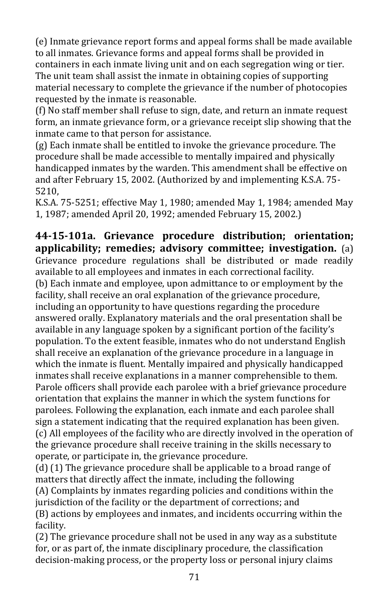(e) Inmate grievance report forms and appeal forms shall be made available to all inmates. Grievance forms and appeal forms shall be provided in containers in each inmate living unit and on each segregation wing or tier. The unit team shall assist the inmate in obtaining copies of supporting material necessary to complete the grievance if the number of photocopies requested by the inmate is reasonable.

(f) No staff member shall refuse to sign, date, and return an inmate request form, an inmate grievance form, or a grievance receipt slip showing that the inmate came to that person for assistance.

(g) Each inmate shall be entitled to invoke the grievance procedure. The procedure shall be made accessible to mentally impaired and physically handicapped inmates by the warden. This amendment shall be effective on and after February 15, 2002. (Authorized by and implementing K.S.A. 75- 5210,

K.S.A. 75-5251; effective May 1, 1980; amended May 1, 1984; amended May 1, 1987; amended April 20, 1992; amended February 15, 2002.)

**44-15-101a. Grievance procedure distribution; orientation; applicability; remedies; advisory committee; investigation.** (a) Grievance procedure regulations shall be distributed or made readily available to all employees and inmates in each correctional facility. (b) Each inmate and employee, upon admittance to or employment by the facility, shall receive an oral explanation of the grievance procedure, including an opportunity to have questions regarding the procedure answered orally. Explanatory materials and the oral presentation shall be available in any language spoken by a significant portion of the facility's population. To the extent feasible, inmates who do not understand English shall receive an explanation of the grievance procedure in a language in which the inmate is fluent. Mentally impaired and physically handicapped inmates shall receive explanations in a manner comprehensible to them. Parole officers shall provide each parolee with a brief grievance procedure orientation that explains the manner in which the system functions for parolees. Following the explanation, each inmate and each parolee shall sign a statement indicating that the required explanation has been given. (c) All employees of the facility who are directly involved in the operation of the grievance procedure shall receive training in the skills necessary to operate, or participate in, the grievance procedure.

(d) (1) The grievance procedure shall be applicable to a broad range of matters that directly affect the inmate, including the following (A) Complaints by inmates regarding policies and conditions within the jurisdiction of the facility or the department of corrections; and (B) actions by employees and inmates, and incidents occurring within the facility.

(2) The grievance procedure shall not be used in any way as a substitute for, or as part of, the inmate disciplinary procedure, the classification decision-making process, or the property loss or personal injury claims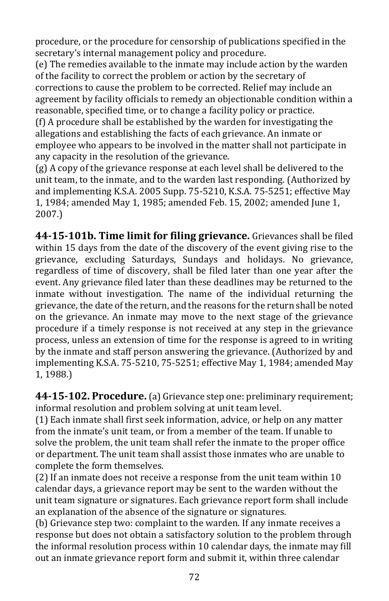procedure, or the procedure for censorship of publications specified in the secretary's internal management policy and procedure.

(e) The remedies available to the inmate may include action by the warden of the facility to correct the problem or action by the secretary of corrections to cause the problem to be corrected. Relief may include an agreement by facility officials to remedy an objectionable condition within a reasonable, specified time, or to change a facility policy or practice.

(f) A procedure shall be established by the warden for investigating the allegations and establishing the facts of each grievance. An inmate or employee who appears to be involved in the matter shall not participate in any capacity in the resolution of the grievance.

(g) A copy of the grievance response at each level shall be delivered to the unit team, to the inmate, and to the warden last responding. (Authorized by and implementing K.S.A. 2005 Supp. 75-5210, K.S.A. 75-5251; effective May 1, 1984; amended May 1, 1985; amended Feb. 15, 2002; amended June 1, 2007.)

**44-15-101b. Time limit for filing grievance.** Grievances shall be filed within 15 days from the date of the discovery of the event giving rise to the grievance, excluding Saturdays, Sundays and holidays. No grievance, regardless of time of discovery, shall be filed later than one year after the event. Any grievance filed later than these deadlines may be returned to the inmate without investigation. The name of the individual returning the grievance, the date of the return, and the reasons for the return shall be noted on the grievance. An inmate may move to the next stage of the grievance procedure if a timely response is not received at any step in the grievance process, unless an extension of time for the response is agreed to in writing by the inmate and staff person answering the grievance. (Authorized by and implementing K.S.A. 75-5210, 75-5251; effective May 1, 1984; amended May 1, 1988.)

**44-15-102. Procedure.** (a) Grievance step one: preliminary requirement; informal resolution and problem solving at unit team level.

(1) Each inmate shall first seek information, advice, or help on any matter from the inmate's unit team, or from a member of the team. If unable to solve the problem, the unit team shall refer the inmate to the proper office or department. The unit team shall assist those inmates who are unable to complete the form themselves.

(2) If an inmate does not receive a response from the unit team within 10 calendar days, a grievance report may be sent to the warden without the unit team signature or signatures. Each grievance report form shall include an explanation of the absence of the signature or signatures.

(b) Grievance step two: complaint to the warden. If any inmate receives a response but does not obtain a satisfactory solution to the problem through the informal resolution process within 10 calendar days, the inmate may fill out an inmate grievance report form and submit it, within three calendar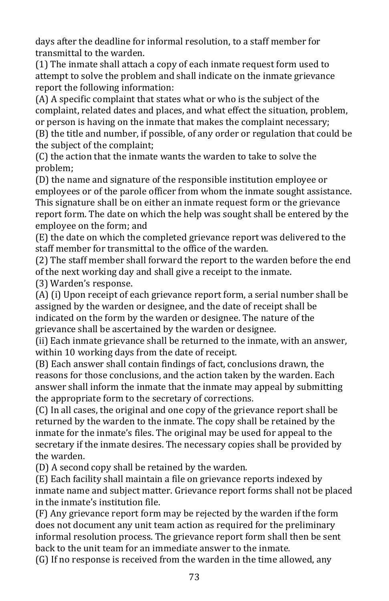days after the deadline for informal resolution, to a staff member for transmittal to the warden.

(1) The inmate shall attach a copy of each inmate request form used to attempt to solve the problem and shall indicate on the inmate grievance report the following information:

(A) A specific complaint that states what or who is the subject of the complaint, related dates and places, and what effect the situation, problem, or person is having on the inmate that makes the complaint necessary;

(B) the title and number, if possible, of any order or regulation that could be the subject of the complaint;

(C) the action that the inmate wants the warden to take to solve the problem;

(D) the name and signature of the responsible institution employee or employees or of the parole officer from whom the inmate sought assistance. This signature shall be on either an inmate request form or the grievance report form. The date on which the help was sought shall be entered by the employee on the form; and

(E) the date on which the completed grievance report was delivered to the staff member for transmittal to the office of the warden.

(2) The staff member shall forward the report to the warden before the end of the next working day and shall give a receipt to the inmate.

(3) Warden's response.

(A) (i) Upon receipt of each grievance report form, a serial number shall be assigned by the warden or designee, and the date of receipt shall be indicated on the form by the warden or designee. The nature of the grievance shall be ascertained by the warden or designee.

(ii) Each inmate grievance shall be returned to the inmate, with an answer, within 10 working days from the date of receipt.

(B) Each answer shall contain findings of fact, conclusions drawn, the reasons for those conclusions, and the action taken by the warden. Each answer shall inform the inmate that the inmate may appeal by submitting the appropriate form to the secretary of corrections.

(C) In all cases, the original and one copy of the grievance report shall be returned by the warden to the inmate. The copy shall be retained by the inmate for the inmate's files. The original may be used for appeal to the secretary if the inmate desires. The necessary copies shall be provided by the warden.

(D) A second copy shall be retained by the warden.

(E) Each facility shall maintain a file on grievance reports indexed by inmate name and subject matter. Grievance report forms shall not be placed in the inmate's institution file.

(F) Any grievance report form may be rejected by the warden if the form does not document any unit team action as required for the preliminary informal resolution process. The grievance report form shall then be sent back to the unit team for an immediate answer to the inmate.

(G) If no response is received from the warden in the time allowed, any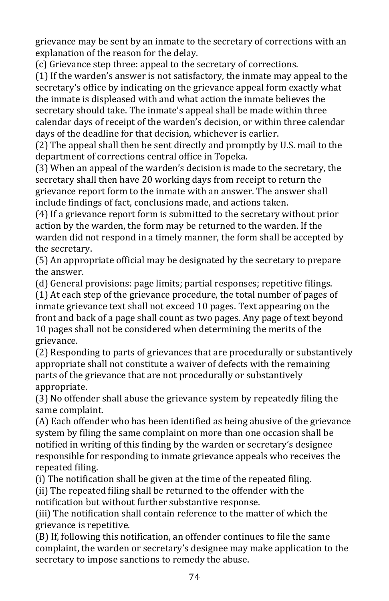grievance may be sent by an inmate to the secretary of corrections with an explanation of the reason for the delay.

(c) Grievance step three: appeal to the secretary of corrections.

(1) If the warden's answer is not satisfactory, the inmate may appeal to the secretary's office by indicating on the grievance appeal form exactly what the inmate is displeased with and what action the inmate believes the secretary should take. The inmate's appeal shall be made within three calendar days of receipt of the warden's decision, or within three calendar days of the deadline for that decision, whichever is earlier.

(2) The appeal shall then be sent directly and promptly by U.S. mail to the department of corrections central office in Topeka.

(3) When an appeal of the warden's decision is made to the secretary, the secretary shall then have 20 working days from receipt to return the grievance report form to the inmate with an answer. The answer shall include findings of fact, conclusions made, and actions taken.

(4) If a grievance report form is submitted to the secretary without prior action by the warden, the form may be returned to the warden. If the warden did not respond in a timely manner, the form shall be accepted by the secretary.

(5) An appropriate official may be designated by the secretary to prepare the answer.

(d) General provisions: page limits; partial responses; repetitive filings.

(1) At each step of the grievance procedure, the total number of pages of inmate grievance text shall not exceed 10 pages. Text appearing on the front and back of a page shall count as two pages. Any page of text beyond 10 pages shall not be considered when determining the merits of the grievance.

(2) Responding to parts of grievances that are procedurally or substantively appropriate shall not constitute a waiver of defects with the remaining parts of the grievance that are not procedurally or substantively appropriate.

(3) No offender shall abuse the grievance system by repeatedly filing the same complaint.

(A) Each offender who has been identified as being abusive of the grievance system by filing the same complaint on more than one occasion shall be notified in writing of this finding by the warden or secretary's designee responsible for responding to inmate grievance appeals who receives the repeated filing.

(i) The notification shall be given at the time of the repeated filing.

(ii) The repeated filing shall be returned to the offender with the notification but without further substantive response.

(iii) The notification shall contain reference to the matter of which the grievance is repetitive.

(B) If, following this notification, an offender continues to file the same complaint, the warden or secretary's designee may make application to the secretary to impose sanctions to remedy the abuse.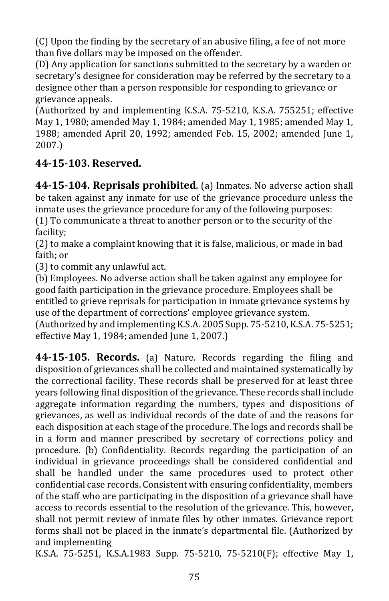(C) Upon the finding by the secretary of an abusive filing, a fee of not more than five dollars may be imposed on the offender.

(D) Any application for sanctions submitted to the secretary by a warden or secretary's designee for consideration may be referred by the secretary to a designee other than a person responsible for responding to grievance or grievance appeals.

(Authorized by and implementing K.S.A. 75-5210, K.S.A. 755251; effective May 1, 1980; amended May 1, 1984; amended May 1, 1985; amended May 1, 1988; amended April 20, 1992; amended Feb. 15, 2002; amended June 1, 2007.)

# **44-15-103. Reserved.**

**44-15-104. Reprisals prohibited**. (a) Inmates. No adverse action shall be taken against any inmate for use of the grievance procedure unless the inmate uses the grievance procedure for any of the following purposes: (1) To communicate a threat to another person or to the security of the facility;

(2) to make a complaint knowing that it is false, malicious, or made in bad faith; or

(3) to commit any unlawful act.

(b) Employees. No adverse action shall be taken against any employee for good faith participation in the grievance procedure. Employees shall be entitled to grieve reprisals for participation in inmate grievance systems by use of the department of corrections' employee grievance system.

(Authorized by and implementing K.S.A. 2005 Supp. 75-5210, K.S.A. 75-5251; effective May 1, 1984; amended June 1, 2007.)

**44-15-105. Records.** (a) Nature. Records regarding the filing and disposition of grievances shall be collected and maintained systematically by the correctional facility. These records shall be preserved for at least three years following final disposition of the grievance. These records shall include aggregate information regarding the numbers, types and dispositions of grievances, as well as individual records of the date of and the reasons for each disposition at each stage of the procedure. The logs and records shall be in a form and manner prescribed by secretary of corrections policy and procedure. (b) Confidentiality. Records regarding the participation of an individual in grievance proceedings shall be considered confidential and shall be handled under the same procedures used to protect other confidential case records. Consistent with ensuring confidentiality, members of the staff who are participating in the disposition of a grievance shall have access to records essential to the resolution of the grievance. This, however, shall not permit review of inmate files by other inmates. Grievance report forms shall not be placed in the inmate's departmental file. (Authorized by and implementing

K.S.A. 75-5251, K.S.A.1983 Supp. 75-5210, 75-5210(F); effective May 1,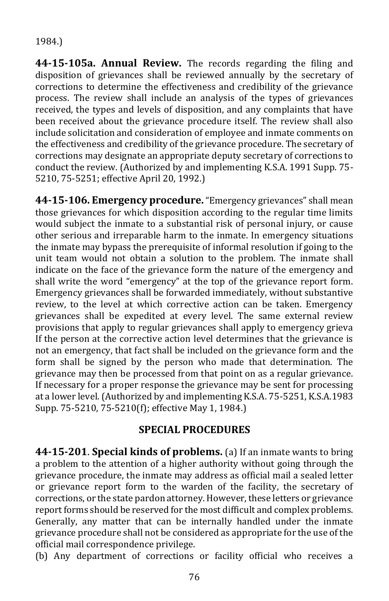1984.)

**44-15-105a. Annual Review.** The records regarding the filing and disposition of grievances shall be reviewed annually by the secretary of corrections to determine the effectiveness and credibility of the grievance process. The review shall include an analysis of the types of grievances received, the types and levels of disposition, and any complaints that have been received about the grievance procedure itself. The review shall also include solicitation and consideration of employee and inmate comments on the effectiveness and credibility of the grievance procedure. The secretary of corrections may designate an appropriate deputy secretary of corrections to conduct the review. (Authorized by and implementing K.S.A. 1991 Supp. 75- 5210, 75-5251; effective April 20, 1992.)

**44-15-106. Emergency procedure.**"Emergency grievances" shall mean those grievances for which disposition according to the regular time limits would subject the inmate to a substantial risk of personal injury, or cause other serious and irreparable harm to the inmate. In emergency situations the inmate may bypass the prerequisite of informal resolution if going to the unit team would not obtain a solution to the problem. The inmate shall indicate on the face of the grievance form the nature of the emergency and shall write the word "emergency" at the top of the grievance report form. Emergency grievances shall be forwarded immediately, without substantive review, to the level at which corrective action can be taken. Emergency grievances shall be expedited at every level. The same external review provisions that apply to regular grievances shall apply to emergency grieva If the person at the corrective action level determines that the grievance is not an emergency, that fact shall be included on the grievance form and the form shall be signed by the person who made that determination. The grievance may then be processed from that point on as a regular grievance. If necessary for a proper response the grievance may be sent for processing at a lower level. (Authorized by and implementing K.S.A. 75-5251, K.S.A.1983 Supp. 75-5210, 75-5210(f); effective May 1, 1984.)

#### **SPECIAL PROCEDURES**

**44-15-201**. **Special kinds of problems.** (a) If an inmate wants to bring a problem to the attention of a higher authority without going through the grievance procedure, the inmate may address as official mail a sealed letter or grievance report form to the warden of the facility, the secretary of corrections, or the state pardon attorney. However, these letters or grievance report forms should be reserved for the most difficult and complex problems. Generally, any matter that can be internally handled under the inmate grievance procedure shall not be considered as appropriate for the use of the official mail correspondence privilege.

(b) Any department of corrections or facility official who receives a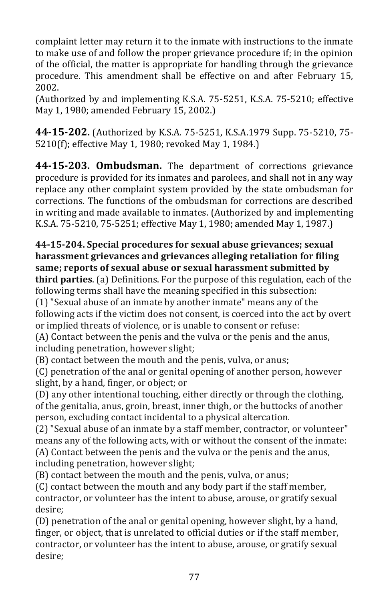complaint letter may return it to the inmate with instructions to the inmate to make use of and follow the proper grievance procedure if; in the opinion of the official, the matter is appropriate for handling through the grievance procedure. This amendment shall be effective on and after February 15, 2002.

(Authorized by and implementing K.S.A. 75-5251, K.S.A. 75-5210; effective May 1, 1980; amended February 15, 2002.)

**44-15-202.** (Authorized by K.S.A. 75-5251, K.S.A.1979 Supp. 75-5210, 75- 5210(f); effective May 1, 1980; revoked May 1, 1984.)

**44-15-203. Ombudsman.** The department of corrections grievance procedure is provided for its inmates and parolees, and shall not in any way replace any other complaint system provided by the state ombudsman for corrections. The functions of the ombudsman for corrections are described in writing and made available to inmates. (Authorized by and implementing K.S.A. 75-5210, 75-5251; effective May 1, 1980; amended May 1, 1987.)

#### **44-15-204. Special procedures for sexual abuse grievances; sexual harassment grievances and grievances alleging retaliation for filing same; reports of sexual abuse or sexual harassment submitted by**

**third parties**. (a) Definitions. For the purpose of this regulation, each of the following terms shall have the meaning specified in this subsection:

(1) "Sexual abuse of an inmate by another inmate" means any of the following acts if the victim does not consent, is coerced into the act by overt or implied threats of violence, or is unable to consent or refuse:

(A) Contact between the penis and the vulva or the penis and the anus, including penetration, however slight;

(B) contact between the mouth and the penis, vulva, or anus;

(C) penetration of the anal or genital opening of another person, however slight, by a hand, finger, or object; or

(D) any other intentional touching, either directly or through the clothing, of the genitalia, anus, groin, breast, inner thigh, or the buttocks of another person, excluding contact incidental to a physical altercation.

(2) "Sexual abuse of an inmate by a staff member, contractor, or volunteer" means any of the following acts, with or without the consent of the inmate: (A) Contact between the penis and the vulva or the penis and the anus, including penetration, however slight;

(B) contact between the mouth and the penis, vulva, or anus;

(C) contact between the mouth and any body part if the staff member, contractor, or volunteer has the intent to abuse, arouse, or gratify sexual desire;

(D) penetration of the anal or genital opening, however slight, by a hand, finger, or object, that is unrelated to official duties or if the staff member, contractor, or volunteer has the intent to abuse, arouse, or gratify sexual desire;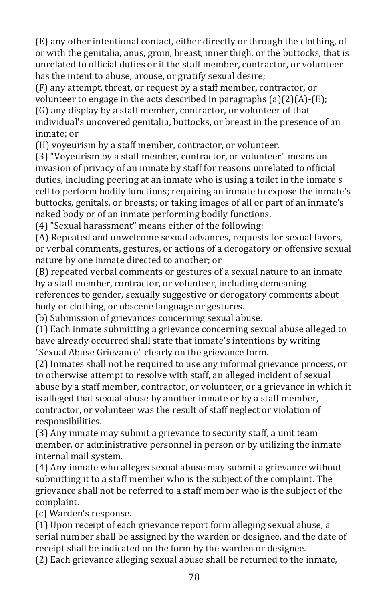(E) any other intentional contact, either directly or through the clothing, of or with the genitalia, anus, groin, breast, inner thigh, or the buttocks, that is unrelated to official duties or if the staff member, contractor, or volunteer has the intent to abuse, arouse, or gratify sexual desire;

(F) any attempt, threat, or request by a staff member, contractor, or volunteer to engage in the acts described in paragraphs  $(a)(2)(A)$ - $(E)$ ; (G) any display by a staff member, contractor, or volunteer of that individual's uncovered genitalia, buttocks, or breast in the presence of an inmate; or

(H) voyeurism by a staff member, contractor, or volunteer.

(3) "Voyeurism by a staff member, contractor, or volunteer" means an invasion of privacy of an inmate by staff for reasons unrelated to official duties, including peering at an inmate who is using a toilet in the inmate's cell to perform bodily functions; requiring an inmate to expose the inmate's buttocks, genitals, or breasts; or taking images of all or part of an inmate's naked body or of an inmate performing bodily functions.

(4) "Sexual harassment" means either of the following:

(A) Repeated and unwelcome sexual advances, requests for sexual favors, or verbal comments, gestures, or actions of a derogatory or offensive sexual nature by one inmate directed to another; or

(B) repeated verbal comments or gestures of a sexual nature to an inmate by a staff member, contractor, or volunteer, including demeaning references to gender, sexually suggestive or derogatory comments about body or clothing, or obscene language or gestures.

(b) Submission of grievances concerning sexual abuse.

(1) Each inmate submitting a grievance concerning sexual abuse alleged to have already occurred shall state that inmate's intentions by writing "Sexual Abuse Grievance" clearly on the grievance form.

(2) Inmates shall not be required to use any informal grievance process, or to otherwise attempt to resolve with staff, an alleged incident of sexual abuse by a staff member, contractor, or volunteer, or a grievance in which it is alleged that sexual abuse by another inmate or by a staff member, contractor, or volunteer was the result of staff neglect or violation of responsibilities.

(3) Any inmate may submit a grievance to security staff, a unit team member, or administrative personnel in person or by utilizing the inmate internal mail system.

(4) Any inmate who alleges sexual abuse may submit a grievance without submitting it to a staff member who is the subject of the complaint. The grievance shall not be referred to a staff member who is the subject of the complaint.

(c) Warden's response.

(1) Upon receipt of each grievance report form alleging sexual abuse, a serial number shall be assigned by the warden or designee, and the date of receipt shall be indicated on the form by the warden or designee.

(2) Each grievance alleging sexual abuse shall be returned to the inmate,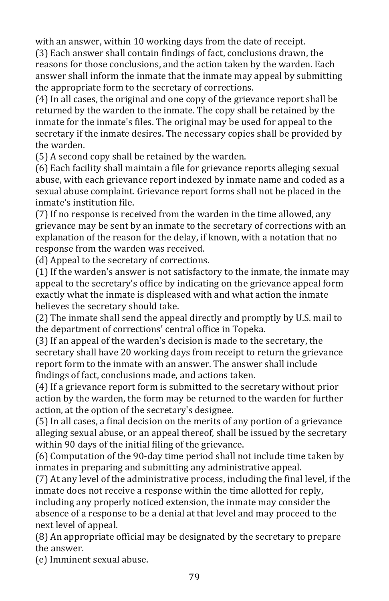with an answer, within 10 working days from the date of receipt.

(3) Each answer shall contain findings of fact, conclusions drawn, the reasons for those conclusions, and the action taken by the warden. Each answer shall inform the inmate that the inmate may appeal by submitting the appropriate form to the secretary of corrections.

(4) In all cases, the original and one copy of the grievance report shall be returned by the warden to the inmate. The copy shall be retained by the inmate for the inmate's files. The original may be used for appeal to the secretary if the inmate desires. The necessary copies shall be provided by the warden.

(5) A second copy shall be retained by the warden.

(6) Each facility shall maintain a file for grievance reports alleging sexual abuse, with each grievance report indexed by inmate name and coded as a sexual abuse complaint. Grievance report forms shall not be placed in the inmate's institution file.

(7) If no response is received from the warden in the time allowed, any grievance may be sent by an inmate to the secretary of corrections with an explanation of the reason for the delay, if known, with a notation that no response from the warden was received.

(d) Appeal to the secretary of corrections.

(1) If the warden's answer is not satisfactory to the inmate, the inmate may appeal to the secretary's office by indicating on the grievance appeal form exactly what the inmate is displeased with and what action the inmate believes the secretary should take.

(2) The inmate shall send the appeal directly and promptly by U.S. mail to the department of corrections' central office in Topeka.

(3) If an appeal of the warden's decision is made to the secretary, the secretary shall have 20 working days from receipt to return the grievance report form to the inmate with an answer. The answer shall include findings of fact, conclusions made, and actions taken.

(4) If a grievance report form is submitted to the secretary without prior action by the warden, the form may be returned to the warden for further action, at the option of the secretary's designee.

(5) In all cases, a final decision on the merits of any portion of a grievance alleging sexual abuse, or an appeal thereof, shall be issued by the secretary within 90 days of the initial filing of the grievance.

(6) Computation of the 90-day time period shall not include time taken by inmates in preparing and submitting any administrative appeal.

(7) At any level of the administrative process, including the final level, if the inmate does not receive a response within the time allotted for reply, including any properly noticed extension, the inmate may consider the absence of a response to be a denial at that level and may proceed to the next level of appeal.

(8) An appropriate official may be designated by the secretary to prepare the answer.

(e) Imminent sexual abuse.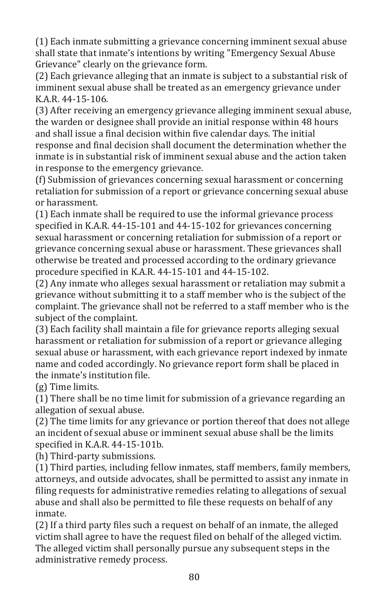(1) Each inmate submitting a grievance concerning imminent sexual abuse shall state that inmate's intentions by writing "Emergency Sexual Abuse Grievance" clearly on the grievance form.

(2) Each grievance alleging that an inmate is subject to a substantial risk of imminent sexual abuse shall be treated as an emergency grievance under K.A.R. 44-15-106.

(3) After receiving an emergency grievance alleging imminent sexual abuse, the warden or designee shall provide an initial response within 48 hours and shall issue a final decision within five calendar days. The initial response and final decision shall document the determination whether the inmate is in substantial risk of imminent sexual abuse and the action taken in response to the emergency grievance.

(f) Submission of grievances concerning sexual harassment or concerning retaliation for submission of a report or grievance concerning sexual abuse or harassment.

(1) Each inmate shall be required to use the informal grievance process specified in K.A.R. 44-15-101 and 44-15-102 for grievances concerning sexual harassment or concerning retaliation for submission of a report or grievance concerning sexual abuse or harassment. These grievances shall otherwise be treated and processed according to the ordinary grievance procedure specified in K.A.R. 44-15-101 and 44-15-102.

(2) Any inmate who alleges sexual harassment or retaliation may submit a grievance without submitting it to a staff member who is the subject of the complaint. The grievance shall not be referred to a staff member who is the subject of the complaint.

(3) Each facility shall maintain a file for grievance reports alleging sexual harassment or retaliation for submission of a report or grievance alleging sexual abuse or harassment, with each grievance report indexed by inmate name and coded accordingly. No grievance report form shall be placed in the inmate's institution file.

(g) Time limits.

(1) There shall be no time limit for submission of a grievance regarding an allegation of sexual abuse.

(2) The time limits for any grievance or portion thereof that does not allege an incident of sexual abuse or imminent sexual abuse shall be the limits specified in K.A.R. 44-15-101b.

(h) Third-party submissions.

(1) Third parties, including fellow inmates, staff members, family members, attorneys, and outside advocates, shall be permitted to assist any inmate in filing requests for administrative remedies relating to allegations of sexual abuse and shall also be permitted to file these requests on behalf of any inmate.

(2) If a third party files such a request on behalf of an inmate, the alleged victim shall agree to have the request filed on behalf of the alleged victim. The alleged victim shall personally pursue any subsequent steps in the administrative remedy process.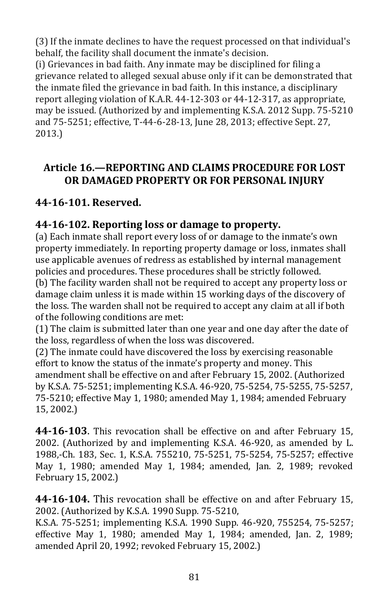(3) If the inmate declines to have the request processed on that individual's behalf, the facility shall document the inmate's decision.

(i) Grievances in bad faith. Any inmate may be disciplined for filing a grievance related to alleged sexual abuse only if it can be demonstrated that the inmate filed the grievance in bad faith. In this instance, a disciplinary report alleging violation of K.A.R. 44-12-303 or 44-12-317, as appropriate, may be issued. (Authorized by and implementing K.S.A. 2012 Supp. 75-5210 and 75-5251; effective, T-44-6-28-13, June 28, 2013; effective Sept. 27, 2013.)

### **Article 16.—REPORTING AND CLAIMS PROCEDURE FOR LOST OR DAMAGED PROPERTY OR FOR PERSONAL INJURY**

# **44-16-101. Reserved.**

# **44-16-102. Reporting loss or damage to property.**

(a) Each inmate shall report every loss of or damage to the inmate's own property immediately. In reporting property damage or loss, inmates shall use applicable avenues of redress as established by internal management policies and procedures. These procedures shall be strictly followed.

(b) The facility warden shall not be required to accept any property loss or damage claim unless it is made within 15 working days of the discovery of the loss. The warden shall not be required to accept any claim at all if both of the following conditions are met:

(1) The claim is submitted later than one year and one day after the date of the loss, regardless of when the loss was discovered.

(2) The inmate could have discovered the loss by exercising reasonable effort to know the status of the inmate's property and money. This amendment shall be effective on and after February 15, 2002. (Authorized by K.S.A. 75-5251; implementing K.S.A. 46-920, 75-5254, 75-5255, 75-5257, 75-5210; effective May 1, 1980; amended May 1, 1984; amended February 15, 2002.)

**44-16-103**. This revocation shall be effective on and after February 15, 2002. (Authorized by and implementing K.S.A. 46-920, as amended by L. 1988,-Ch. 183, Sec. 1, K.S.A. 755210, 75-5251, 75-5254, 75-5257; effective May 1, 1980; amended May 1, 1984; amended, Jan. 2, 1989; revoked February 15, 2002.)

**44-16-104.** This revocation shall be effective on and after February 15, 2002. (Authorized by K.S.A. 1990 Supp. 75-5210,

K.S.A. 75-5251; implementing K.S.A. 1990 Supp. 46-920, 755254, 75-5257; effective May 1, 1980; amended May 1, 1984; amended, Jan. 2, 1989; amended April 20, 1992; revoked February 15, 2002.)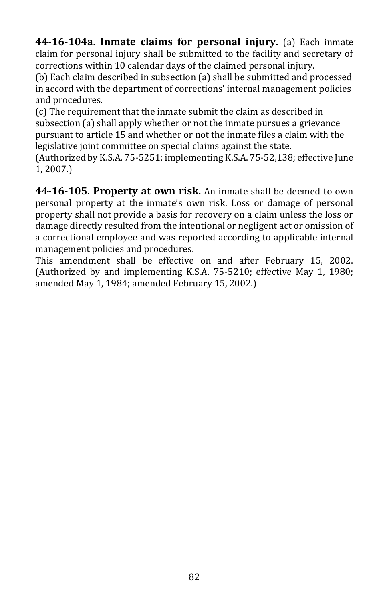**44-16-104a. Inmate claims for personal injury.** (a) Each inmate claim for personal injury shall be submitted to the facility and secretary of corrections within 10 calendar days of the claimed personal injury.

(b) Each claim described in subsection (a) shall be submitted and processed in accord with the department of corrections' internal management policies and procedures.

(c) The requirement that the inmate submit the claim as described in subsection (a) shall apply whether or not the inmate pursues a grievance pursuant to article 15 and whether or not the inmate files a claim with the legislative joint committee on special claims against the state.

(Authorized by K.S.A. 75-5251; implementing K.S.A. 75-52,138; effective June 1, 2007.)

**44-16-105. Property at own risk.** An inmate shall be deemed to own personal property at the inmate's own risk. Loss or damage of personal property shall not provide a basis for recovery on a claim unless the loss or damage directly resulted from the intentional or negligent act or omission of a correctional employee and was reported according to applicable internal management policies and procedures.

This amendment shall be effective on and after February 15, 2002. (Authorized by and implementing K.S.A. 75-5210; effective May 1, 1980; amended May 1, 1984; amended February 15, 2002.)